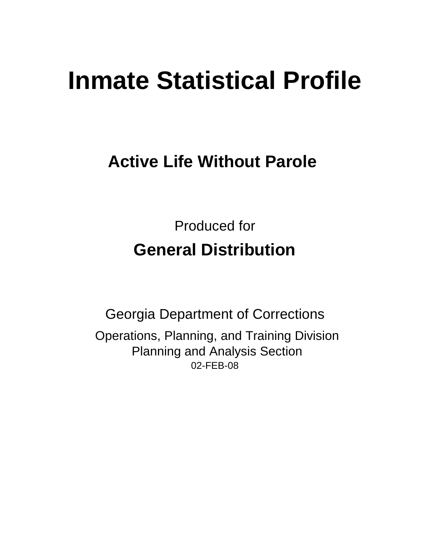# **Inmate Statistical Profile**

# **Active Life Without Parole**

Produced for **General Distribution**

02-FEB-08 Georgia Department of Corrections Operations, Planning, and Training Division Planning and Analysis Section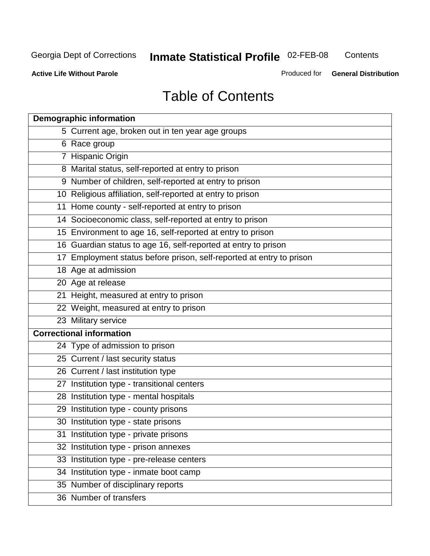**Contents** 

**Active Life Without Parole** 

Produced for **General Distribution**

# Table of Contents

| <b>Demographic information</b>                                       |
|----------------------------------------------------------------------|
| 5 Current age, broken out in ten year age groups                     |
| 6 Race group                                                         |
| 7 Hispanic Origin                                                    |
| 8 Marital status, self-reported at entry to prison                   |
| 9 Number of children, self-reported at entry to prison               |
| 10 Religious affiliation, self-reported at entry to prison           |
| 11 Home county - self-reported at entry to prison                    |
| 14 Socioeconomic class, self-reported at entry to prison             |
| 15 Environment to age 16, self-reported at entry to prison           |
| 16 Guardian status to age 16, self-reported at entry to prison       |
| 17 Employment status before prison, self-reported at entry to prison |
| 18 Age at admission                                                  |
| 20 Age at release                                                    |
| 21 Height, measured at entry to prison                               |
| 22 Weight, measured at entry to prison                               |
| 23 Military service                                                  |
| <b>Correctional information</b>                                      |
| 24 Type of admission to prison                                       |
| 25 Current / last security status                                    |
| 26 Current / last institution type                                   |
| 27 Institution type - transitional centers                           |
| 28 Institution type - mental hospitals                               |
| 29 Institution type - county prisons                                 |
| 30 Institution type - state prisons                                  |
| 31 Institution type - private prisons                                |
| 32 Institution type - prison annexes                                 |
| 33 Institution type - pre-release centers                            |
| 34 Institution type - inmate boot camp                               |
| 35 Number of disciplinary reports                                    |
| 36 Number of transfers                                               |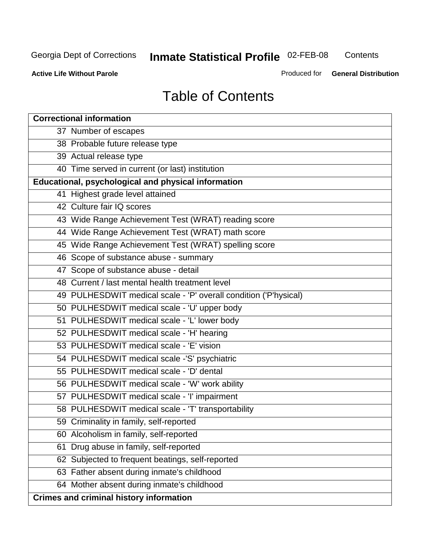**Contents** 

**Active Life Without Parole** 

Produced for **General Distribution**

# Table of Contents

| <b>Correctional information</b>                                  |
|------------------------------------------------------------------|
| 37 Number of escapes                                             |
| 38 Probable future release type                                  |
| 39 Actual release type                                           |
| 40 Time served in current (or last) institution                  |
| Educational, psychological and physical information              |
| 41 Highest grade level attained                                  |
| 42 Culture fair IQ scores                                        |
| 43 Wide Range Achievement Test (WRAT) reading score              |
| 44 Wide Range Achievement Test (WRAT) math score                 |
| 45 Wide Range Achievement Test (WRAT) spelling score             |
| 46 Scope of substance abuse - summary                            |
| 47 Scope of substance abuse - detail                             |
| 48 Current / last mental health treatment level                  |
| 49 PULHESDWIT medical scale - 'P' overall condition ('P'hysical) |
| 50 PULHESDWIT medical scale - 'U' upper body                     |
| 51 PULHESDWIT medical scale - 'L' lower body                     |
| 52 PULHESDWIT medical scale - 'H' hearing                        |
| 53 PULHESDWIT medical scale - 'E' vision                         |
| 54 PULHESDWIT medical scale -'S' psychiatric                     |
| 55 PULHESDWIT medical scale - 'D' dental                         |
| 56 PULHESDWIT medical scale - 'W' work ability                   |
| 57 PULHESDWIT medical scale - 'I' impairment                     |
| 58 PULHESDWIT medical scale - 'T' transportability               |
| 59 Criminality in family, self-reported                          |
| 60 Alcoholism in family, self-reported                           |
| Drug abuse in family, self-reported<br>61                        |
| 62 Subjected to frequent beatings, self-reported                 |
| 63 Father absent during inmate's childhood                       |
| 64 Mother absent during inmate's childhood                       |
| <b>Crimes and criminal history information</b>                   |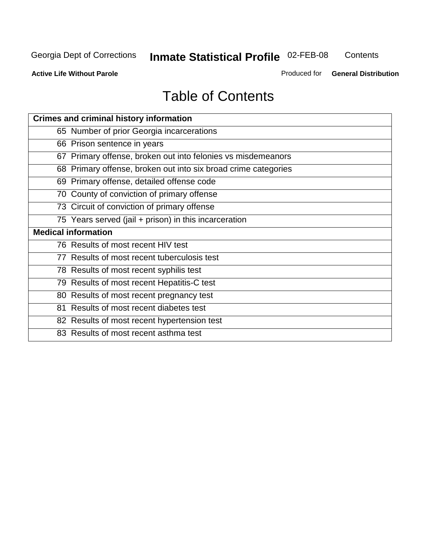**Contents** 

**Active Life Without Parole** 

Produced for **General Distribution**

# Table of Contents

| <b>Crimes and criminal history information</b>                 |
|----------------------------------------------------------------|
| 65 Number of prior Georgia incarcerations                      |
| 66 Prison sentence in years                                    |
| 67 Primary offense, broken out into felonies vs misdemeanors   |
| 68 Primary offense, broken out into six broad crime categories |
| 69 Primary offense, detailed offense code                      |
| 70 County of conviction of primary offense                     |
| 73 Circuit of conviction of primary offense                    |
| 75 Years served (jail + prison) in this incarceration          |
| <b>Medical information</b>                                     |
|                                                                |
| 76 Results of most recent HIV test                             |
| 77 Results of most recent tuberculosis test                    |
| 78 Results of most recent syphilis test                        |
| 79 Results of most recent Hepatitis-C test                     |
| 80 Results of most recent pregnancy test                       |
| 81 Results of most recent diabetes test                        |
| 82 Results of most recent hypertension test                    |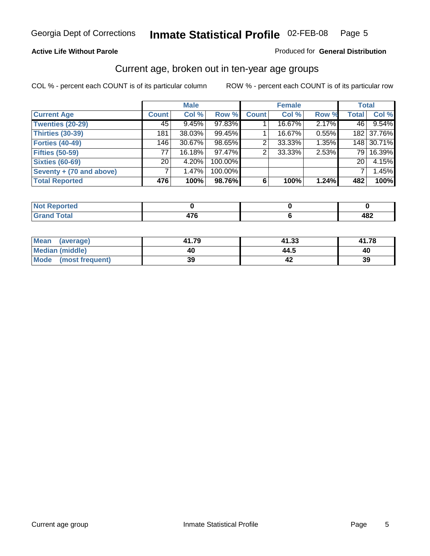#### **Active Life Without Parole**

#### Produced for **General Distribution**

### Current age, broken out in ten-year age groups

|                          |              | <b>Male</b> |         |              | <b>Female</b> |       |                 | <b>Total</b> |
|--------------------------|--------------|-------------|---------|--------------|---------------|-------|-----------------|--------------|
| <b>Current Age</b>       | <b>Count</b> | Col %       | Row %   | <b>Count</b> | Col %         | Row % | <b>Total</b>    | Col %        |
| <b>Twenties (20-29)</b>  | 45           | 9.45%       | 97.83%  |              | 16.67%        | 2.17% | 46              | 9.54%        |
| <b>Thirties (30-39)</b>  | 181          | 38.03%      | 99.45%  |              | 16.67%        | 0.55% |                 | 182 37.76%   |
| <b>Forties (40-49)</b>   | 146          | 30.67%      | 98.65%  | 2            | 33.33%        | 1.35% |                 | 148 30.71%   |
| <b>Fifties (50-59)</b>   | 77           | 16.18%      | 97.47%  | 2            | 33.33%        | 2.53% | 79 I            | 16.39%       |
| <b>Sixties (60-69)</b>   | 20           | 4.20%       | 100.00% |              |               |       | 20 <sup>1</sup> | 4.15%        |
| Seventy + (70 and above) |              | 1.47%       | 100.00% |              |               |       |                 | 1.45%        |
| <b>Total Reported</b>    | 476          | 100%        | 98.76%  | 6            | 100%          | 1.24% | 482             | 100%         |

| <b>Not Reported</b> |               |       |
|---------------------|---------------|-------|
| <b>Total</b>        | $\rightarrow$ | A R 2 |
| $\mathbf{v}$ and    |               | 40Z   |

| Mean (average)       | 41.79 | 41.33 | 41.78 |
|----------------------|-------|-------|-------|
| Median (middle)      | 40    | 44.5  | 40    |
| Mode (most frequent) | 39    |       | 39    |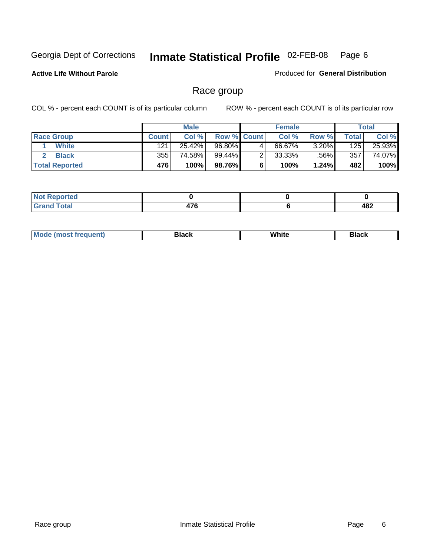**Active Life Without Parole** 

Produced for **General Distribution**

### Race group

|                       |              | <b>Male</b> |                    |   | <b>Female</b> |          |       | <b>Total</b> |
|-----------------------|--------------|-------------|--------------------|---|---------------|----------|-------|--------------|
| <b>Race Group</b>     | <b>Count</b> | Col %       | <b>Row % Count</b> |   | Col %         | Row %    | Total | Col %        |
| <b>White</b>          | 121          | 25.42%      | 96.80%             | 4 | 66.67%        | $3.20\%$ | 125   | 25.93%       |
| <b>Black</b>          | 355          | 74.58%      | 99.44%             |   | $33.33\%$     | .56%     | 357   | 74.07%       |
| <b>Total Reported</b> | 476          | 100%        | 98.76%             |   | 100%          | 1.24%    | 482   | 100%         |

| <b>eported</b><br>$\sim$ $\sim$ $\sim$ $\sim$ |                                    |     |
|-----------------------------------------------|------------------------------------|-----|
| <b>Total</b>                                  | $\rightarrow$<br>$\cdot$ . $\cdot$ | 482 |

| $^1$ Mo. | Rlack | White | 3lack |
|----------|-------|-------|-------|
| .        |       |       |       |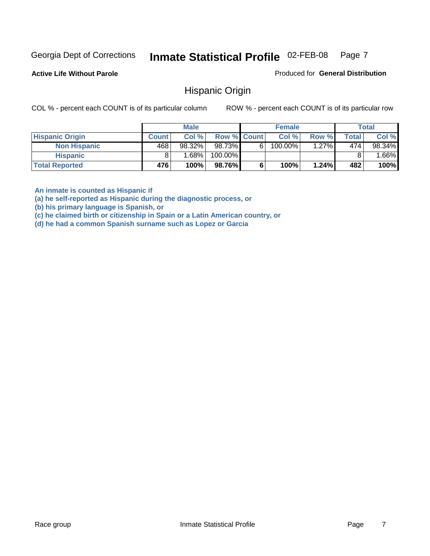**Active Life Without Parole** 

Produced for **General Distribution**

### Hispanic Origin

COL % - percent each COUNT is of its particular column ROW % - percent each COUNT is of its particular row

|                        |              | <b>Male</b> |                    |    | <b>Female</b> |       |              | <b>Total</b> |
|------------------------|--------------|-------------|--------------------|----|---------------|-------|--------------|--------------|
| <b>Hispanic Origin</b> | <b>Count</b> | Col%        | <b>Row % Count</b> |    | Col %         | Row % | <b>Total</b> | Col %        |
| <b>Non Hispanic</b>    | 468          | 98.32%      | 98.73%             | 61 | $100.00\%$    | 1.27% | 474          | 98.34%       |
| <b>Hispanic</b>        |              | 1.68% l     | 100.00%            |    |               |       |              | $.66\%$      |
| <b>Total Reported</b>  | 476          | 100%        | 98.76%             |    | 100%          | 1.24% | 482          | 100%         |

**An inmate is counted as Hispanic if** 

**(a) he self-reported as Hispanic during the diagnostic process, or** 

**(b) his primary language is Spanish, or** 

**(c) he claimed birth or citizenship in Spain or a Latin American country, or** 

**(d) he had a common Spanish surname such as Lopez or Garcia**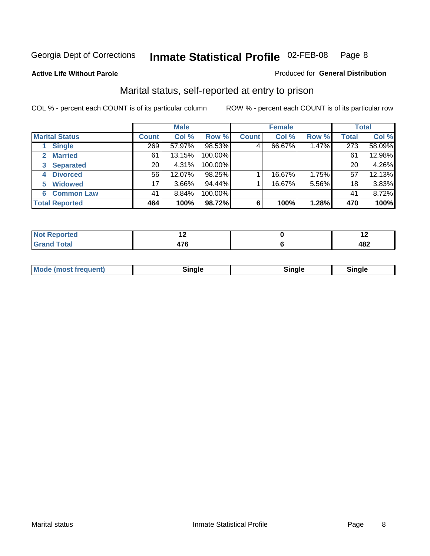#### **Active Life Without Parole**

#### Produced for **General Distribution**

### Marital status, self-reported at entry to prison

|                        | <b>Male</b>  |          |         | <b>Female</b> |        |       | <b>Total</b> |        |
|------------------------|--------------|----------|---------|---------------|--------|-------|--------------|--------|
| <b>Marital Status</b>  | <b>Count</b> | Col %    | Row %   | <b>Count</b>  | Col %  | Row % | <b>Total</b> | Col %  |
| <b>Single</b>          | 269          | 57.97%   | 98.53%  | 4             | 66.67% | 1.47% | 273          | 58.09% |
| <b>Married</b><br>2.   | 61           | 13.15%   | 100.00% |               |        |       | 61           | 12.98% |
| <b>Separated</b><br>3  | 20           | 4.31%    | 100.00% |               |        |       | 20           | 4.26%  |
| <b>Divorced</b><br>4   | 56           | 12.07%   | 98.25%  |               | 16.67% | 1.75% | 57           | 12.13% |
| <b>Widowed</b><br>5    | 17           | $3.66\%$ | 94.44%  |               | 16.67% | 5.56% | 18           | 3.83%  |
| <b>Common Law</b><br>6 | 41           | 8.84%    | 100.00% |               |        |       | 41           | 8.72%  |
| <b>Total Reported</b>  | 464          | 100%     | 98.72%  | 6             | 100%   | 1.28% | 470          | 100%   |

|               | $\overline{\phantom{0}}$ |
|---------------|--------------------------|
| т 1<br>$\sim$ | י ה ו<br>.               |

| <b>Mode (most frequent)</b><br>Sinale<br>≒ınale |
|-------------------------------------------------|
|-------------------------------------------------|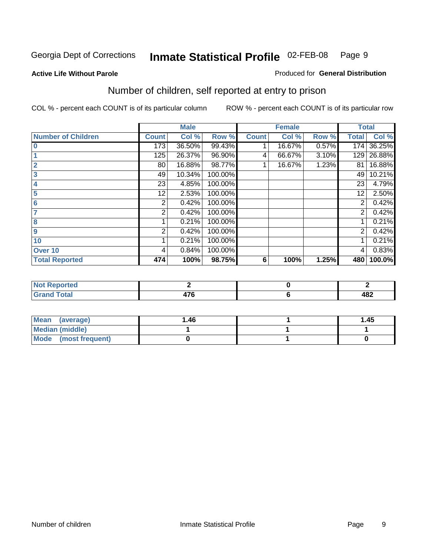#### **Active Life Without Parole**

#### Produced for **General Distribution**

### Number of children, self reported at entry to prison

|                           |              | <b>Male</b> |         |              | <b>Female</b> |       |                | <b>Total</b> |
|---------------------------|--------------|-------------|---------|--------------|---------------|-------|----------------|--------------|
| <b>Number of Children</b> | <b>Count</b> | Col %       | Row %   | <b>Count</b> | Col %         | Row % | <b>Total</b>   | Col %        |
| $\bf{0}$                  | 173          | 36.50%      | 99.43%  |              | 16.67%        | 0.57% | 174            | 36.25%       |
|                           | 125          | 26.37%      | 96.90%  | 4            | 66.67%        | 3.10% | 129            | 26.88%       |
| $\overline{2}$            | 80           | 16.88%      | 98.77%  |              | 16.67%        | 1.23% | 81             | 16.88%       |
| 3                         | 49           | 10.34%      | 100.00% |              |               |       | 49             | 10.21%       |
| 4                         | 23           | 4.85%       | 100.00% |              |               |       | 23             | 4.79%        |
| 5                         | 12           | 2.53%       | 100.00% |              |               |       | 12             | 2.50%        |
| 6                         | 2            | 0.42%       | 100.00% |              |               |       | 2              | 0.42%        |
|                           | 2            | 0.42%       | 100.00% |              |               |       | 2              | 0.42%        |
| 8                         |              | 0.21%       | 100.00% |              |               |       |                | 0.21%        |
| $\boldsymbol{9}$          | 2            | 0.42%       | 100.00% |              |               |       | $\overline{2}$ | 0.42%        |
| 10                        |              | 0.21%       | 100.00% |              |               |       |                | 0.21%        |
| Over 10                   | 4            | 0.84%       | 100.00% |              |               |       | 4              | 0.83%        |
| <b>Total Reported</b>     | 474          | 100%        | 98.75%  | 6            | 100%          | 1.25% | 480            | 100.0%       |

| ™rteu<br>$\sim$                 |     |             |
|---------------------------------|-----|-------------|
| <b>otal</b><br>$\mathbf{v}$ and | $-$ | 10 J<br>40£ |

| <b>Mean</b><br>(average) | 1.46 | 1.45 |
|--------------------------|------|------|
| Median (middle)          |      |      |
| Mode (most frequent)     |      |      |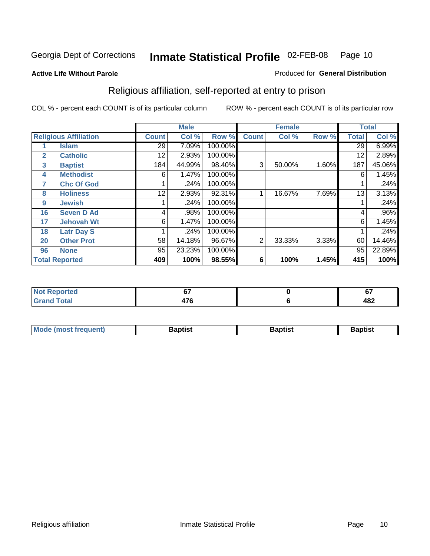#### **Active Life Without Parole**

#### Produced for **General Distribution**

### Religious affiliation, self-reported at entry to prison

|              |                              |              | <b>Male</b> |         |              | <b>Female</b> |       |              | <b>Total</b> |
|--------------|------------------------------|--------------|-------------|---------|--------------|---------------|-------|--------------|--------------|
|              | <b>Religious Affiliation</b> | <b>Count</b> | Col %       | Row %   | <b>Count</b> | Col %         | Row % | <b>Total</b> | Col %        |
|              | <b>Islam</b>                 | 29           | 7.09%       | 100.00% |              |               |       | 29           | 6.99%        |
| $\mathbf{2}$ | <b>Catholic</b>              | 12           | 2.93%       | 100.00% |              |               |       | 12           | 2.89%        |
| 3            | <b>Baptist</b>               | 184          | 44.99%      | 98.40%  | 3            | 50.00%        | 1.60% | 187          | 45.06%       |
| 4            | <b>Methodist</b>             | 6            | 1.47%       | 100.00% |              |               |       | 6            | 1.45%        |
| 7            | <b>Chc Of God</b>            |              | .24%        | 100.00% |              |               |       |              | .24%         |
| 8            | <b>Holiness</b>              | 12           | 2.93%       | 92.31%  |              | 16.67%        | 7.69% | 13           | 3.13%        |
| 9            | <b>Jewish</b>                |              | .24%        | 100.00% |              |               |       |              | .24%         |
| 16           | <b>Seven D Ad</b>            | 4            | .98%        | 100.00% |              |               |       | 4            | $.96\%$      |
| 17           | <b>Jehovah Wt</b>            | 6            | 1.47%       | 100.00% |              |               |       | 6            | 1.45%        |
| 18           | <b>Latr Day S</b>            |              | .24%        | 100.00% |              |               |       |              | .24%         |
| 20           | <b>Other Prot</b>            | 58           | 14.18%      | 96.67%  | 2            | 33.33%        | 3.33% | 60           | 14.46%       |
| 96           | <b>None</b>                  | 95           | 23.23%      | 100.00% |              |               |       | 95           | 22.89%       |
|              | <b>Total Reported</b>        | 409          | 100%        | 98.55%  | 6            | 100%          | 1.45% | 415          | 100%         |

| rted  | ^¬ | $\sim$<br>v, |
|-------|----|--------------|
| 'otal | -- | AR 2<br>40Z  |

| ' Mo<br>went | <b>}aptist</b> | Baptist<br>$ -$ | <b>Baptist</b> |
|--------------|----------------|-----------------|----------------|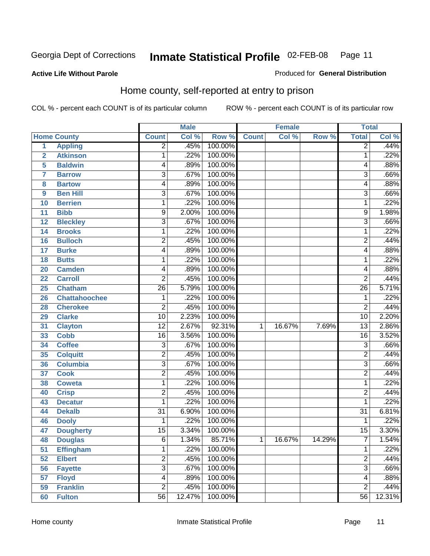#### **Active Life Without Parole**

#### Produced for **General Distribution**

### Home county, self-reported at entry to prison

|                |                      |                         | <b>Male</b> |         |              | <b>Female</b> |        | <b>Total</b>    |        |
|----------------|----------------------|-------------------------|-------------|---------|--------------|---------------|--------|-----------------|--------|
|                | <b>Home County</b>   | <b>Count</b>            | Col %       | Row %   | <b>Count</b> | Col %         | Row %  | <b>Total</b>    | Col %  |
| 1              | <b>Appling</b>       | $\overline{2}$          | .45%        | 100.00% |              |               |        | $\overline{2}$  | .44%   |
| $\overline{2}$ | <b>Atkinson</b>      | 1                       | .22%        | 100.00% |              |               |        | 1               | .22%   |
| 5              | <b>Baldwin</b>       | 4                       | .89%        | 100.00% |              |               |        | 4               | .88%   |
| 7              | <b>Barrow</b>        | $\overline{3}$          | .67%        | 100.00% |              |               |        | 3               | .66%   |
| 8              | <b>Bartow</b>        | 4                       | .89%        | 100.00% |              |               |        | 4               | .88%   |
| 9              | <b>Ben Hill</b>      | $\overline{3}$          | .67%        | 100.00% |              |               |        | $\overline{3}$  | .66%   |
| 10             | <b>Berrien</b>       | 1                       | .22%        | 100.00% |              |               |        | 1               | .22%   |
| 11             | <b>Bibb</b>          | 9                       | 2.00%       | 100.00% |              |               |        | 9               | 1.98%  |
| 12             | <b>Bleckley</b>      | $\overline{3}$          | .67%        | 100.00% |              |               |        | 3               | .66%   |
| 14             | <b>Brooks</b>        | 1                       | .22%        | 100.00% |              |               |        | 1               | .22%   |
| 16             | <b>Bulloch</b>       | $\overline{\mathbf{c}}$ | .45%        | 100.00% |              |               |        | 2               | .44%   |
| 17             | <b>Burke</b>         | 4                       | .89%        | 100.00% |              |               |        | 4               | .88%   |
| 18             | <b>Butts</b>         | 1                       | .22%        | 100.00% |              |               |        | 1               | .22%   |
| 20             | <b>Camden</b>        | 4                       | .89%        | 100.00% |              |               |        | 4               | .88%   |
| 22             | <b>Carroll</b>       | $\overline{2}$          | .45%        | 100.00% |              |               |        | $\overline{2}$  | .44%   |
| 25             | <b>Chatham</b>       | 26                      | 5.79%       | 100.00% |              |               |        | $\overline{26}$ | 5.71%  |
| 26             | <b>Chattahoochee</b> | $\mathbf 1$             | .22%        | 100.00% |              |               |        | 1               | .22%   |
| 28             | <b>Cherokee</b>      | $\overline{\mathbf{c}}$ | .45%        | 100.00% |              |               |        | $\overline{2}$  | .44%   |
| 29             | <b>Clarke</b>        | 10                      | 2.23%       | 100.00% |              |               |        | $\overline{10}$ | 2.20%  |
| 31             | <b>Clayton</b>       | $\overline{12}$         | 2.67%       | 92.31%  | 1            | 16.67%        | 7.69%  | $\overline{13}$ | 2.86%  |
| 33             | <b>Cobb</b>          | $\overline{16}$         | 3.56%       | 100.00% |              |               |        | $\overline{16}$ | 3.52%  |
| 34             | <b>Coffee</b>        | $\overline{3}$          | .67%        | 100.00% |              |               |        | 3               | .66%   |
| 35             | <b>Colquitt</b>      | $\overline{2}$          | .45%        | 100.00% |              |               |        | $\overline{2}$  | .44%   |
| 36             | <b>Columbia</b>      | $\overline{3}$          | .67%        | 100.00% |              |               |        | 3               | .66%   |
| 37             | <b>Cook</b>          | $\overline{\mathbf{c}}$ | .45%        | 100.00% |              |               |        | $\overline{2}$  | .44%   |
| 38             | <b>Coweta</b>        | 1                       | .22%        | 100.00% |              |               |        | 1               | .22%   |
| 40             | <b>Crisp</b>         | $\overline{\mathbf{c}}$ | .45%        | 100.00% |              |               |        | 2               | .44%   |
| 43             | <b>Decatur</b>       | 1                       | .22%        | 100.00% |              |               |        | 1               | .22%   |
| 44             | <b>Dekalb</b>        | $\overline{31}$         | 6.90%       | 100.00% |              |               |        | $\overline{31}$ | 6.81%  |
| 46             | <b>Dooly</b>         | 1                       | .22%        | 100.00% |              |               |        | 1               | .22%   |
| 47             | <b>Dougherty</b>     | $\overline{15}$         | 3.34%       | 100.00% |              |               |        | $\overline{15}$ | 3.30%  |
| 48             | <b>Douglas</b>       | 6                       | 1.34%       | 85.71%  | 1            | 16.67%        | 14.29% | ſ               | 1.54%  |
| 51             | <b>Effingham</b>     | 1                       | .22%        | 100.00% |              |               |        | 1               | .22%   |
| 52             | <b>Elbert</b>        | $\overline{2}$          | .45%        | 100.00% |              |               |        | 2               | .44%   |
| 56             | <b>Fayette</b>       | $\overline{3}$          | .67%        | 100.00% |              |               |        | $\overline{3}$  | .66%   |
| 57             | <b>Floyd</b>         | 4                       | .89%        | 100.00% |              |               |        | 4               | .88%   |
| 59             | <b>Franklin</b>      | $\overline{2}$          | .45%        | 100.00% |              |               |        | $\overline{2}$  | .44%   |
| 60             | <b>Fulton</b>        | $\overline{56}$         | 12.47%      | 100.00% |              |               |        | 56              | 12.31% |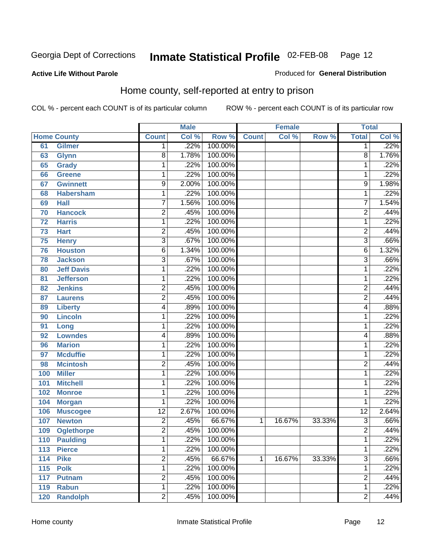Produced for **General Distribution**

#### **Active Life Without Parole**

# Home county, self-reported at entry to prison

|     |                    |                 | <b>Male</b> |         |              | <b>Female</b> |        | <b>Total</b>    |                            |
|-----|--------------------|-----------------|-------------|---------|--------------|---------------|--------|-----------------|----------------------------|
|     | <b>Home County</b> | <b>Count</b>    | Col %       | Row %   | <b>Count</b> | Col %         | Row %  | <b>Total</b>    | $\overline{\text{Col }\%}$ |
| 61  | <b>Gilmer</b>      | $\mathbf 1$     | .22%        | 100.00% |              |               |        | 1               | .22%                       |
| 63  | <b>Glynn</b>       | 8               | 1.78%       | 100.00% |              |               |        | 8               | 1.76%                      |
| 65  | <b>Grady</b>       | $\mathbf 1$     | .22%        | 100.00% |              |               |        | 1               | .22%                       |
| 66  | <b>Greene</b>      | 1               | .22%        | 100.00% |              |               |        | 1               | .22%                       |
| 67  | <b>Gwinnett</b>    | $\overline{9}$  | 2.00%       | 100.00% |              |               |        | 9               | 1.98%                      |
| 68  | <b>Habersham</b>   | 1               | .22%        | 100.00% |              |               |        | 1               | .22%                       |
| 69  | <b>Hall</b>        | 7               | 1.56%       | 100.00% |              |               |        | 7               | 1.54%                      |
| 70  | <b>Hancock</b>     | $\overline{c}$  | .45%        | 100.00% |              |               |        | 2               | .44%                       |
| 72  | <b>Harris</b>      | 1               | .22%        | 100.00% |              |               |        | 1               | .22%                       |
| 73  | <b>Hart</b>        | $\overline{c}$  | .45%        | 100.00% |              |               |        | $\overline{2}$  | .44%                       |
| 75  | <b>Henry</b>       | $\overline{3}$  | .67%        | 100.00% |              |               |        | $\overline{3}$  | .66%                       |
| 76  | <b>Houston</b>     | 6               | 1.34%       | 100.00% |              |               |        | 6               | 1.32%                      |
| 78  | <b>Jackson</b>     | $\overline{3}$  | .67%        | 100.00% |              |               |        | 3               | .66%                       |
| 80  | <b>Jeff Davis</b>  | 1               | .22%        | 100.00% |              |               |        | 1               | .22%                       |
| 81  | <b>Jefferson</b>   | 1               | .22%        | 100.00% |              |               |        | 1               | .22%                       |
| 82  | <b>Jenkins</b>     | $\overline{c}$  | .45%        | 100.00% |              |               |        | 2               | .44%                       |
| 87  | <b>Laurens</b>     | $\overline{2}$  | .45%        | 100.00% |              |               |        | $\overline{2}$  | .44%                       |
| 89  | <b>Liberty</b>     | 4               | .89%        | 100.00% |              |               |        | 4               | .88%                       |
| 90  | <b>Lincoln</b>     | $\mathbf 1$     | .22%        | 100.00% |              |               |        | 1               | .22%                       |
| 91  | Long               | $\mathbf 1$     | .22%        | 100.00% |              |               |        | 1               | .22%                       |
| 92  | <b>Lowndes</b>     | 4               | .89%        | 100.00% |              |               |        | 4               | .88%                       |
| 96  | <b>Marion</b>      | 1               | .22%        | 100.00% |              |               |        | 1               | .22%                       |
| 97  | <b>Mcduffie</b>    | 1               | .22%        | 100.00% |              |               |        | 1               | .22%                       |
| 98  | <b>Mcintosh</b>    | $\overline{c}$  | .45%        | 100.00% |              |               |        | 2               | .44%                       |
| 100 | <b>Miller</b>      | $\mathbf 1$     | .22%        | 100.00% |              |               |        | 1               | .22%                       |
| 101 | <b>Mitchell</b>    | 1               | .22%        | 100.00% |              |               |        | 1               | .22%                       |
| 102 | <b>Monroe</b>      | $\mathbf 1$     | .22%        | 100.00% |              |               |        | 1               | .22%                       |
| 104 | <b>Morgan</b>      | 1               | .22%        | 100.00% |              |               |        | 1               | .22%                       |
| 106 | <b>Muscogee</b>    | $\overline{12}$ | 2.67%       | 100.00% |              |               |        | $\overline{12}$ | 2.64%                      |
| 107 | <b>Newton</b>      | $\overline{c}$  | .45%        | 66.67%  | 1            | 16.67%        | 33.33% | 3               | .66%                       |
| 109 | <b>Oglethorpe</b>  | $\overline{2}$  | .45%        | 100.00% |              |               |        | $\overline{2}$  | .44%                       |
| 110 | <b>Paulding</b>    | 1               | .22%        | 100.00% |              |               |        | 1               | .22%                       |
| 113 | <b>Pierce</b>      | $\overline{1}$  | .22%        | 100.00% |              |               |        | 1               | .22%                       |
| 114 | <b>Pike</b>        | $\overline{2}$  | .45%        | 66.67%  | $\mathbf{1}$ | 16.67%        | 33.33% | $\overline{3}$  | .66%                       |
| 115 | <b>Polk</b>        | $\overline{1}$  | .22%        | 100.00% |              |               |        | 1               | .22%                       |
| 117 | <b>Putnam</b>      | $\overline{2}$  | .45%        | 100.00% |              |               |        | 2               | .44%                       |
| 119 | <b>Rabun</b>       | $\overline{1}$  | .22%        | 100.00% |              |               |        | 1               | .22%                       |
| 120 | <b>Randolph</b>    | $\overline{2}$  | .45%        | 100.00% |              |               |        | $\overline{2}$  | .44%                       |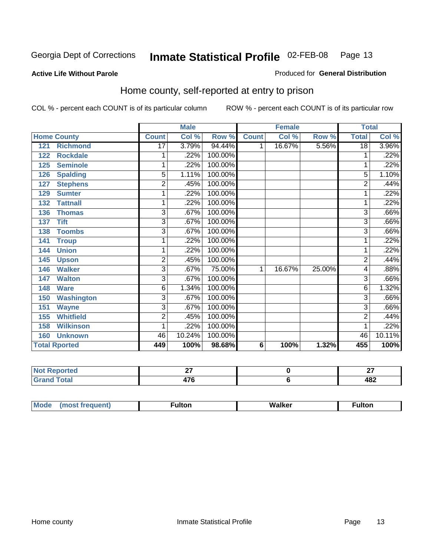Produced for **General Distribution**

#### **Active Life Without Parole**

### Home county, self-reported at entry to prison

|                          |                 | <b>Male</b> |         |              | <b>Female</b> |        | <b>Total</b>    |        |
|--------------------------|-----------------|-------------|---------|--------------|---------------|--------|-----------------|--------|
| <b>Home County</b>       | <b>Count</b>    | Col %       | Row %   | <b>Count</b> | Col %         | Row %  | <b>Total</b>    | Col %  |
| <b>Richmond</b><br>121   | $\overline{17}$ | 3.79%       | 94.44%  | 1            | 16.67%        | 5.56%  | $\overline{18}$ | 3.96%  |
| <b>Rockdale</b><br>122   | 1               | .22%        | 100.00% |              |               |        | 1               | .22%   |
| <b>Seminole</b><br>125   | 1               | .22%        | 100.00% |              |               |        | 1               | .22%   |
| <b>Spalding</b><br>126   | 5               | 1.11%       | 100.00% |              |               |        | 5               | 1.10%  |
| <b>Stephens</b><br>127   | 2               | .45%        | 100.00% |              |               |        | $\overline{2}$  | .44%   |
| <b>Sumter</b><br>129     | 1               | .22%        | 100.00% |              |               |        |                 | .22%   |
| 132<br><b>Tattnall</b>   | 1               | .22%        | 100.00% |              |               |        |                 | .22%   |
| <b>Thomas</b><br>136     | $\overline{3}$  | .67%        | 100.00% |              |               |        | 3               | .66%   |
| <b>Tift</b><br>137       | $\overline{3}$  | .67%        | 100.00% |              |               |        | 3               | .66%   |
| <b>Toombs</b><br>138     | 3               | .67%        | 100.00% |              |               |        | 3               | .66%   |
| 141<br><b>Troup</b>      | 1               | .22%        | 100.00% |              |               |        | 1               | .22%   |
| <b>Union</b><br>144      | 1               | .22%        | 100.00% |              |               |        | 1               | .22%   |
| 145<br><b>Upson</b>      | $\overline{c}$  | .45%        | 100.00% |              |               |        | 2               | .44%   |
| <b>Walker</b><br>146     | 3               | .67%        | 75.00%  | 1            | 16.67%        | 25.00% | 4               | .88%   |
| <b>Walton</b><br>147     | 3               | .67%        | 100.00% |              |               |        | 3               | .66%   |
| <b>Ware</b><br>148       | 6               | 1.34%       | 100.00% |              |               |        | 6               | 1.32%  |
| <b>Washington</b><br>150 | 3               | .67%        | 100.00% |              |               |        | 3               | .66%   |
| <b>Wayne</b><br>151      | 3               | .67%        | 100.00% |              |               |        | 3               | .66%   |
| <b>Whitfield</b><br>155  | $\overline{c}$  | .45%        | 100.00% |              |               |        | 2               | .44%   |
| <b>Wilkinson</b><br>158  | 1               | .22%        | 100.00% |              |               |        | 1               | .22%   |
| <b>Unknown</b><br>160    | 46              | 10.24%      | 100.00% |              |               |        | 46              | 10.11% |
| <b>Total Rported</b>     | 449             | 100%        | 98.68%  | 6            | 100%          | 1.32%  | 455             | 100%   |

| rea    | ~-<br>-- | $\sim$<br>-- |
|--------|----------|--------------|
| $\sim$ | 17C      | ៱៰៱<br>40Z   |

| <b>Mod</b> | ---<br>iiton | W.<br>ימש<br>waiker<br>______ | <b>Fulton</b> |
|------------|--------------|-------------------------------|---------------|
|            |              |                               |               |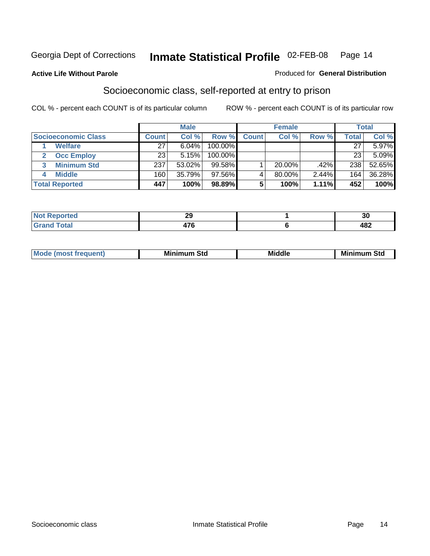#### **Active Life Without Parole**

#### Produced for **General Distribution**

### Socioeconomic class, self-reported at entry to prison

|                            | <b>Male</b>  |        | <b>Female</b> |              |           | <b>Total</b> |              |        |
|----------------------------|--------------|--------|---------------|--------------|-----------|--------------|--------------|--------|
| <b>Socioeconomic Class</b> | <b>Count</b> | Col %  | Row %         | <b>Count</b> | Col %     | Row %        | <b>Total</b> | Col %  |
| <b>Welfare</b>             | 27           | 6.04%  | 100.00%       |              |           |              | 27           | 5.97%  |
| <b>Occ Employ</b>          | 23           | 5.15%  | $100.00\%$    |              |           |              | 23           | 5.09%  |
| <b>Minimum Std</b>         | 237          | 53.02% | $99.58\%$     |              | $20.00\%$ | .42%         | 238          | 52.65% |
| <b>Middle</b>              | 160          | 35.79% | 97.56%I       |              | 80.00%    | 2.44%        | 164          | 36.28% |
| <b>Total Reported</b>      | 447          | 100%   | 98.89%        |              | 100%      | 1.11%        | 452          | 100%   |

| ساسية المساء<br>тео | ົ<br>23 | - -<br>. .<br>vu |
|---------------------|---------|------------------|
| Contact:<br>_       | ---     | ៱៰៱<br>40Z       |

| M<br>Mir<br>Mi<br><b>Middle</b><br><b>C</b> ta<br>Sta<br>əτu<br>.<br>the contract of the contract of the contract of the contract of the contract of the contract of the contract of<br>- - - - |
|-------------------------------------------------------------------------------------------------------------------------------------------------------------------------------------------------|
|-------------------------------------------------------------------------------------------------------------------------------------------------------------------------------------------------|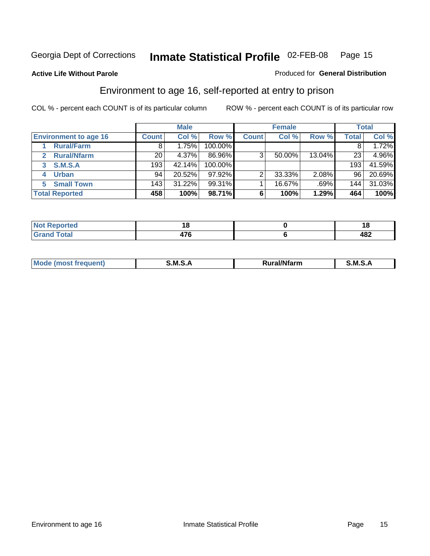**Active Life Without Parole** 

#### Produced for **General Distribution**

### Environment to age 16, self-reported at entry to prison

|                                      |              | <b>Male</b> |            |              | <b>Female</b> |        |              | <b>Total</b> |
|--------------------------------------|--------------|-------------|------------|--------------|---------------|--------|--------------|--------------|
| <b>Environment to age 16</b>         | <b>Count</b> | Col %       | Row %      | <b>Count</b> | Col %         | Row %  | <b>Total</b> | Col %        |
| <b>Rural/Farm</b>                    | 8            | 1.75%       | 100.00%    |              |               |        |              | 1.72%        |
| <b>Rural/Nfarm</b><br>$\overline{2}$ | 20           | 4.37%       | 86.96%     | 3            | 50.00%        | 13.04% | 23           | 4.96%        |
| <b>S.M.S.A</b><br>3                  | 193          | 42.14%      | $100.00\%$ |              |               |        | 193          | 41.59%       |
| <b>Urban</b>                         | 94           | 20.52%      | $97.92\%$  |              | 33.33%        | 2.08%  | 96           | 20.69%       |
| <b>Small Town</b><br>5.              | 143          | 31.22%      | 99.31%     |              | 16.67%        | .69%   | 144          | 31.03%       |
| <b>Total Reported</b>                | 458          | 100%        | 98.71%     | 6            | 100%          | 1.29%  | 464          | 100%         |

| Reported<br>Not       |   | ıo  |
|-----------------------|---|-----|
| <b>Total</b><br>Grand | . | 482 |

| Mo<br>זחנ | M<br>.<br>______ | $1.3.14 \times 10^{18}$<br>. Ifara<br>arm | -<br>M<br>______ |
|-----------|------------------|-------------------------------------------|------------------|
|           |                  |                                           |                  |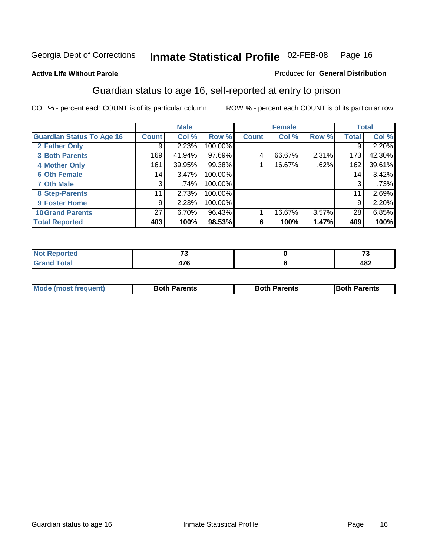#### **Active Life Without Parole**

#### Produced for **General Distribution**

### Guardian status to age 16, self-reported at entry to prison

|                                  |                 | <b>Male</b> |         |              | <b>Female</b> |       |              | <b>Total</b> |
|----------------------------------|-----------------|-------------|---------|--------------|---------------|-------|--------------|--------------|
| <b>Guardian Status To Age 16</b> | <b>Count</b>    | Col %       | Row %   | <b>Count</b> | Col %         | Row % | <b>Total</b> | Col %        |
| 2 Father Only                    | 9               | 2.23%       | 100.00% |              |               |       | 9            | 2.20%        |
| <b>3 Both Parents</b>            | 169             | 41.94%      | 97.69%  | 4            | 66.67%        | 2.31% | 173          | 42.30%       |
| <b>4 Mother Only</b>             | 161             | 39.95%      | 99.38%  |              | 16.67%        | .62%  | 162          | 39.61%       |
| <b>6 Oth Female</b>              | 14              | $3.47\%$    | 100.00% |              |               |       | 14           | 3.42%        |
| <b>7 Oth Male</b>                | 3               | .74%        | 100.00% |              |               |       | 3            | .73%         |
| 8 Step-Parents                   | 11              | 2.73%       | 100.00% |              |               |       | 11           | 2.69%        |
| 9 Foster Home                    | 9               | 2.23%       | 100.00% |              |               |       | 9            | 2.20%        |
| <b>10 Grand Parents</b>          | 27 <sup>1</sup> | 6.70%       | 96.43%  |              | 16.67%        | 3.57% | 28           | 6.85%        |
| <b>Total Reported</b>            | 403             | 100%        | 98.53%  | 6            | 100%          | 1.47% | 409          | 100%         |

| .<br>тес. | $-$                             | $\sim$     |
|-----------|---------------------------------|------------|
|           | $\rightarrow$<br>41 V<br>$\sim$ | ៱៰៱<br>404 |

| <b>Mode (most frequent)</b> | <b>Both Parents</b> | <b>Both Parents</b> | <b>IBoth Parents</b> |
|-----------------------------|---------------------|---------------------|----------------------|
|                             |                     |                     |                      |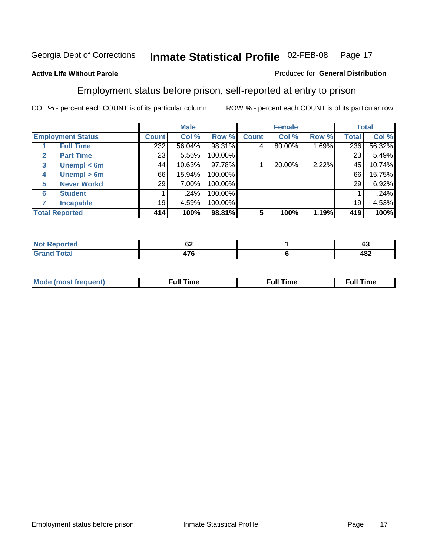#### **Active Life Without Parole**

#### Produced for **General Distribution**

### Employment status before prison, self-reported at entry to prison

|                       |                          | <b>Male</b> |        | <b>Female</b> |              |        | <b>Total</b> |              |        |
|-----------------------|--------------------------|-------------|--------|---------------|--------------|--------|--------------|--------------|--------|
|                       | <b>Employment Status</b> | Count⊺      | Col %  | Row %         | <b>Count</b> | Col %  | Row %        | <b>Total</b> | Col %  |
|                       | <b>Full Time</b>         | 232         | 56.04% | 98.31%        | 4            | 80.00% | 1.69%        | 236          | 56.32% |
| $\mathbf{2}$          | <b>Part Time</b>         | 23          | 5.56%  | 100.00%       |              |        |              | 23           | 5.49%  |
| 3                     | Unempl $<$ 6m            | 44          | 10.63% | 97.78%        |              | 20.00% | 2.22%        | 45           | 10.74% |
| 4                     | Unempl $> 6m$            | 66          | 15.94% | 100.00%       |              |        |              | 66           | 15.75% |
| 5                     | <b>Never Workd</b>       | 29          | 7.00%  | 100.00%       |              |        |              | 29           | 6.92%  |
| 6                     | <b>Student</b>           |             | .24%   | 100.00%       |              |        |              |              | .24%   |
|                       | <b>Incapable</b>         | 19          | 4.59%  | 100.00%       |              |        |              | 19           | 4.53%  |
| <b>Total Reported</b> |                          | 414         | 100%   | 98.81%        | 5            | 100%   | 1.19%        | 419          | 100%   |

| тео.          | ^^<br>VZ      | $\sim$<br>υJ |
|---------------|---------------|--------------|
| <b>Coto</b> " | $\rightarrow$ | 400          |
| _______       | $\cdots$      | 40Z          |

| <b>M</b> ດ | the contract of the contract of the contract of the contract of the contract of the contract of the contract of | , ull i<br>ıme<br>the contract of the contract of the contract of the contract of the contract of the contract of the contract of | ïme<br>uı<br>$\sim$ $\sim$ $\sim$ $\sim$ $\sim$ |
|------------|-----------------------------------------------------------------------------------------------------------------|-----------------------------------------------------------------------------------------------------------------------------------|-------------------------------------------------|
|            |                                                                                                                 |                                                                                                                                   |                                                 |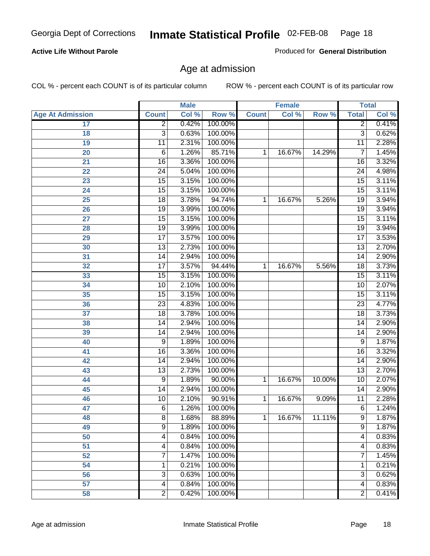#### **Active Life Without Parole**

Produced for **General Distribution**

### Age at admission

|                         |                         | <b>Male</b> |         |              | <b>Female</b> |        |                 | <b>Total</b> |
|-------------------------|-------------------------|-------------|---------|--------------|---------------|--------|-----------------|--------------|
| <b>Age At Admission</b> | <b>Count</b>            | Col %       | Row %   | <b>Count</b> | Col %         | Row %  | <b>Total</b>    | Col %        |
| 17                      | $\overline{2}$          | 0.42%       | 100.00% |              |               |        | 2               | 0.41%        |
| 18                      | $\overline{3}$          | 0.63%       | 100.00% |              |               |        | $\overline{3}$  | 0.62%        |
| 19                      | $\overline{11}$         | 2.31%       | 100.00% |              |               |        | $\overline{11}$ | 2.28%        |
| 20                      | 6                       | 1.26%       | 85.71%  | 1            | 16.67%        | 14.29% | 7               | 1.45%        |
| $\overline{21}$         | 16                      | 3.36%       | 100.00% |              |               |        | 16              | 3.32%        |
| $\overline{22}$         | $\overline{24}$         | 5.04%       | 100.00% |              |               |        | $\overline{24}$ | 4.98%        |
| 23                      | $\overline{15}$         | 3.15%       | 100.00% |              |               |        | $\overline{15}$ | 3.11%        |
| 24                      | $\overline{15}$         | 3.15%       | 100.00% |              |               |        | $\overline{15}$ | 3.11%        |
| 25                      | $\overline{18}$         | 3.78%       | 94.74%  | 1            | 16.67%        | 5.26%  | 19              | 3.94%        |
| 26                      | $\overline{19}$         | 3.99%       | 100.00% |              |               |        | 19              | 3.94%        |
| 27                      | $\overline{15}$         | 3.15%       | 100.00% |              |               |        | $\overline{15}$ | 3.11%        |
| 28                      | $\overline{19}$         | 3.99%       | 100.00% |              |               |        | $\overline{19}$ | 3.94%        |
| 29                      | $\overline{17}$         | 3.57%       | 100.00% |              |               |        | $\overline{17}$ | 3.53%        |
| 30                      | $\overline{13}$         | 2.73%       | 100.00% |              |               |        | $\overline{13}$ | 2.70%        |
| 31                      | $\overline{14}$         | 2.94%       | 100.00% |              |               |        | $\overline{14}$ | 2.90%        |
| 32                      | $\overline{17}$         | 3.57%       | 94.44%  | 1            | 16.67%        | 5.56%  | $\overline{18}$ | 3.73%        |
| 33                      | $\overline{15}$         | 3.15%       | 100.00% |              |               |        | 15              | 3.11%        |
| 34                      | $\overline{10}$         | 2.10%       | 100.00% |              |               |        | 10              | 2.07%        |
| 35                      | $\overline{15}$         | 3.15%       | 100.00% |              |               |        | $\overline{15}$ | 3.11%        |
| 36                      | $\overline{23}$         | 4.83%       | 100.00% |              |               |        | $\overline{23}$ | 4.77%        |
| $\overline{37}$         | $\overline{18}$         | 3.78%       | 100.00% |              |               |        | $\overline{18}$ | 3.73%        |
| 38                      | $\overline{14}$         | 2.94%       | 100.00% |              |               |        | $\overline{14}$ | 2.90%        |
| 39                      | $\overline{14}$         | 2.94%       | 100.00% |              |               |        | $\overline{14}$ | 2.90%        |
| 40                      | 9                       | 1.89%       | 100.00% |              |               |        | 9               | 1.87%        |
| 41                      | 16                      | 3.36%       | 100.00% |              |               |        | 16              | 3.32%        |
| 42                      | $\overline{14}$         | 2.94%       | 100.00% |              |               |        | 14              | 2.90%        |
| 43                      | $\overline{13}$         | 2.73%       | 100.00% |              |               |        | $\overline{13}$ | 2.70%        |
| 44                      | 9                       | 1.89%       | 90.00%  | 1            | 16.67%        | 10.00% | $\overline{10}$ | 2.07%        |
| 45                      | $\overline{14}$         | 2.94%       | 100.00% |              |               |        | 14              | 2.90%        |
| 46                      | $\overline{10}$         | 2.10%       | 90.91%  | 1            | 16.67%        | 9.09%  | $\overline{11}$ | 2.28%        |
| 47                      | $\overline{6}$          | 1.26%       | 100.00% |              |               |        | $\overline{6}$  | 1.24%        |
| 48                      | 8                       | 1.68%       | 88.89%  | 1            | 16.67%        | 11.11% | 9               | 1.87%        |
| 49                      | 9                       | 1.89%       | 100.00% |              |               |        | $\overline{9}$  | 1.87%        |
| $\overline{50}$         | $\overline{4}$          | 0.84%       | 100.00% |              |               |        | 4               | 0.83%        |
| $\overline{51}$         | 4                       | 0.84%       | 100.00% |              |               |        | 4               | 0.83%        |
| 52                      | 7                       | 1.47%       | 100.00% |              |               |        | 7               | 1.45%        |
| 54                      | 1                       | 0.21%       | 100.00% |              |               |        | 1               | 0.21%        |
| 56                      | $\overline{3}$          | 0.63%       | 100.00% |              |               |        | $\overline{3}$  | 0.62%        |
| $\overline{57}$         | $\overline{\mathbf{4}}$ | 0.84%       | 100.00% |              |               |        | $\overline{4}$  | 0.83%        |
| 58                      | $\overline{2}$          | 0.42%       | 100.00% |              |               |        | $\overline{2}$  | 0.41%        |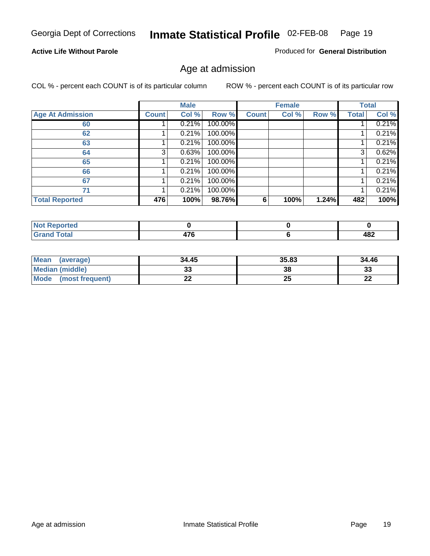#### **Active Life Without Parole**

Produced for **General Distribution**

### Age at admission

|                         |              | <b>Male</b> |         |              | <b>Female</b> |       |              | <b>Total</b> |
|-------------------------|--------------|-------------|---------|--------------|---------------|-------|--------------|--------------|
| <b>Age At Admission</b> | <b>Count</b> | Col %       | Row %   | <b>Count</b> | Col %         | Row % | <b>Total</b> | Col %        |
| 60                      |              | 0.21%       | 100.00% |              |               |       |              | 0.21%        |
| 62                      |              | 0.21%       | 100.00% |              |               |       |              | 0.21%        |
| 63                      |              | 0.21%       | 100.00% |              |               |       |              | 0.21%        |
| 64                      | 3            | 0.63%       | 100.00% |              |               |       | 3            | 0.62%        |
| 65                      |              | 0.21%       | 100.00% |              |               |       |              | 0.21%        |
| 66                      |              | 0.21%       | 100.00% |              |               |       |              | 0.21%        |
| 67                      |              | 0.21%       | 100.00% |              |               |       |              | 0.21%        |
| 71                      |              | 0.21%       | 100.00% |              |               |       |              | 0.21%        |
| <b>Total Reported</b>   | 476          | 100%        | 98.76%  | 6            | 100%          | 1.24% | 482          | 100%         |

| <b>eported</b>                         |           |     |
|----------------------------------------|-----------|-----|
| <b>Total</b><br>Cron<br><b>U</b> ldilu | --<br>. . | 482 |

| Mean<br>(average)       | 34.45 | 35.83 | 34.46 |
|-------------------------|-------|-------|-------|
| Median (middle)         |       | 38    | 33    |
| Mode<br>(most frequent) | - -   | 25    | n.    |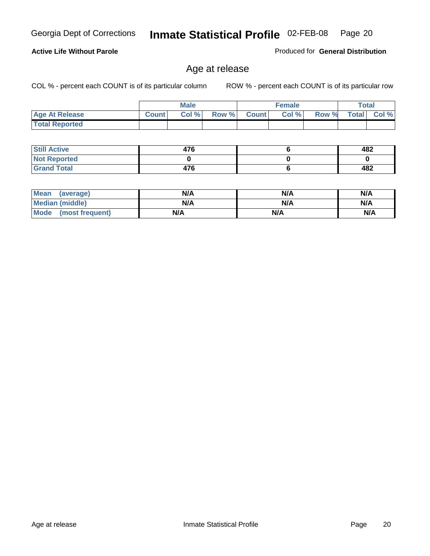**Active Life Without Parole** 

Georgia Dept of Corrections **Inmate Statistical Profile** 02-FEB-08 Page 20

Produced for **General Distribution**

### Age at release

|                       |              | <b>Male</b> |       |              | <b>Female</b> |       |              | <b>Total</b> |
|-----------------------|--------------|-------------|-------|--------------|---------------|-------|--------------|--------------|
| <b>Age At Release</b> | <b>Count</b> | Col%        | Row % | <b>Count</b> | Col%          | Row % | <b>Total</b> | Col %        |
| <b>Total Reported</b> |              |             |       |              |               |       |              |              |

| <b>Still Active</b> | 476 | 482 |
|---------------------|-----|-----|
| <b>Not Reported</b> |     |     |
| <b>Grand Total</b>  | 476 | 482 |

| Mean<br>(average)      | N/A | N/A | N/A |
|------------------------|-----|-----|-----|
| <b>Median (middle)</b> | N/A | N/A | N/A |
| Mode (most frequent)   | N/A | N/A | N/A |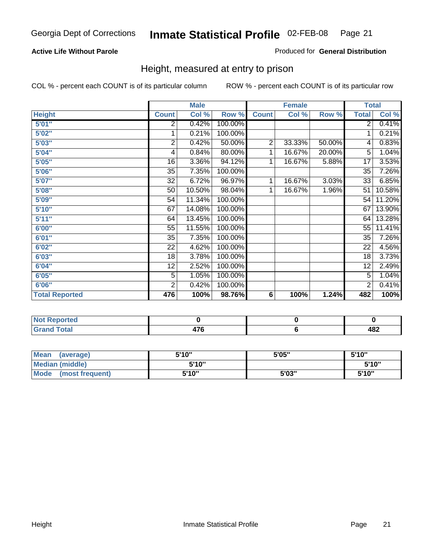#### **Active Life Without Parole**

#### Produced for **General Distribution**

### Height, measured at entry to prison

|                       |                | <b>Male</b> |         |                | <b>Female</b> |        | <b>Total</b>    |        |
|-----------------------|----------------|-------------|---------|----------------|---------------|--------|-----------------|--------|
| <b>Height</b>         | <b>Count</b>   | Col %       | Row %   | <b>Count</b>   | Col %         | Row %  | <b>Total</b>    | Col %  |
| 5'01''                | 2              | 0.42%       | 100.00% |                |               |        | $\overline{2}$  | 0.41%  |
| 5'02"                 | 1              | 0.21%       | 100.00% |                |               |        | 1               | 0.21%  |
| 5'03"                 | $\overline{2}$ | 0.42%       | 50.00%  | $\overline{2}$ | 33.33%        | 50.00% | 4               | 0.83%  |
| 5'04"                 | 4              | 0.84%       | 80.00%  | 1              | 16.67%        | 20.00% | $\overline{5}$  | 1.04%  |
| 5'05"                 | 16             | 3.36%       | 94.12%  | 1              | 16.67%        | 5.88%  | 17              | 3.53%  |
| 5'06"                 | 35             | 7.35%       | 100.00% |                |               |        | $\overline{35}$ | 7.26%  |
| 5'07''                | 32             | 6.72%       | 96.97%  | 1              | 16.67%        | 3.03%  | 33              | 6.85%  |
| 5'08"                 | 50             | 10.50%      | 98.04%  | 1              | 16.67%        | 1.96%  | 51              | 10.58% |
| <b>5'09"</b>          | 54             | 11.34%      | 100.00% |                |               |        | 54              | 11.20% |
| 5'10''                | 67             | 14.08%      | 100.00% |                |               |        | 67              | 13.90% |
| 5'11''                | 64             | 13.45%      | 100.00% |                |               |        | 64              | 13.28% |
| 6'00"                 | 55             | 11.55%      | 100.00% |                |               |        | 55              | 11.41% |
| 6'01''                | 35             | 7.35%       | 100.00% |                |               |        | 35              | 7.26%  |
| 6'02"                 | 22             | 4.62%       | 100.00% |                |               |        | 22              | 4.56%  |
| 6'03"                 | 18             | 3.78%       | 100.00% |                |               |        | 18              | 3.73%  |
| 6'04"                 | 12             | 2.52%       | 100.00% |                |               |        | 12              | 2.49%  |
| 6'05"                 | 5              | 1.05%       | 100.00% |                |               |        | 5               | 1.04%  |
| 6'06"                 | $\overline{2}$ | 0.42%       | 100.00% |                |               |        | 2               | 0.41%  |
| <b>Total Reported</b> | 476            | 100%        | 98.76%  | 6              | 100%          | 1.24%  | 482             | 100%   |

| τeα<br>.          |                   |            |
|-------------------|-------------------|------------|
| -4-<br>-<br>_____ | $1 - c$<br>$\sim$ | 18つ<br>40Z |

| Mean<br>(average)              | 5'10" | 5'05" | 5'10"  |
|--------------------------------|-------|-------|--------|
| Median (middle)                | 5'10" |       | 5'10'' |
| <b>Mode</b><br>(most frequent) | 5'10" | 5'03" | 5'10'' |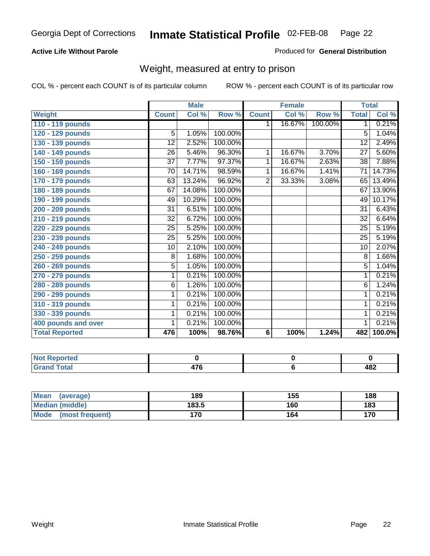#### **Active Life Without Parole**

#### Produced for **General Distribution**

### Weight, measured at entry to prison

|                       |                 | <b>Male</b> |         |                | <b>Female</b> |         |                 | <b>Total</b> |
|-----------------------|-----------------|-------------|---------|----------------|---------------|---------|-----------------|--------------|
| <b>Weight</b>         | <b>Count</b>    | Col %       | Row %   | <b>Count</b>   | Col %         | Row %   | <b>Total</b>    | Col %        |
| 110 - 119 pounds      |                 |             |         | 1.             | 16.67%        | 100.00% | 1               | 0.21%        |
| 120 - 129 pounds      | 5               | 1.05%       | 100.00% |                |               |         | 5               | 1.04%        |
| 130 - 139 pounds      | 12              | 2.52%       | 100.00% |                |               |         | 12              | 2.49%        |
| 140 - 149 pounds      | 26              | 5.46%       | 96.30%  | 1.             | 16.67%        | 3.70%   | $\overline{27}$ | 5.60%        |
| 150 - 159 pounds      | 37              | 7.77%       | 97.37%  | 1              | 16.67%        | 2.63%   | 38              | 7.88%        |
| 160 - 169 pounds      | $\overline{70}$ | 14.71%      | 98.59%  | 1              | 16.67%        | 1.41%   | $\overline{71}$ | 14.73%       |
| 170 - 179 pounds      | 63              | 13.24%      | 96.92%  | $\overline{2}$ | 33.33%        | 3.08%   | 65              | 13.49%       |
| 180 - 189 pounds      | 67              | 14.08%      | 100.00% |                |               |         | 67              | 13.90%       |
| 190 - 199 pounds      | 49              | 10.29%      | 100.00% |                |               |         | 49              | 10.17%       |
| 200 - 209 pounds      | $\overline{31}$ | 6.51%       | 100.00% |                |               |         | $\overline{31}$ | 6.43%        |
| 210 - 219 pounds      | 32              | 6.72%       | 100.00% |                |               |         | 32              | 6.64%        |
| 220 - 229 pounds      | 25              | 5.25%       | 100.00% |                |               |         | $\overline{25}$ | 5.19%        |
| 230 - 239 pounds      | 25              | 5.25%       | 100.00% |                |               |         | 25              | 5.19%        |
| 240 - 249 pounds      | 10              | 2.10%       | 100.00% |                |               |         | 10              | 2.07%        |
| 250 - 259 pounds      | 8               | 1.68%       | 100.00% |                |               |         | 8               | 1.66%        |
| 260 - 269 pounds      | $\overline{5}$  | 1.05%       | 100.00% |                |               |         | 5               | 1.04%        |
| 270 - 279 pounds      | 1               | 0.21%       | 100.00% |                |               |         | 1               | 0.21%        |
| 280 - 289 pounds      | 6               | 1.26%       | 100.00% |                |               |         | $\overline{6}$  | 1.24%        |
| 290 - 299 pounds      | 1               | 0.21%       | 100.00% |                |               |         | 1               | 0.21%        |
| 310 - 319 pounds      | 1               | 0.21%       | 100.00% |                |               |         | 1               | 0.21%        |
| 330 - 339 pounds      | 1               | 0.21%       | 100.00% |                |               |         | 1               | 0.21%        |
| 400 pounds and over   | 1               | 0.21%       | 100.00% |                |               |         | 1               | 0.21%        |
| <b>Total Reported</b> | 476             | 100%        | 98.76%  | 6              | 100%          | 1.24%   | 482             | 100.0%       |

| Reported<br><b>NOT</b>  |    |            |
|-------------------------|----|------------|
| <b>otal</b><br>$\sim$ . | -- | ៱៰៱<br>40Z |

| <b>Mean</b><br>(average)       | 189   | 155 | 188 |
|--------------------------------|-------|-----|-----|
| <b>Median (middle)</b>         | 183.5 | 160 | 183 |
| <b>Mode</b><br>(most frequent) | 170   | 164 | 170 |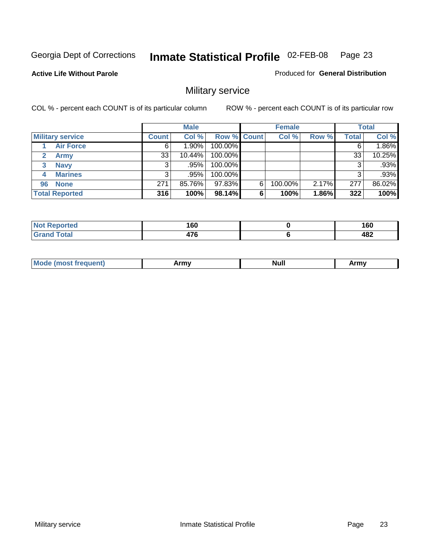**Active Life Without Parole** 

Produced for **General Distribution**

### Military service

|                         |              | <b>Male</b> |                    |   | <b>Female</b> |       |       | <b>Total</b> |
|-------------------------|--------------|-------------|--------------------|---|---------------|-------|-------|--------------|
| <b>Military service</b> | <b>Count</b> | Col %       | <b>Row % Count</b> |   | Col %         | Row % | Total | Col %        |
| <b>Air Force</b>        | 6            | $1.90\%$    | 100.00%            |   |               |       |       | 1.86%        |
| <b>Army</b>             | 33           | $10.44\%$   | 100.00%            |   |               |       | 33    | 10.25%       |
| <b>Navy</b><br>3        |              | $.95\%$     | 100.00%            |   |               |       |       | .93%         |
| <b>Marines</b><br>4     | 3            | .95%        | 100.00%            |   |               |       | 3     | .93%         |
| 96 None                 | 271          | 85.76%      | 97.83%             | 6 | 100.00%       | 2.17% | 277   | 86.02%       |
| <b>Total Reported</b>   | 316          | 100%        | 98.14%             | 6 | 100%          | 1.86% | 322   | 100%         |

| orted | A CO<br>∣ ∪u<br>__ | 160<br>- - |
|-------|--------------------|------------|
| Coto! | $\rightarrow$      | 482        |

| M<br><b>IVUII</b><br>.<br>. |
|-----------------------------|
|-----------------------------|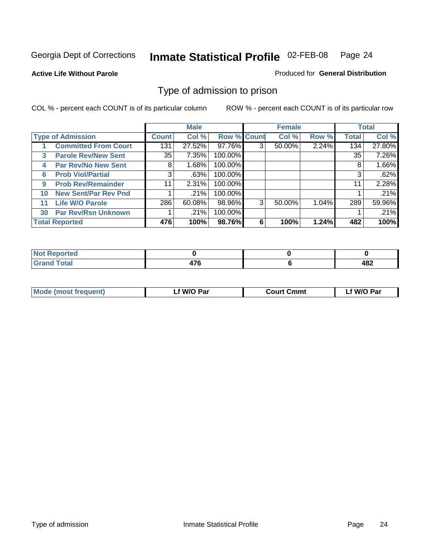#### **Active Life Without Parole**

#### Produced for **General Distribution**

### Type of admission to prison

|    |                             |              | <b>Male</b> |                    |   | <b>Female</b> |       |              | <b>Total</b> |
|----|-----------------------------|--------------|-------------|--------------------|---|---------------|-------|--------------|--------------|
|    | <b>Type of Admission</b>    | <b>Count</b> | Col %       | <b>Row % Count</b> |   | Col %         | Row % | <b>Total</b> | Col %        |
|    | <b>Committed From Court</b> | 131          | 27.52%      | 97.76%             | 3 | 50.00%        | 2.24% | 134          | 27.80%       |
| 3  | <b>Parole Rev/New Sent</b>  | 35           | 7.35%       | 100.00%            |   |               |       | 35           | 7.26%        |
| 4  | <b>Par Rev/No New Sent</b>  | 8            | 1.68%       | 100.00%            |   |               |       | 8            | 1.66%        |
| 6  | <b>Prob Viol/Partial</b>    | 3            | .63%        | 100.00%            |   |               |       | 3            | .62%         |
| 9  | <b>Prob Rev/Remainder</b>   | 11           | 2.31%       | 100.00%            |   |               |       | 11           | 2.28%        |
| 10 | <b>New Sent/Par Rev Pnd</b> |              | .21%        | 100.00%            |   |               |       |              | .21%         |
| 11 | <b>Life W/O Parole</b>      | 286          | 60.08%      | 98.96%             | 3 | 50.00%        | 1.04% | 289          | 59.96%       |
| 30 | <b>Par Rev/Rsn Unknown</b>  |              | .21%        | 100.00%            |   |               |       |              | .21%         |
|    | <b>Total Reported</b>       | 476          | 100%        | 98.76%             | 6 | 100%          | 1.24% | 482          | 100%         |

| <b>eported</b><br>NOT                           |             |            |
|-------------------------------------------------|-------------|------------|
| <b>Total</b><br>Gra<br>$\sim$ . $\sim$ . $\sim$ | $- \bullet$ | ៱៰៱<br>40Z |

| <b>Mode (most frequent)</b> | <b>W/O Par</b> | <b>Court Cmmt</b> | M/O Par |
|-----------------------------|----------------|-------------------|---------|
|                             |                |                   |         |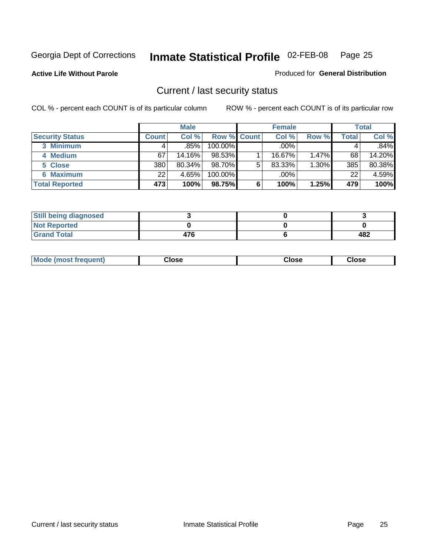**Active Life Without Parole** 

Produced for **General Distribution**

### Current / last security status

|                        |         | <b>Male</b> |                    |   | <b>Female</b> |          |       | <b>Total</b> |
|------------------------|---------|-------------|--------------------|---|---------------|----------|-------|--------------|
| <b>Security Status</b> | Count l | Col %       | <b>Row % Count</b> |   | Col %         | Row %    | Total | Col %        |
| 3 Minimum              |         | .85%        | $100.00\%$         |   | .00%          |          |       | $.84\%$      |
| 4 Medium               | 67      | 14.16%      | 98.53%             |   | 16.67%        | $1.47\%$ | 68    | 14.20%       |
| 5 Close                | 380     | 80.34%      | 98.70%             | 5 | 83.33%        | $1.30\%$ | 385   | 80.38%       |
| <b>6 Maximum</b>       | 22      | 4.65%       | 100.00%            |   | .00%          |          | 22    | 4.59%        |
| <b>Total Reported</b>  | 473     | 100%        | 98.75%             | 6 | 100%          | 1.25%    | 479   | 100%         |

| <b>Still being diagnosed</b> |     |     |
|------------------------------|-----|-----|
| <b>Not Reported</b>          |     |     |
| <b>Grand Total</b>           | 476 | 482 |

|  | Mo<br>frequent)<br>ww | Close<br>. | ાose<br>. | <b>OSE</b><br>. |
|--|-----------------------|------------|-----------|-----------------|
|--|-----------------------|------------|-----------|-----------------|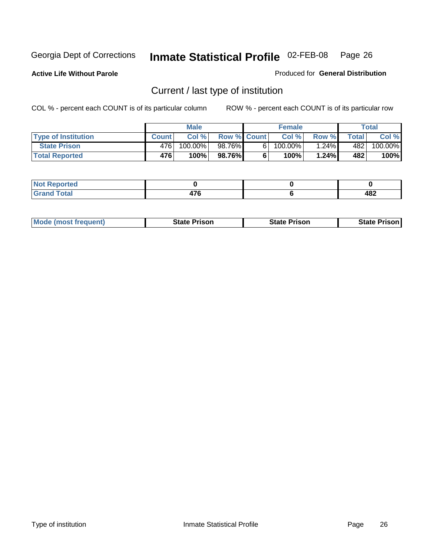**Active Life Without Parole** 

Produced for **General Distribution**

### Current / last type of institution

|                            |              | <b>Male</b> |                    | <b>Female</b> |          |              | Total   |
|----------------------------|--------------|-------------|--------------------|---------------|----------|--------------|---------|
| <b>Type of Institution</b> | <b>Count</b> | Col %       | <b>Row % Count</b> | Col %         | Row %    | <b>Total</b> | Col %   |
| <b>State Prison</b>        | 476          | 100.00%     | 98.76%             | $100.00\%$    | $1.24\%$ | 4821         | 100.00% |
| <b>Total Reported</b>      | 476          | 100%        | 98.76%             | 100%          | 1.24%    | 482          | 100%    |

| المراجع بالتعبير<br>rtea<br>$\sim$ |                                |            |
|------------------------------------|--------------------------------|------------|
| $\sim$ $\sim$<br>-----             | $\rightarrow$<br>. .<br>$\sim$ | ៱៰៱<br>TUŁ |

|  | <b>Mode (most frequent)</b> | State Prison | <b>State Prison</b> | <b>State Prison</b> |
|--|-----------------------------|--------------|---------------------|---------------------|
|--|-----------------------------|--------------|---------------------|---------------------|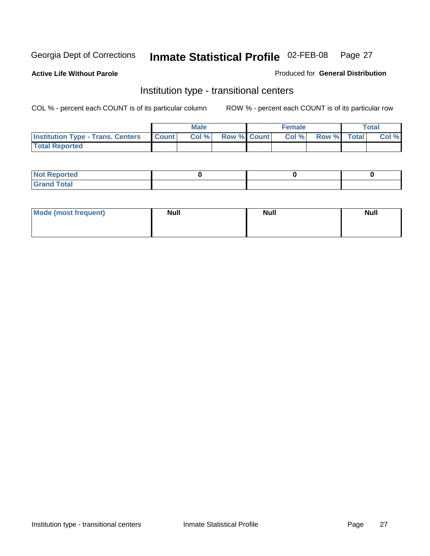**Active Life Without Parole** 

Produced for **General Distribution**

### Institution type - transitional centers

|                                          |              | <b>Male</b> |                    | <b>Female</b> |             | Total |
|------------------------------------------|--------------|-------------|--------------------|---------------|-------------|-------|
| <b>Institution Type - Trans. Centers</b> | <b>Count</b> | Col %       | <b>Row % Count</b> | Col %         | Row % Total | Col % |
| <b>Total Reported</b>                    |              |             |                    |               |             |       |

| <b>Not Reported</b>  |  |  |
|----------------------|--|--|
| <b>Total</b><br>Cror |  |  |

| Mode (most frequent) | <b>Null</b> | <b>Null</b> | <b>Null</b> |
|----------------------|-------------|-------------|-------------|
|                      |             |             |             |
|                      |             |             |             |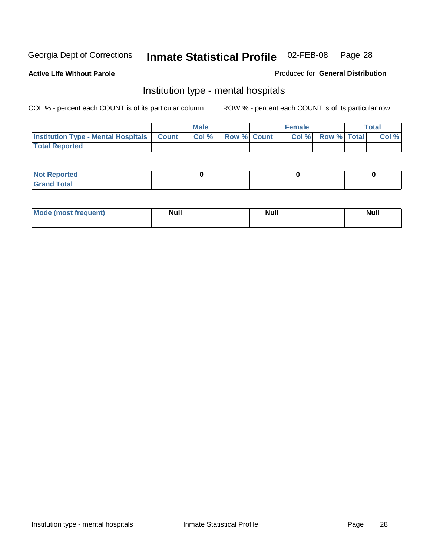**Active Life Without Parole** 

Produced for **General Distribution**

### Institution type - mental hospitals

|                                                  | <b>Male</b> |                    | <b>Female</b> |                   | <b>Total</b> |
|--------------------------------------------------|-------------|--------------------|---------------|-------------------|--------------|
| <b>Institution Type - Mental Hospitals Count</b> | Col%        | <b>Row % Count</b> |               | Col % Row % Total | Col %        |
| <b>Total Reported</b>                            |             |                    |               |                   |              |

| <b>Not Reported</b> |  |  |
|---------------------|--|--|
| <b>Fotal</b><br>Cro |  |  |

| Mode (most frequent) | <b>Null</b> | <b>Null</b> | <b>Null</b> |
|----------------------|-------------|-------------|-------------|
|                      |             |             |             |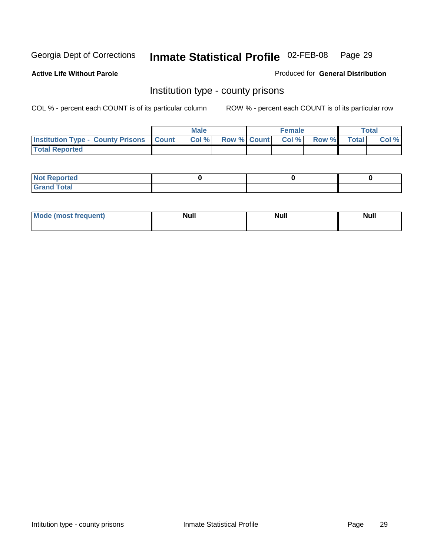**Active Life Without Parole** 

Produced for **General Distribution**

### Institution type - county prisons

|                                                    | <b>Male</b> |                          | <b>Female</b> |       |              | Total |
|----------------------------------------------------|-------------|--------------------------|---------------|-------|--------------|-------|
| <b>Institution Type - County Prisons   Count  </b> | Col %       | <b>Row % Count Col %</b> |               | Row % | <b>Total</b> | Col % |
| <b>Total Reported</b>                              |             |                          |               |       |              |       |

| <b>Not</b><br><b>Reported</b> |  |  |
|-------------------------------|--|--|
| <b>Grand Total</b>            |  |  |

| <b>Mo</b><br>frequent) | NI. . II<br>1u 11 | <b>Moll</b> | <b>Null</b> |
|------------------------|-------------------|-------------|-------------|
|                        |                   |             |             |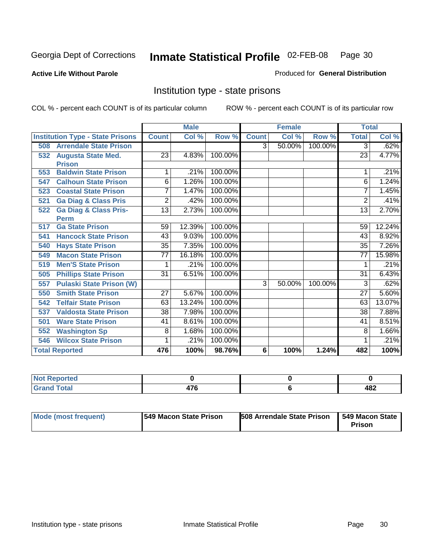**Active Life Without Parole** 

Produced for **General Distribution**

### Institution type - state prisons

|     |                                         | <b>Male</b><br><b>Female</b> |        | <b>Total</b> |                |        |         |                 |        |
|-----|-----------------------------------------|------------------------------|--------|--------------|----------------|--------|---------|-----------------|--------|
|     | <b>Institution Type - State Prisons</b> | <b>Count</b>                 | Col %  | Row %        | <b>Count</b>   | Col %  | Row %   | <b>Total</b>    | Col %  |
| 508 | <b>Arrendale State Prison</b>           |                              |        |              | 3              | 50.00% | 100.00% | 3               | .62%   |
| 532 | <b>Augusta State Med.</b>               | 23                           | 4.83%  | 100.00%      |                |        |         | 23              | 4.77%  |
|     | <b>Prison</b>                           |                              |        |              |                |        |         |                 |        |
| 553 | <b>Baldwin State Prison</b>             | 1                            | .21%   | 100.00%      |                |        |         |                 | .21%   |
| 547 | <b>Calhoun State Prison</b>             | 6                            | 1.26%  | 100.00%      |                |        |         | 6               | 1.24%  |
| 523 | <b>Coastal State Prison</b>             | 7                            | 1.47%  | 100.00%      |                |        |         | 7               | 1.45%  |
| 521 | <b>Ga Diag &amp; Class Pris</b>         | $\overline{2}$               | .42%   | 100.00%      |                |        |         | 2               | .41%   |
| 522 | <b>Ga Diag &amp; Class Pris-</b>        | $\overline{13}$              | 2.73%  | 100.00%      |                |        |         | 13              | 2.70%  |
|     | <b>Perm</b>                             |                              |        |              |                |        |         |                 |        |
| 517 | <b>Ga State Prison</b>                  | 59                           | 12.39% | 100.00%      |                |        |         | 59              | 12.24% |
| 541 | <b>Hancock State Prison</b>             | 43                           | 9.03%  | 100.00%      |                |        |         | 43              | 8.92%  |
| 540 | <b>Hays State Prison</b>                | $\overline{35}$              | 7.35%  | 100.00%      |                |        |         | $\overline{35}$ | 7.26%  |
| 549 | <b>Macon State Prison</b>               | 77                           | 16.18% | 100.00%      |                |        |         | 77              | 15.98% |
| 519 | <b>Men'S State Prison</b>               | 1                            | .21%   | 100.00%      |                |        |         |                 | .21%   |
| 505 | <b>Phillips State Prison</b>            | 31                           | 6.51%  | 100.00%      |                |        |         | 31              | 6.43%  |
| 557 | <b>Pulaski State Prison (W)</b>         |                              |        |              | $\overline{3}$ | 50.00% | 100.00% | 3               | .62%   |
| 550 | <b>Smith State Prison</b>               | 27                           | 5.67%  | 100.00%      |                |        |         | 27              | 5.60%  |
| 542 | <b>Telfair State Prison</b>             | 63                           | 13.24% | 100.00%      |                |        |         | 63              | 13.07% |
| 537 | <b>Valdosta State Prison</b>            | 38                           | 7.98%  | 100.00%      |                |        |         | 38              | 7.88%  |
| 501 | <b>Ware State Prison</b>                | 41                           | 8.61%  | 100.00%      |                |        |         | 41              | 8.51%  |
| 552 | <b>Washington Sp</b>                    | 8                            | 1.68%  | 100.00%      |                |        |         | 8               | 1.66%  |
| 546 | <b>Wilcox State Prison</b>              |                              | .21%   | 100.00%      |                |        |         |                 | .21%   |
|     | <b>Total Reported</b>                   | 476                          | 100%   | 98.76%       | 6              | 100%   | 1.24%   | 482             | 100%   |

| <b>Reported</b>                                 |                    |            |
|-------------------------------------------------|--------------------|------------|
| <b>Total</b><br>Gra<br>$\sim$ . $\sim$ . $\sim$ | $\rightarrow$<br>w | ៱៰៱<br>40Z |

| Mode (most frequent) | 1549 Macon State Prison | <b>508 Arrendale State Prison</b> | 549 Macon State  <br>Prison |
|----------------------|-------------------------|-----------------------------------|-----------------------------|
|----------------------|-------------------------|-----------------------------------|-----------------------------|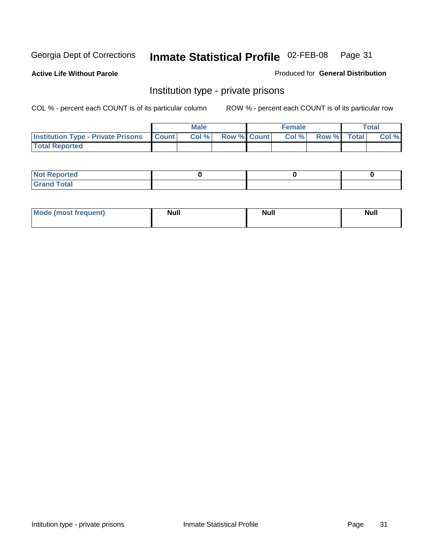**Active Life Without Parole** 

Produced for **General Distribution**

### Institution type - private prisons

|                                                     | <b>Male</b> |                    | <b>Female</b> |             | Total |
|-----------------------------------------------------|-------------|--------------------|---------------|-------------|-------|
| <b>Institution Type - Private Prisons   Count  </b> | Col %       | <b>Row % Count</b> | Col %         | Row % Total | Col % |
| <b>Total Reported</b>                               |             |                    |               |             |       |

| <b>Not Reported</b> |  |  |
|---------------------|--|--|
| <b>otal</b><br>r.   |  |  |

| Mode (most frequent) | <b>Null</b> | <b>Null</b> | <b>Null</b> |
|----------------------|-------------|-------------|-------------|
|                      |             |             |             |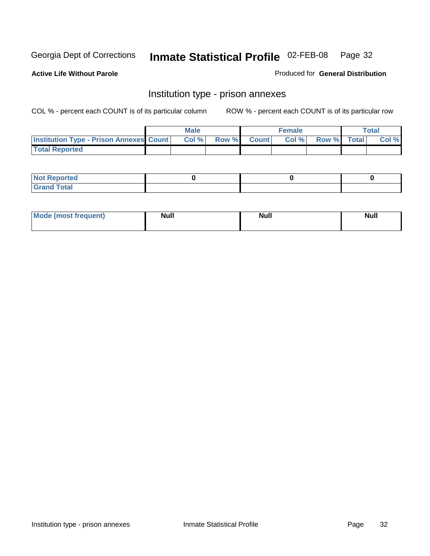**Active Life Without Parole** 

Produced for **General Distribution**

### Institution type - prison annexes

|                                                | <b>Male</b> |              |                | <b>Female</b> |             | <b>Total</b> |
|------------------------------------------------|-------------|--------------|----------------|---------------|-------------|--------------|
| <b>Institution Type - Prison Annexes Count</b> | Col %       | <b>Row %</b> | <b>Count</b> Ⅰ | Col%          | Row % Total | Col %        |
| <b>Total Reported</b>                          |             |              |                |               |             |              |

| <b>Not Reported</b>            |  |  |
|--------------------------------|--|--|
| <b>Total</b><br>Croi<br>$\sim$ |  |  |

| Mode (most frequent) | <b>Null</b> | <b>Null</b> | <b>Null</b> |
|----------------------|-------------|-------------|-------------|
|                      |             |             |             |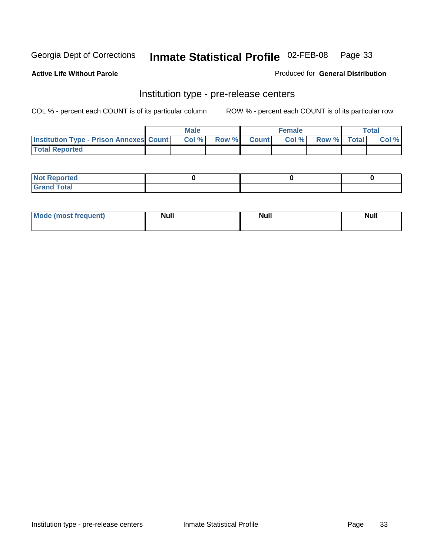**Active Life Without Parole** 

Produced for **General Distribution**

### Institution type - pre-release centers

|                                                | <b>Male</b> |       |              | <b>Female</b> |             | <b>Total</b> |
|------------------------------------------------|-------------|-------|--------------|---------------|-------------|--------------|
| <b>Institution Type - Prison Annexes Count</b> | Col%        | Row % | <b>Count</b> | Col%          | Row % Total | Col %        |
| <b>Total Reported</b>                          |             |       |              |               |             |              |

| <b>Not</b><br><b>Reported</b>    |  |  |
|----------------------------------|--|--|
| <b>Total</b><br>Gran<br>$\sim$ . |  |  |

| Mode (most frequent) | <b>Null</b> | <b>Null</b> | <b>Null</b> |
|----------------------|-------------|-------------|-------------|
|                      |             |             |             |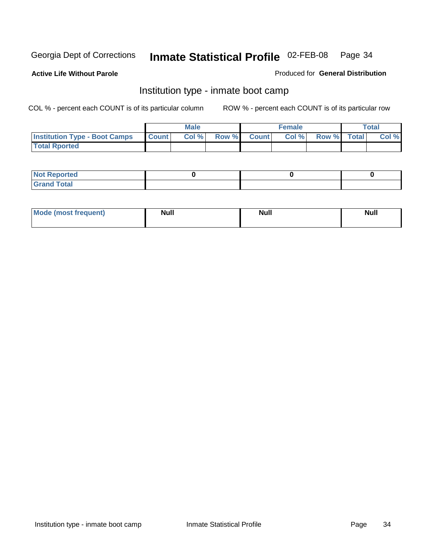**Active Life Without Parole** 

Produced for **General Distribution**

### Institution type - inmate boot camp

|                                      |              | <b>Male</b> |                    | <b>Female</b> |             | <b>Total</b> |
|--------------------------------------|--------------|-------------|--------------------|---------------|-------------|--------------|
| <b>Institution Type - Boot Camps</b> | <b>Count</b> | Col %       | <b>Row % Count</b> | Col%          | Row % Total | Col %        |
| <b>Total Rported</b>                 |              |             |                    |               |             |              |

| <b>Not Reported</b>  |  |  |
|----------------------|--|--|
| <b>Total</b><br>Croy |  |  |

| Mode (most frequent) | <b>Null</b> | <b>Null</b> | <b>Null</b> |
|----------------------|-------------|-------------|-------------|
|                      |             |             |             |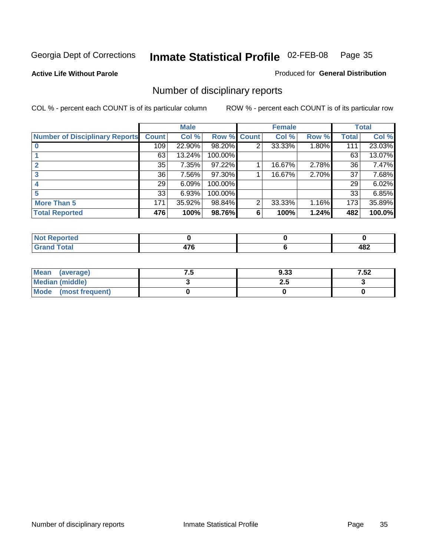**Active Life Without Parole** 

Produced for **General Distribution**

### Number of disciplinary reports

|                                       |              | <b>Male</b> |             |                | <b>Female</b> |       |              | <b>Total</b> |
|---------------------------------------|--------------|-------------|-------------|----------------|---------------|-------|--------------|--------------|
| <b>Number of Disciplinary Reports</b> | <b>Count</b> | Col %       | Row % Count |                | Col %         | Row % | <b>Total</b> | Col %        |
|                                       | 109          | 22.90%      | 98.20%      | 2              | 33.33%        | 1.80% | 111          | 23.03%       |
|                                       | 63           | 13.24%      | 100.00%     |                |               |       | 63           | 13.07%       |
|                                       | 35           | 7.35%       | 97.22%      |                | 16.67%        | 2.78% | 36           | 7.47%        |
|                                       | 36           | 7.56%       | 97.30%      |                | 16.67%        | 2.70% | 37           | 7.68%        |
|                                       | 29           | 6.09%       | 100.00%     |                |               |       | 29           | 6.02%        |
|                                       | 33           | 6.93%       | 100.00%     |                |               |       | 33           | 6.85%        |
| <b>More Than 5</b>                    | 171          | 35.92%      | 98.84%      | $\overline{2}$ | 33.33%        | 1.16% | 173          | 35.89%       |
| <b>Total Reported</b>                 | 476          | 100%        | 98.76%      | 6              | 100%          | 1.24% | 482          | 100.0%       |

| .<br>N<br>тес |        |            |
|---------------|--------|------------|
| Total         | $\sim$ | ៱៰៱<br>40£ |

| Mean (average)       | . . | 9.33 | 7.52 |
|----------------------|-----|------|------|
| Median (middle)      |     | 2.J  |      |
| Mode (most frequent) |     |      |      |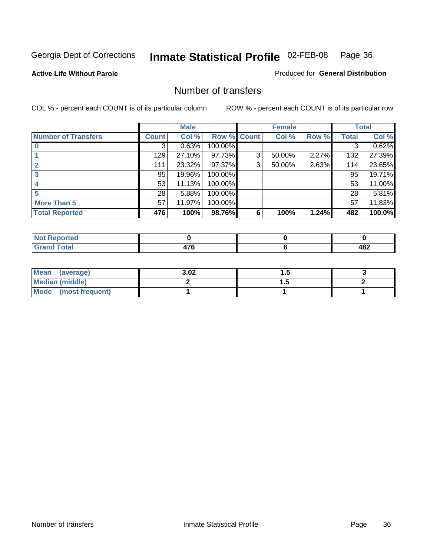**Active Life Without Parole** 

Produced for **General Distribution**

### Number of transfers

|                            |              | <b>Male</b> |             |   | <b>Female</b> |       |              | <b>Total</b> |
|----------------------------|--------------|-------------|-------------|---|---------------|-------|--------------|--------------|
| <b>Number of Transfers</b> | <b>Count</b> | Col %       | Row % Count |   | Col %         | Row % | <b>Total</b> | Col %        |
|                            | 3            | 0.63%       | 100.00%     |   |               |       | 3            | 0.62%        |
|                            | 129          | 27.10%      | 97.73%      | 3 | 50.00%        | 2.27% | 132          | 27.39%       |
| 2                          | 111          | 23.32%      | 97.37%      | 3 | 50.00%        | 2.63% | 114          | 23.65%       |
| 3                          | 95           | 19.96%      | 100.00%     |   |               |       | 95           | 19.71%       |
|                            | 53           | 11.13%      | 100.00%     |   |               |       | 53           | 11.00%       |
|                            | 28           | 5.88%       | 100.00%     |   |               |       | 28           | 5.81%        |
| <b>More Than 5</b>         | 57           | 11.97%      | 100.00%     |   |               |       | 57           | 11.83%       |
| <b>Total Reported</b>      | 476          | 100%        | 98.76%      | 6 | 100%          | 1.24% | 482          | 100.0%       |

| .<br>N<br>тес  |        |                  |
|----------------|--------|------------------|
| T <sub>1</sub> | $\sim$ | 100<br>™<br>____ |

| Mean (average)       | 3.02 | . . |  |
|----------------------|------|-----|--|
| Median (middle)      |      | .   |  |
| Mode (most frequent) |      |     |  |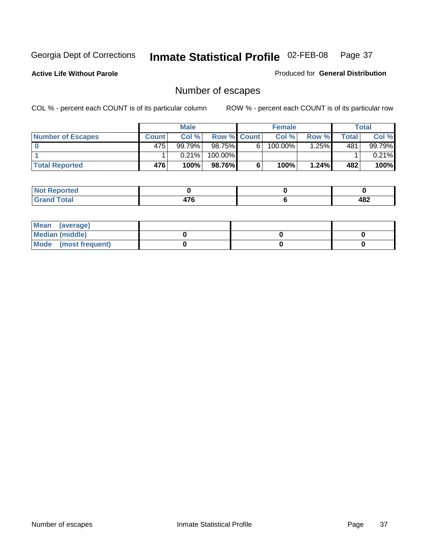**Active Life Without Parole** 

Produced for **General Distribution**

## Number of escapes

|                       |              | <b>Male</b> |                    |   | <b>Female</b> |         |       | <b>Total</b> |
|-----------------------|--------------|-------------|--------------------|---|---------------|---------|-------|--------------|
| Number of Escapes     | <b>Count</b> | Col%        | <b>Row % Count</b> |   | Col %         | Row %   | Total | Col %        |
|                       | 475          | 99.79%      | 98.75%             | 6 | 100.00%       | $.25\%$ | 481   | 99.79%       |
|                       |              | 0.21%       | 100.00%            |   |               |         |       | $0.21\%$     |
| <b>Total Reported</b> | 476          | 100%        | 98.76%I            | 6 | 100%          | 1.24%   | 482   | 100%         |

| <b>norted</b>                                                    |  |              |
|------------------------------------------------------------------|--|--------------|
| $f \wedge f \wedge f$<br><b>Uldi</b><br>$\sim$ . $\sim$ . $\sim$ |  | 1 Q 7<br>40Z |

| Mean (average)       |  |  |
|----------------------|--|--|
| Median (middle)      |  |  |
| Mode (most frequent) |  |  |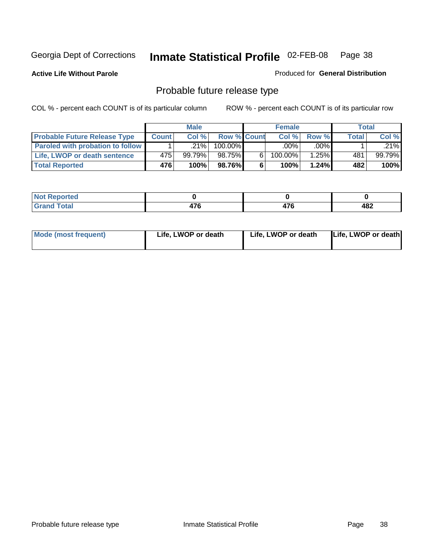**Active Life Without Parole** 

Produced for **General Distribution**

## Probable future release type

|                                         |         | <b>Male</b> |                    |   | <b>Female</b> |          |       | Total  |
|-----------------------------------------|---------|-------------|--------------------|---|---------------|----------|-------|--------|
| <b>Probable Future Release Type</b>     | Count l | Col%        | <b>Row % Count</b> |   | Col%          | Row %    | Total | Col %  |
| <b>Paroled with probation to follow</b> |         | $.21\%$     | 100.00%            |   | $.00\%$       | $.00\%$  |       | .21%   |
| Life, LWOP or death sentence            | 475     | 99.79%      | 98.75%             | 6 | 100.00%       | $1.25\%$ | 481   | 99.79% |
| <b>Total Reported</b>                   | 476     | 100%        | 98.76%             | 6 | 100%          | $1.24\%$ | 482   | 100%   |

| <b>prted</b> |            |    |            |
|--------------|------------|----|------------|
| <b>otal</b>  | ---<br>T 1 | -- | 182<br>40£ |

| <b>Mode (most frequent)</b> | Life, LWOP or death | Life, LWOP or death | Life, LWOP or death |
|-----------------------------|---------------------|---------------------|---------------------|
|                             |                     |                     |                     |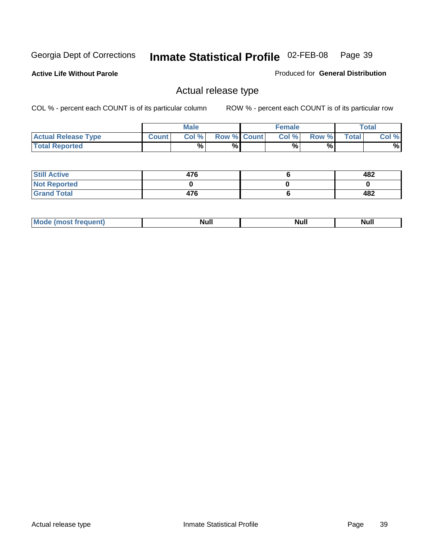**Active Life Without Parole** 

Produced for **General Distribution**

## Actual release type

|                            |              | <b>Male</b> |                    | <b>Female</b> |        |              | $\tau$ otal |
|----------------------------|--------------|-------------|--------------------|---------------|--------|--------------|-------------|
| <b>Actual Release Type</b> | <b>Count</b> | Col %1      | <b>Row % Count</b> | Col %1        | Row %I | <b>Total</b> | Col %       |
| <b>Total Reported</b>      |              | $\%$        | %                  | %             | %      |              | %           |

| <b>Still Active</b> | 476 | 482 |
|---------------------|-----|-----|
| <b>Not Reported</b> |     |     |
| <b>Grand Total</b>  | 476 | 482 |

| M<br>____<br>_____ | NI | Null | $\cdots$ |
|--------------------|----|------|----------|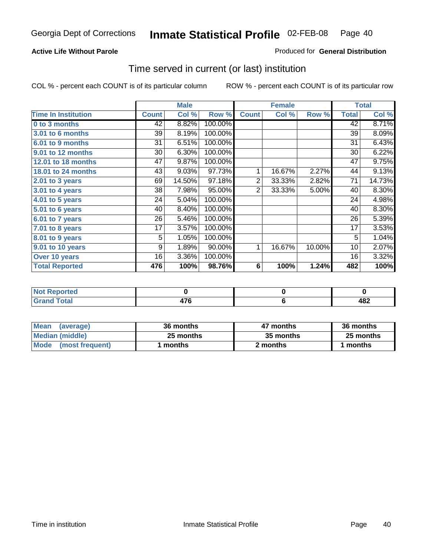#### **Active Life Without Parole**

#### Produced for **General Distribution**

### Time served in current (or last) institution

|                            |              | <b>Male</b> |         |                | <b>Female</b> |        |              | <b>Total</b> |
|----------------------------|--------------|-------------|---------|----------------|---------------|--------|--------------|--------------|
| <b>Time In Institution</b> | <b>Count</b> | Col %       | Row %   | <b>Count</b>   | Col %         | Row %  | <b>Total</b> | Col %        |
| 0 to 3 months              | 42           | 8.82%       | 100.00% |                |               |        | 42           | 8.71%        |
| 3.01 to 6 months           | 39           | 8.19%       | 100.00% |                |               |        | 39           | 8.09%        |
| 6.01 to 9 months           | 31           | 6.51%       | 100.00% |                |               |        | 31           | 6.43%        |
| 9.01 to 12 months          | 30           | 6.30%       | 100.00% |                |               |        | 30           | 6.22%        |
| 12.01 to 18 months         | 47           | 9.87%       | 100.00% |                |               |        | 47           | 9.75%        |
| 18.01 to 24 months         | 43           | 9.03%       | 97.73%  | 1              | 16.67%        | 2.27%  | 44           | 9.13%        |
| $2.01$ to 3 years          | 69           | 14.50%      | 97.18%  | $\overline{2}$ | 33.33%        | 2.82%  | 71           | 14.73%       |
| $3.01$ to 4 years          | 38           | 7.98%       | 95.00%  | $\overline{2}$ | 33.33%        | 5.00%  | 40           | 8.30%        |
| 4.01 to 5 years            | 24           | 5.04%       | 100.00% |                |               |        | 24           | 4.98%        |
| 5.01 to 6 years            | 40           | 8.40%       | 100.00% |                |               |        | 40           | 8.30%        |
| 6.01 to 7 years            | 26           | 5.46%       | 100.00% |                |               |        | 26           | 5.39%        |
| 7.01 to 8 years            | 17           | 3.57%       | 100.00% |                |               |        | 17           | 3.53%        |
| 8.01 to 9 years            | 5            | 1.05%       | 100.00% |                |               |        | 5            | 1.04%        |
| 9.01 to 10 years           | 9            | 1.89%       | 90.00%  | 1              | 16.67%        | 10.00% | 10           | 2.07%        |
| Over 10 years              | 16           | 3.36%       | 100.00% |                |               |        | 16           | 3.32%        |
| <b>Total Reported</b>      | 476          | 100%        | 98.76%  | 6              | 100%          | 1.24%  | 482          | 100%         |

| <b>Not</b><br><b>Reported</b> |    |     |
|-------------------------------|----|-----|
| <b>Total</b>                  | -- | 482 |

| <b>Mean</b><br>(average) | 36 months | 47 months | 36 months |
|--------------------------|-----------|-----------|-----------|
| Median (middle)          | 25 months | 35 months | 25 months |
| Mode<br>(most frequent)  | l months  | 2 months  | months    |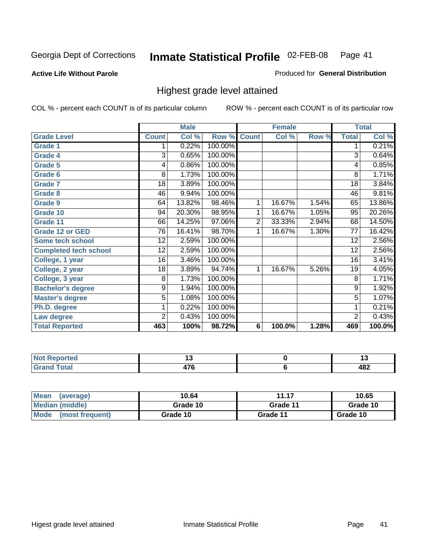#### **Active Life Without Parole**

#### Produced for **General Distribution**

## Highest grade level attained

|                              |                 | <b>Male</b> |         |                | <b>Female</b> |       |                 | <b>Total</b> |
|------------------------------|-----------------|-------------|---------|----------------|---------------|-------|-----------------|--------------|
| <b>Grade Level</b>           | <b>Count</b>    | Col %       | Row %   | <b>Count</b>   | Col %         | Row % | <b>Total</b>    | Col %        |
| <b>Grade 1</b>               | 1               | 0.22%       | 100.00% |                |               |       | 1               | 0.21%        |
| <b>Grade 4</b>               | 3               | 0.65%       | 100.00% |                |               |       | $\overline{3}$  | 0.64%        |
| Grade 5                      | 4               | 0.86%       | 100.00% |                |               |       | 4               | 0.85%        |
| Grade 6                      | 8               | 1.73%       | 100.00% |                |               |       | 8               | 1.71%        |
| <b>Grade 7</b>               | 18              | 3.89%       | 100.00% |                |               |       | $\overline{18}$ | 3.84%        |
| <b>Grade 8</b>               | 46              | 9.94%       | 100.00% |                |               |       | 46              | 9.81%        |
| <b>Grade 9</b>               | 64              | 13.82%      | 98.46%  | 1              | 16.67%        | 1.54% | 65              | 13.86%       |
| Grade 10                     | $\overline{94}$ | 20.30%      | 98.95%  | 1              | 16.67%        | 1.05% | 95              | 20.26%       |
| Grade 11                     | 66              | 14.25%      | 97.06%  | $\overline{2}$ | 33.33%        | 2.94% | 68              | 14.50%       |
| <b>Grade 12 or GED</b>       | 76              | 16.41%      | 98.70%  | 1              | 16.67%        | 1.30% | 77              | 16.42%       |
| <b>Some tech school</b>      | 12              | 2.59%       | 100.00% |                |               |       | 12              | 2.56%        |
| <b>Completed tech school</b> | 12              | 2.59%       | 100.00% |                |               |       | 12              | 2.56%        |
| College, 1 year              | 16              | 3.46%       | 100.00% |                |               |       | 16              | 3.41%        |
| College, 2 year              | 18              | 3.89%       | 94.74%  | 1              | 16.67%        | 5.26% | 19              | 4.05%        |
| College, 3 year              | 8               | 1.73%       | 100.00% |                |               |       | 8               | 1.71%        |
| <b>Bachelor's degree</b>     | 9               | 1.94%       | 100.00% |                |               |       | 9               | 1.92%        |
| <b>Master's degree</b>       | 5               | 1.08%       | 100.00% |                |               |       | $\overline{5}$  | 1.07%        |
| Ph.D. degree                 | 1               | 0.22%       | 100.00% |                |               |       | 1               | 0.21%        |
| Law degree                   | $\overline{2}$  | 0.43%       | 100.00% |                |               |       | $\overline{2}$  | 0.43%        |
| <b>Total Reported</b>        | 463             | 100%        | 98.72%  | 6              | 100.0%        | 1.28% | 469             | 100.0%       |

| i Alba<br>المناسب<br>rtea<br>NI.<br>. | . .           | יי  |
|---------------------------------------|---------------|-----|
| Total                                 | $\rightarrow$ | ៱៰៱ |
| <b>C.A.A</b>                          | ш             | 40£ |

| <b>Mean</b><br>(average)       | 10.64    | 11.17    | 10.65    |
|--------------------------------|----------|----------|----------|
| Median (middle)                | Grade 10 | Grade 11 | Grade 10 |
| <b>Mode</b><br>(most frequent) | Grade 10 | Grade 11 | Grade 10 |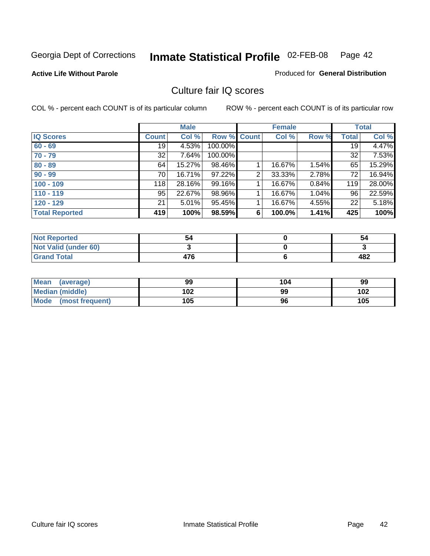**Active Life Without Parole** 

Produced for **General Distribution**

### Culture fair IQ scores

|                       |              | <b>Male</b> |             |   | <b>Female</b> |          |              | <b>Total</b> |
|-----------------------|--------------|-------------|-------------|---|---------------|----------|--------------|--------------|
| <b>IQ Scores</b>      | <b>Count</b> | Col %       | Row % Count |   | Col %         | Row %    | <b>Total</b> | Col %        |
| $60 - 69$             | 19           | 4.53%       | 100.00%     |   |               |          | 19           | 4.47%        |
| $70 - 79$             | 32           | 7.64%       | 100.00%     |   |               |          | 32           | 7.53%        |
| $80 - 89$             | 64           | 15.27%      | 98.46%      |   | 16.67%        | $1.54\%$ | 65           | 15.29%       |
| $90 - 99$             | 70           | 16.71%      | 97.22%      | 2 | 33.33%        | 2.78%    | 72           | 16.94%       |
| $100 - 109$           | 118          | 28.16%      | 99.16%      |   | 16.67%        | 0.84%    | 119          | 28.00%       |
| $110 - 119$           | 95           | 22.67%      | 98.96%      |   | 16.67%        | 1.04%    | 96           | 22.59%       |
| $120 - 129$           | 21           | 5.01%       | 95.45%      |   | 16.67%        | 4.55%    | 22           | 5.18%        |
| <b>Total Reported</b> | 419          | 100%        | 98.59%      | 6 | 100.0%        | 1.41%    | 425          | 100%         |

| <b>Not Reported</b>         | 54  | 54  |
|-----------------------------|-----|-----|
| <b>Not Valid (under 60)</b> |     |     |
| <b>Grand Total</b>          | 476 | 482 |

| <b>Mean</b><br>(average)       | 99  | 104 | 99  |
|--------------------------------|-----|-----|-----|
| <b>Median (middle)</b>         | 102 | 99  | 102 |
| <b>Mode</b><br>(most frequent) | 105 | 96  | 105 |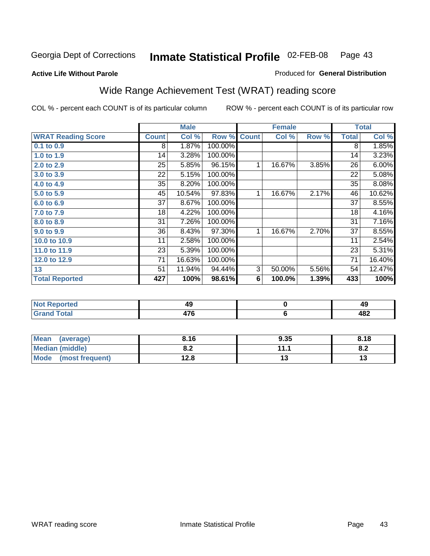**Active Life Without Parole** 

#### Produced for **General Distribution**

## Wide Range Achievement Test (WRAT) reading score

|                           |                 | <b>Male</b> |         |                | <b>Female</b> |       |                 | <b>Total</b> |
|---------------------------|-----------------|-------------|---------|----------------|---------------|-------|-----------------|--------------|
| <b>WRAT Reading Score</b> | <b>Count</b>    | Col %       | Row %   | <b>Count</b>   | Col %         | Row % | <b>Total</b>    | Col %        |
| 0.1 to 0.9                | 8               | 1.87%       | 100.00% |                |               |       | 8               | 1.85%        |
| 1.0 to 1.9                | 14              | 3.28%       | 100.00% |                |               |       | 14              | 3.23%        |
| 2.0 to 2.9                | 25              | 5.85%       | 96.15%  | 1              | 16.67%        | 3.85% | 26              | 6.00%        |
| 3.0 to 3.9                | 22              | 5.15%       | 100.00% |                |               |       | 22              | 5.08%        |
| 4.0 to 4.9                | 35              | 8.20%       | 100.00% |                |               |       | 35              | 8.08%        |
| 5.0 to 5.9                | 45              | 10.54%      | 97.83%  | 1              | 16.67%        | 2.17% | 46              | 10.62%       |
| 6.0 to 6.9                | 37              | 8.67%       | 100.00% |                |               |       | 37              | 8.55%        |
| 7.0 to 7.9                | 18              | 4.22%       | 100.00% |                |               |       | 18              | 4.16%        |
| 8.0 to 8.9                | $\overline{31}$ | 7.26%       | 100.00% |                |               |       | $\overline{31}$ | 7.16%        |
| 9.0 to 9.9                | 36              | 8.43%       | 97.30%  | 1              | 16.67%        | 2.70% | 37              | 8.55%        |
| 10.0 to 10.9              | 11              | 2.58%       | 100.00% |                |               |       | 11              | 2.54%        |
| 11.0 to 11.9              | 23              | 5.39%       | 100.00% |                |               |       | 23              | 5.31%        |
| 12.0 to 12.9              | 71              | 16.63%      | 100.00% |                |               |       | 71              | 16.40%       |
| 13                        | 51              | 11.94%      | 94.44%  | $\overline{3}$ | 50.00%        | 5.56% | 54              | 12.47%       |
| <b>Total Reported</b>     | 427             | 100%        | 98.61%  | 6              | 100.0%        | 1.39% | 433             | 100%         |
|                           |                 |             |         |                |               |       |                 |              |
| <b>Not Reported</b>       |                 | 49          |         |                | $\pmb{0}$     |       |                 | 49           |
| <b>Grand Total</b>        |                 | 476         |         |                | 6             |       |                 | 482          |

| <b>Mean</b><br>(average) | 8.16       | 9.35                 | 8.18 |
|--------------------------|------------|----------------------|------|
| <b>Median (middle)</b>   | י ה<br>0.Z | 111                  | o.z  |
| Mode (most frequent)     | 12.8       | $\ddot{\phantom{0}}$ | IJ   |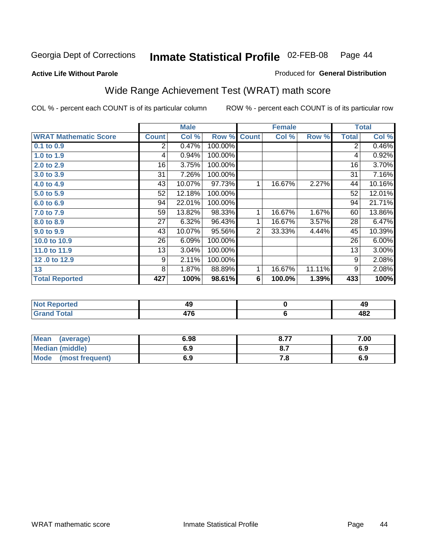#### **Active Life Without Parole**

#### Produced for **General Distribution**

## Wide Range Achievement Test (WRAT) math score

|                              |              | <b>Male</b> |         |              | <b>Female</b> |        |              | <b>Total</b> |
|------------------------------|--------------|-------------|---------|--------------|---------------|--------|--------------|--------------|
| <b>WRAT Mathematic Score</b> | <b>Count</b> | Col %       | Row %   | <b>Count</b> | Col %         | Row %  | <b>Total</b> | Col %        |
| $0.1$ to $0.9$               | 2            | 0.47%       | 100.00% |              |               |        | 2            | 0.46%        |
| 1.0 to 1.9                   | 4            | 0.94%       | 100.00% |              |               |        | 4            | 0.92%        |
| 2.0 to 2.9                   | 16           | 3.75%       | 100.00% |              |               |        | 16           | 3.70%        |
| 3.0 to 3.9                   | 31           | 7.26%       | 100.00% |              |               |        | 31           | 7.16%        |
| 4.0 to 4.9                   | 43           | 10.07%      | 97.73%  | 1            | 16.67%        | 2.27%  | 44           | 10.16%       |
| 5.0 to 5.9                   | 52           | 12.18%      | 100.00% |              |               |        | 52           | 12.01%       |
| 6.0 to 6.9                   | 94           | 22.01%      | 100.00% |              |               |        | 94           | 21.71%       |
| 7.0 to 7.9                   | 59           | 13.82%      | 98.33%  | 1            | 16.67%        | 1.67%  | 60           | 13.86%       |
| 8.0 to 8.9                   | 27           | 6.32%       | 96.43%  | 1            | 16.67%        | 3.57%  | 28           | 6.47%        |
| 9.0 to 9.9                   | 43           | 10.07%      | 95.56%  | 2            | 33.33%        | 4.44%  | 45           | 10.39%       |
| 10.0 to 10.9                 | 26           | 6.09%       | 100.00% |              |               |        | 26           | 6.00%        |
| 11.0 to 11.9                 | 13           | 3.04%       | 100.00% |              |               |        | 13           | $3.00\%$     |
| 12.0 to 12.9                 | 9            | 2.11%       | 100.00% |              |               |        | 9            | 2.08%        |
| 13                           | 8            | 1.87%       | 88.89%  | 1            | 16.67%        | 11.11% | 9            | 2.08%        |
| <b>Total Reported</b>        | 427          | 100%        | 98.61%  | 6            | 100.0%        | 1.39%  | 433          | 100%         |

| <b>Not Reported</b> | 49                    | 49  |
|---------------------|-----------------------|-----|
| <b>Grand Total</b>  | $\rightarrow$<br>47 O | 482 |

| Mean (average)         | 6.98 | 8.77 | 7.00 |
|------------------------|------|------|------|
| <b>Median (middle)</b> | 6.9  |      | 6.9  |
| Mode (most frequent)   | 6.9  | 7. O | 6.9  |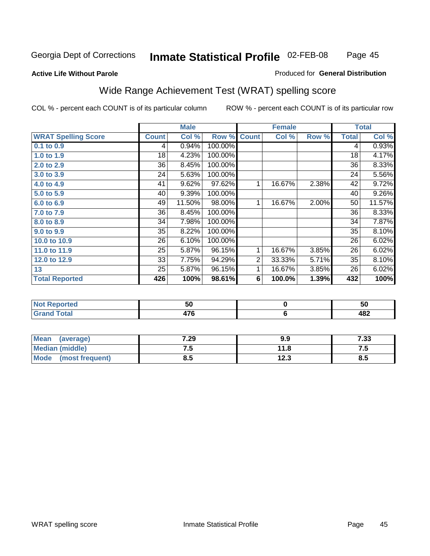#### **Active Life Without Parole**

#### Produced for **General Distribution**

## Wide Range Achievement Test (WRAT) spelling score

|                            |              | <b>Male</b> |         |                | <b>Female</b>   |       |              | <b>Total</b> |
|----------------------------|--------------|-------------|---------|----------------|-----------------|-------|--------------|--------------|
| <b>WRAT Spelling Score</b> | <b>Count</b> | Col %       | Row %   | <b>Count</b>   | Col %           | Row % | <b>Total</b> | Col %        |
| $0.1$ to $0.9$             | 4            | 0.94%       | 100.00% |                |                 |       | 4            | 0.93%        |
| 1.0 to 1.9                 | 18           | 4.23%       | 100.00% |                |                 |       | 18           | 4.17%        |
| 2.0 to 2.9                 | 36           | 8.45%       | 100.00% |                |                 |       | 36           | 8.33%        |
| 3.0 to 3.9                 | 24           | 5.63%       | 100.00% |                |                 |       | 24           | 5.56%        |
| 4.0 to 4.9                 | 41           | 9.62%       | 97.62%  | 1              | 16.67%          | 2.38% | 42           | 9.72%        |
| 5.0 to 5.9                 | 40           | 9.39%       | 100.00% |                |                 |       | 40           | 9.26%        |
| 6.0 to 6.9                 | 49           | 11.50%      | 98.00%  | 1              | 16.67%          | 2.00% | 50           | 11.57%       |
| 7.0 to 7.9                 | 36           | 8.45%       | 100.00% |                |                 |       | 36           | 8.33%        |
| 8.0 to 8.9                 | 34           | 7.98%       | 100.00% |                |                 |       | 34           | 7.87%        |
| 9.0 to 9.9                 | 35           | 8.22%       | 100.00% |                |                 |       | 35           | 8.10%        |
| 10.0 to 10.9               | 26           | 6.10%       | 100.00% |                |                 |       | 26           | 6.02%        |
| 11.0 to 11.9               | 25           | 5.87%       | 96.15%  | 1              | 16.67%          | 3.85% | 26           | 6.02%        |
| 12.0 to 12.9               | 33           | 7.75%       | 94.29%  | $\overline{2}$ | 33.33%          | 5.71% | 35           | 8.10%        |
| 13                         | 25           | 5.87%       | 96.15%  | 1              | 16.67%          | 3.85% | 26           | 6.02%        |
| <b>Total Reported</b>      | 426          | 100%        | 98.61%  | 6              | 100.0%          | 1.39% | 432          | 100%         |
|                            |              |             |         |                |                 |       |              |              |
| <b>Not Reported</b>        |              | 50          |         |                | $\pmb{0}$       |       |              | 50           |
| <b>Grand Total</b>         |              | 476         |         |                | $6\phantom{1}6$ |       |              | 482          |

| Mean<br>(average)       | 7.29 | 9.9  | 7.33  |
|-------------------------|------|------|-------|
| <b>Median (middle)</b>  | ن. ا | 11.8 | . . J |
| Mode<br>(most frequent) | 8.5  | 12.3 | 8.5   |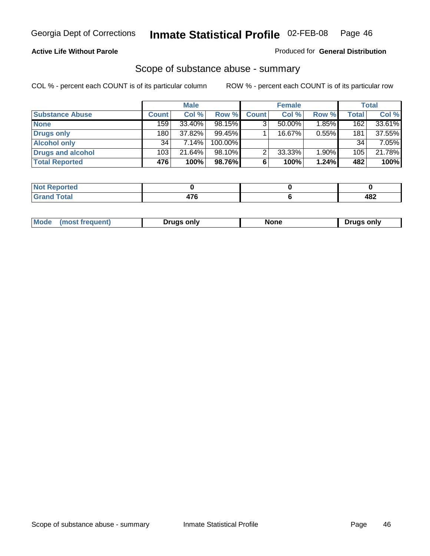#### **Active Life Without Parole**

#### Produced for **General Distribution**

#### Scope of substance abuse - summary

|                        |              | <b>Male</b> |            |              | <b>Female</b> |          |              | <b>Total</b> |
|------------------------|--------------|-------------|------------|--------------|---------------|----------|--------------|--------------|
| <b>Substance Abuse</b> | <b>Count</b> | Col %       | Row %      | <b>Count</b> | Col %         | Row %    | <b>Total</b> | Col %        |
| <b>None</b>            | 159          | 33.40%      | 98.15%     | 3            | $50.00\%$     | 1.85%    | 162          | 33.61%       |
| Drugs only             | 180          | 37.82%      | $99.45\%$  |              | 16.67%        | 0.55%    | 181          | 37.55%       |
| <b>Alcohol only</b>    | 34           | 7.14%       | $100.00\%$ |              |               |          | 34           | 7.05%        |
| Drugs and alcohol      | 103          | 21.64%      | $98.10\%$  | ◠            | 33.33%        | $1.90\%$ | 105          | 21.78%       |
| <b>Total Reported</b>  | 476          | 100%        | 98.76%     | 6            | 100%          | 1.24%    | 482          | 100%         |

| Reported<br>$\sim$     |     |     |
|------------------------|-----|-----|
| <b>Total</b><br>$\sim$ | $-$ | 482 |

|  | Mode<br>ונוצוווי | Druas onlv | None | only<br>Pruas . |
|--|------------------|------------|------|-----------------|
|--|------------------|------------|------|-----------------|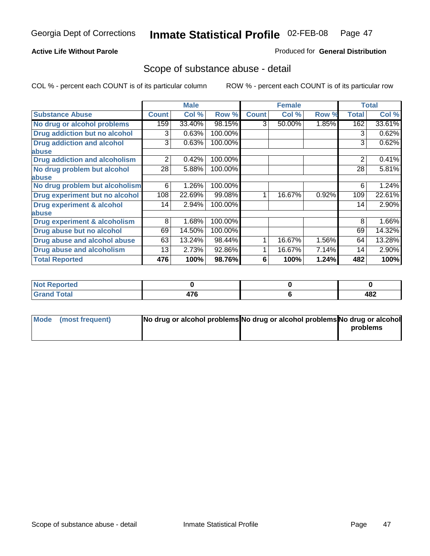#### **Active Life Without Parole**

#### Produced for **General Distribution**

#### Scope of substance abuse - detail

|                                      |              | <b>Male</b> |         |              | <b>Female</b> |       |                | <b>Total</b> |
|--------------------------------------|--------------|-------------|---------|--------------|---------------|-------|----------------|--------------|
| <b>Substance Abuse</b>               | <b>Count</b> | Col %       | Row %   | <b>Count</b> | Col %         | Row % | <b>Total</b>   | Col %        |
| No drug or alcohol problems          | 159          | 33.40%      | 98.15%  | 3            | 50.00%        | 1.85% | 162            | 33.61%       |
| Drug addiction but no alcohol        | 3            | 0.63%       | 100.00% |              |               |       | 3              | 0.62%        |
| <b>Drug addiction and alcohol</b>    | 3            | 0.63%       | 100.00% |              |               |       | 3              | 0.62%        |
| abuse                                |              |             |         |              |               |       |                |              |
| <b>Drug addiction and alcoholism</b> | 2            | 0.42%       | 100.00% |              |               |       | $\overline{2}$ | 0.41%        |
| No drug problem but alcohol          | 28           | 5.88%       | 100.00% |              |               |       | 28             | 5.81%        |
| abuse                                |              |             |         |              |               |       |                |              |
| No drug problem but alcoholism       | 6            | 1.26%       | 100.00% |              |               |       | 6              | 1.24%        |
| Drug experiment but no alcohol       | 108          | 22.69%      | 99.08%  | 4            | 16.67%        | 0.92% | 109            | 22.61%       |
| <b>Drug experiment &amp; alcohol</b> | 14           | 2.94%       | 100.00% |              |               |       | 14             | 2.90%        |
| abuse                                |              |             |         |              |               |       |                |              |
| Drug experiment & alcoholism         | 8            | 1.68%       | 100.00% |              |               |       | 8              | 1.66%        |
| Drug abuse but no alcohol            | 69           | 14.50%      | 100.00% |              |               |       | 69             | 14.32%       |
| Drug abuse and alcohol abuse         | 63           | 13.24%      | 98.44%  |              | 16.67%        | 1.56% | 64             | 13.28%       |
| Drug abuse and alcoholism            | 13           | 2.73%       | 92.86%  |              | 16.67%        | 7.14% | 14             | 2.90%        |
| <b>Total Reported</b>                | 476          | 100%        | 98.76%  | 6            | 100%          | 1.24% | 482            | 100%         |

| ∣Not Reported          |     |     |
|------------------------|-----|-----|
| <b>Total</b><br>$\sim$ | --- | 482 |

| Mode (most frequent) | No drug or alcohol problems No drug or alcohol problems No drug or alcohol |          |
|----------------------|----------------------------------------------------------------------------|----------|
|                      |                                                                            | problems |
|                      |                                                                            |          |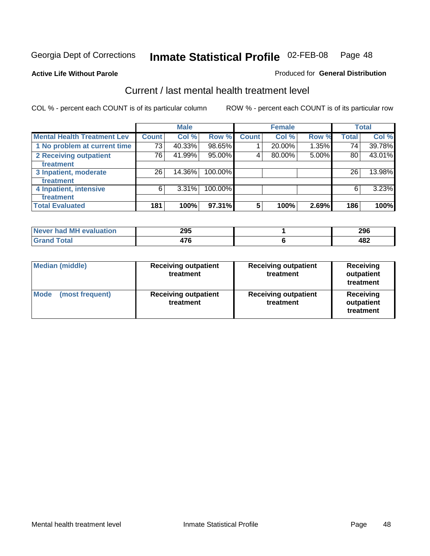**Active Life Without Parole** 

#### Produced for **General Distribution**

## Current / last mental health treatment level

|                                    |       | <b>Male</b> |         |              | <b>Female</b> |       |              | <b>Total</b> |
|------------------------------------|-------|-------------|---------|--------------|---------------|-------|--------------|--------------|
| <b>Mental Health Treatment Lev</b> | Count | Col %       | Row %   | <b>Count</b> | Col %         | Row % | <b>Total</b> | Col %        |
| 1 No problem at current time       | 73    | 40.33%      | 98.65%  |              | 20.00%        | 1.35% | 74           | 39.78%       |
| 2 Receiving outpatient             | 76    | 41.99%      | 95.00%  | 4            | 80.00%        | 5.00% | 80           | 43.01%       |
| treatment                          |       |             |         |              |               |       |              |              |
| 3 Inpatient, moderate              | 26    | 14.36%      | 100.00% |              |               |       | 26           | 13.98%       |
| treatment                          |       |             |         |              |               |       |              |              |
| 4 Inpatient, intensive             | 6     | 3.31%       | 100.00% |              |               |       | 6            | 3.23%        |
| treatment                          |       |             |         |              |               |       |              |              |
| <b>Total Evaluated</b>             | 181   | 100%        | 97.31%  | 5            | 100%          | 2.69% | 186          | 100%         |

| Never had MH evaluation | 295        | 296       |
|-------------------------|------------|-----------|
| Total                   | יי-<br>1 U | AC<br>40Z |

| <b>Median (middle)</b>         | <b>Receiving outpatient</b><br>treatment | <b>Receiving outpatient</b><br>treatment | <b>Receiving</b><br>outpatient<br>treatment |  |
|--------------------------------|------------------------------------------|------------------------------------------|---------------------------------------------|--|
| <b>Mode</b><br>(most frequent) | <b>Receiving outpatient</b><br>treatment | <b>Receiving outpatient</b><br>treatment | Receiving<br>outpatient<br>treatment        |  |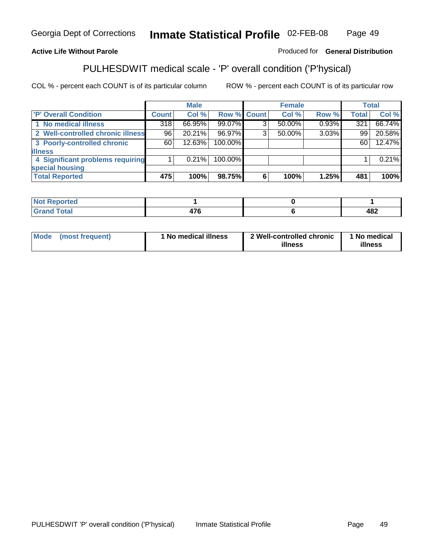#### **Active Life Without Parole**

Produced for **General Distribution**

## PULHESDWIT medical scale - 'P' overall condition ('P'hysical)

|                                   |         | <b>Male</b> |             |   | <b>Female</b> |       |              | <b>Total</b> |
|-----------------------------------|---------|-------------|-------------|---|---------------|-------|--------------|--------------|
| 'P' Overall Condition             | Count l | Col %       | Row % Count |   | Col %         | Row % | <b>Total</b> | Col %        |
| 1 No medical illness              | 318     | 66.95%      | 99.07%      | ົ | 50.00%        | 0.93% | 321          | 66.74%       |
| 2 Well-controlled chronic illness | 96 I    | 20.21%      | 96.97%      | 3 | 50.00%        | 3.03% | 99           | 20.58%       |
| 3 Poorly-controlled chronic       | 60      | 12.63%      | 100.00%     |   |               |       | 60           | 12.47%       |
| <b>illness</b>                    |         |             |             |   |               |       |              |              |
| 4 Significant problems requiring  |         | $0.21\%$    | 100.00%     |   |               |       |              | 0.21%        |
| special housing                   |         |             |             |   |               |       |              |              |
| <b>Total Reported</b>             | 475     | 100%        | 98.75%      |   | 100%          | 1.25% | 481          | 100%         |

| Not Reported |               |     |
|--------------|---------------|-----|
| <b>otal</b>  | $\rightarrow$ | ៱៰៱ |
| <b>C</b> re  | $\sim$        | 40Z |

| <b>Mode</b>     | ' No medical illness | 2 Well-controlled chronic | 1 No medical |
|-----------------|----------------------|---------------------------|--------------|
| (most frequent) |                      | illness                   | illness      |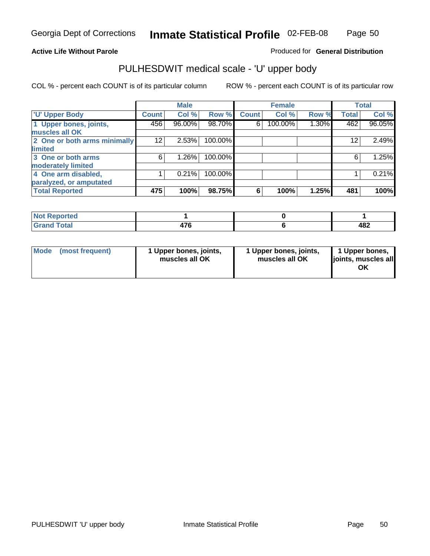#### **Active Life Without Parole**

Produced for **General Distribution**

## PULHESDWIT medical scale - 'U' upper body

|                              |                    | <b>Male</b> |         |              | <b>Female</b> |       |                 | <b>Total</b> |
|------------------------------|--------------------|-------------|---------|--------------|---------------|-------|-----------------|--------------|
| <b>U' Upper Body</b>         | Count <sup>1</sup> | Col %       | Row %   | <b>Count</b> | Col %         | Row % | <b>Total</b>    | Col %        |
| 1 Upper bones, joints,       | 456                | 96.00%      | 98.70%  | 6            | 100.00%       | 1.30% | 462             | 96.05%       |
| muscles all OK               |                    |             |         |              |               |       |                 |              |
| 2 One or both arms minimally | 12                 | 2.53%       | 100.00% |              |               |       | 12 <sup>2</sup> | 2.49%        |
| limited                      |                    |             |         |              |               |       |                 |              |
| 3 One or both arms           | 6                  | 1.26%       | 100.00% |              |               |       | 6               | 1.25%        |
| moderately limited           |                    |             |         |              |               |       |                 |              |
| 4 One arm disabled,          |                    | 0.21%       | 100.00% |              |               |       |                 | 0.21%        |
| paralyzed, or amputated      |                    |             |         |              |               |       |                 |              |
| <b>Total Reported</b>        | 475                | 100%        | 98.75%  | 6            | 100%          | 1.25% | 481             | 100%         |

| $N$ ot F<br><b>Reported</b>                       |     |            |
|---------------------------------------------------|-----|------------|
| <b>Total</b><br><b>C</b> <sub>non</sub><br>______ | 17C | 107<br>40Ł |

| <b>Mode</b> | (most frequent) | 1 Upper bones, joints,<br>muscles all OK | 1 Upper bones, joints,<br>muscles all OK | 1 Upper bones,<br>joints, muscles all<br>OK |
|-------------|-----------------|------------------------------------------|------------------------------------------|---------------------------------------------|
|-------------|-----------------|------------------------------------------|------------------------------------------|---------------------------------------------|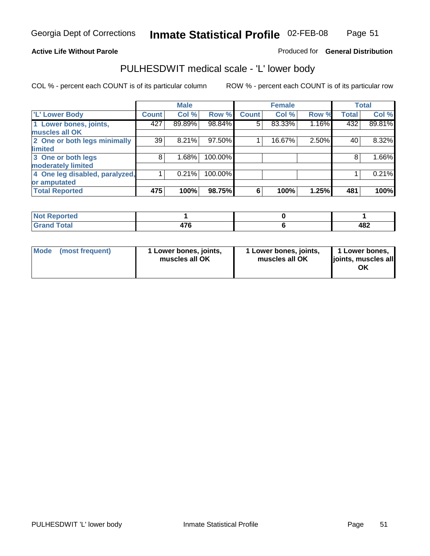#### **Active Life Without Parole**

#### Produced for **General Distribution**

### PULHESDWIT medical scale - 'L' lower body

|                                |              | <b>Male</b> |         |              | <b>Female</b> |       |              | <b>Total</b> |
|--------------------------------|--------------|-------------|---------|--------------|---------------|-------|--------------|--------------|
| 'L' Lower Body                 | <b>Count</b> | Col %       | Row %   | <b>Count</b> | Col %         | Row % | <b>Total</b> | Col %        |
| 1 Lower bones, joints,         | 427          | 89.89%      | 98.84%  | 5            | 83.33%        | 1.16% | 432          | 89.81%       |
| muscles all OK                 |              |             |         |              |               |       |              |              |
| 2 One or both legs minimally   | 39           | 8.21%       | 97.50%  |              | 16.67%        | 2.50% | 40           | 8.32%        |
| limited                        |              |             |         |              |               |       |              |              |
| 3 One or both legs             | 8            | 1.68%       | 100.00% |              |               |       | 8            | 1.66%        |
| moderately limited             |              |             |         |              |               |       |              |              |
| 4 One leg disabled, paralyzed, |              | 0.21%       | 100.00% |              |               |       |              | 0.21%        |
| or amputated                   |              |             |         |              |               |       |              |              |
| <b>Total Reported</b>          | 475          | 100%        | 98.75%  | 6            | 100%          | 1.25% | 481          | 100%         |

| <b>NIAA</b><br><b>Enorted</b><br>'N I |               |     |
|---------------------------------------|---------------|-----|
| <b>Total</b><br><b>r.</b><br>----     | $\rightarrow$ | 482 |

|  | Mode (most frequent) | 1 Lower bones, joints,<br>muscles all OK | 1 Lower bones, joints,<br>muscles all OK | 1 Lower bones,<br>joints, muscles all<br>OK |
|--|----------------------|------------------------------------------|------------------------------------------|---------------------------------------------|
|--|----------------------|------------------------------------------|------------------------------------------|---------------------------------------------|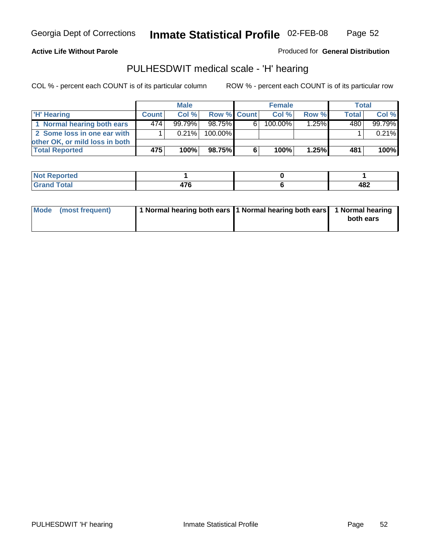Page 52

#### **Active Life Without Parole**

Produced for **General Distribution**

## PULHESDWIT medical scale - 'H' hearing

|                                |              | <b>Male</b> |             | <b>Female</b> |         |          | <b>Total</b> |          |
|--------------------------------|--------------|-------------|-------------|---------------|---------|----------|--------------|----------|
| 'H' Hearing                    | <b>Count</b> | Col%        | Row % Count |               | Col%    | Row %    | <b>Total</b> | Col %    |
| 1 Normal hearing both ears     | 4741         | $99.79\%$   | 98.75%      | 61            | 100.00% | $1.25\%$ | 480          | 99.79%   |
| 2 Some loss in one ear with    |              | $0.21\%$    | 100.00%     |               |         |          |              | $0.21\%$ |
| other OK, or mild loss in both |              |             |             |               |         |          |              |          |
| <b>Total Reported</b>          | 475          | 100%        | 98.75%I     | 6             | 100%    | 1.25%    | 481          | 100%     |

| тео<br>N                           |     |     |
|------------------------------------|-----|-----|
| ------                             | --- | 107 |
| $\sim$ $\sim$ $\sim$ $\sim$ $\sim$ |     | 40£ |

| Mode (most frequent) | 1 Normal hearing both ears 1 Normal hearing both ears 1 Normal hearing | both ears |
|----------------------|------------------------------------------------------------------------|-----------|
|                      |                                                                        |           |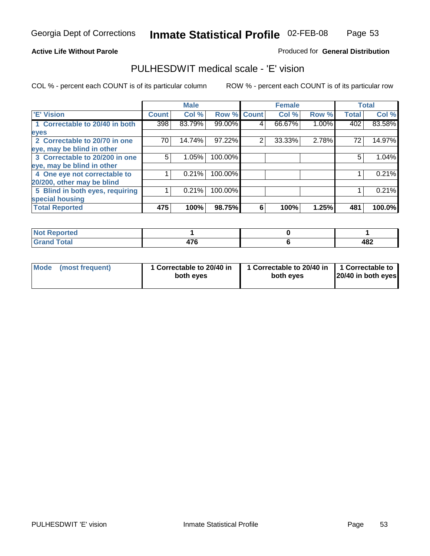Page 53

#### **Active Life Without Parole**

#### Produced for **General Distribution**

### PULHESDWIT medical scale - 'E' vision

|                                 |              | <b>Male</b> |             |   | <b>Female</b> |       |              | <b>Total</b> |
|---------------------------------|--------------|-------------|-------------|---|---------------|-------|--------------|--------------|
| 'E' Vision                      | <b>Count</b> | Col %       | Row % Count |   | Col %         | Row % | <b>Total</b> | Col %        |
| 1 Correctable to 20/40 in both  | 398          | 83.79%      | 99.00%      | 4 | 66.67%        | 1.00% | 402          | 83.58%       |
| eyes                            |              |             |             |   |               |       |              |              |
| 2 Correctable to 20/70 in one   | 70 I         | 14.74%      | 97.22%      | 2 | 33.33%        | 2.78% | 72           | 14.97%       |
| eye, may be blind in other      |              |             |             |   |               |       |              |              |
| 3 Correctable to 20/200 in one  | 5            | 1.05%       | 100.00%     |   |               |       | 5            | 1.04%        |
| eye, may be blind in other      |              |             |             |   |               |       |              |              |
| 4 One eye not correctable to    |              | 0.21%       | 100.00%     |   |               |       |              | 0.21%        |
| 20/200, other may be blind      |              |             |             |   |               |       |              |              |
| 5 Blind in both eyes, requiring |              | 0.21%       | 100.00%     |   |               |       |              | 0.21%        |
| special housing                 |              |             |             |   |               |       |              |              |
| <b>Total Reported</b>           | 475          | 100%        | 98.75%      | 6 | 100%          | 1.25% | 481          | 100.0%       |

| اد د کت<br>prteal<br>$\cdots$     |                      |     |
|-----------------------------------|----------------------|-----|
| <b>otal</b><br><b>.</b><br>------ | $\rightarrow$<br>1 U | 482 |

| Mode | (most frequent) | 1 Correctable to 20/40 in<br>both eves | 1 Correctable to 20/40 in   1 Correctable to<br>both eves | 20/40 in both eyes |
|------|-----------------|----------------------------------------|-----------------------------------------------------------|--------------------|
|------|-----------------|----------------------------------------|-----------------------------------------------------------|--------------------|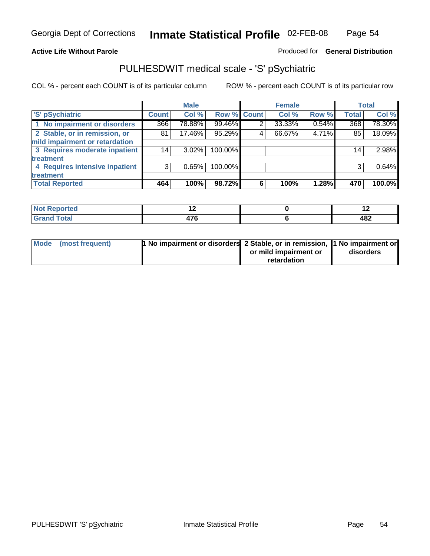#### **Active Life Without Parole**

Produced for **General Distribution**

## PULHESDWIT medical scale - 'S' pSychiatric

|                                |              | <b>Male</b> |             |   | <b>Female</b> |       |              | <b>Total</b> |
|--------------------------------|--------------|-------------|-------------|---|---------------|-------|--------------|--------------|
| 'S' pSychiatric                | <b>Count</b> | Col %       | Row % Count |   | Col %         | Row % | <b>Total</b> | Col %        |
| 1 No impairment or disorders   | 366          | 78.88%      | 99.46%      | 2 | 33.33%        | 0.54% | 368          | 78.30%       |
| 2 Stable, or in remission, or  | 81           | 17.46%      | 95.29%      | 4 | 66.67%        | 4.71% | 85           | 18.09%       |
| mild impairment or retardation |              |             |             |   |               |       |              |              |
| 3 Requires moderate inpatient  | 14           | $3.02\%$    | 100.00%     |   |               |       | 14           | 2.98%        |
| treatment                      |              |             |             |   |               |       |              |              |
| 4 Requires intensive inpatient | 3            | 0.65%       | 100.00%     |   |               |       |              | 0.64%        |
| treatment                      |              |             |             |   |               |       |              |              |
| <b>Total Reported</b>          | 464          | 100%        | 98.72%      | 6 | 100%          | 1.28% | 470          | 100.0%       |

| eported      | . .                   | $\overline{\phantom{0}}$ |
|--------------|-----------------------|--------------------------|
| <b>Total</b> | $\rightarrow$<br>11 V | 482                      |

| Mode (most frequent) | 1 No impairment or disorders 2 Stable, or in remission, 11 No impairment or |                       |           |
|----------------------|-----------------------------------------------------------------------------|-----------------------|-----------|
|                      |                                                                             | or mild impairment or | disorders |
|                      |                                                                             | retardation           |           |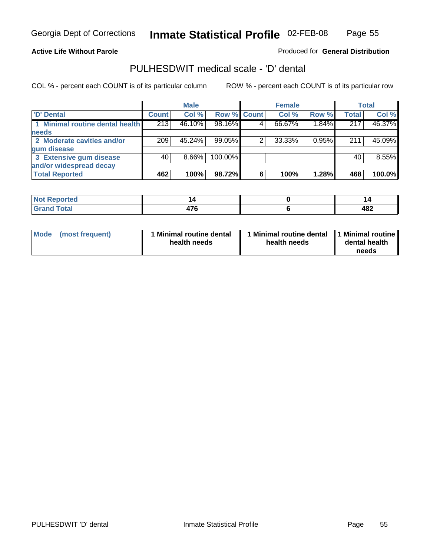Page 55

#### **Active Life Without Parole**

Produced for **General Distribution**

### PULHESDWIT medical scale - 'D' dental

|                                 |       | <b>Male</b> |             |   | <b>Female</b> |       |              | <b>Total</b> |
|---------------------------------|-------|-------------|-------------|---|---------------|-------|--------------|--------------|
| <b>D'</b> Dental                | Count | Col %       | Row % Count |   | Col %         | Row % | <b>Total</b> | Col %        |
| 1 Minimal routine dental health | 213   | 46.10%      | 98.16%      |   | 66.67%        | 1.84% | 217          | 46.37%       |
| <b>needs</b>                    |       |             |             |   |               |       |              |              |
| 2 Moderate cavities and/or      | 209   | 45.24%      | 99.05%      |   | 33.33%        | 0.95% | 211          | 45.09%       |
| gum disease                     |       |             |             |   |               |       |              |              |
| 3 Extensive gum disease         | 40    | $8.66\%$    | 100.00%     |   |               |       | 40           | 8.55%        |
| and/or widespread decay         |       |             |             |   |               |       |              |              |
| <b>Total Reported</b>           | 462   | 100%        | 98.72%      | 6 | 100%          | 1.28% | 468          | 100.0%       |

| المتمتلس<br>тео |               | .,   |
|-----------------|---------------|------|
| <b>Total</b>    | $\rightarrow$ | ^9 / |
| $\sim$          |               | 404  |

| Mode (most frequent) | <b>Minimal routine dental</b><br>health needs | 1 Minimal routine dental<br>health needs | 1 Minimal routine<br>dental health<br>needs |
|----------------------|-----------------------------------------------|------------------------------------------|---------------------------------------------|
|----------------------|-----------------------------------------------|------------------------------------------|---------------------------------------------|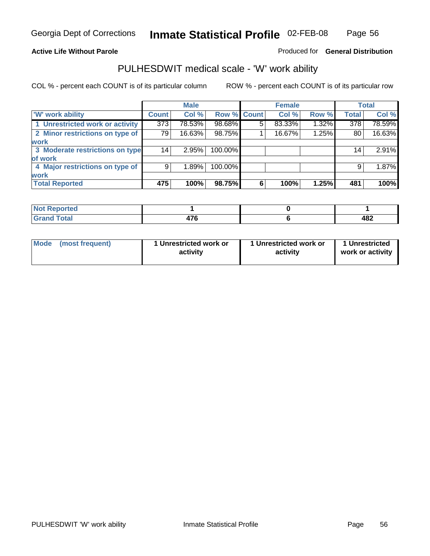#### **Active Life Without Parole**

#### Produced for **General Distribution**

### PULHESDWIT medical scale - 'W' work ability

COL % - percent each COUNT is of its particular column ROW % - percent each COUNT is of its particular row

|                                 |              | <b>Male</b> |             |   | <b>Female</b> |       |                 | <b>Total</b> |
|---------------------------------|--------------|-------------|-------------|---|---------------|-------|-----------------|--------------|
| <b>W' work ability</b>          | <b>Count</b> | Col %       | Row % Count |   | Col %         | Row % | <b>Total</b>    | Col %        |
| 1 Unrestricted work or activity | 373          | 78.53%      | 98.68%      | 5 | 83.33%        | 1.32% | 378             | 78.59%       |
| 2 Minor restrictions on type of | 79           | 16.63%      | 98.75%      |   | 16.67%        | 1.25% | 80              | 16.63%       |
| <b>work</b>                     |              |             |             |   |               |       |                 |              |
| 3 Moderate restrictions on type | 14           | 2.95%       | 100.00%     |   |               |       | 14 <sub>1</sub> | 2.91%        |
| of work                         |              |             |             |   |               |       |                 |              |
| 4 Major restrictions on type of | 9            | 1.89%       | 100.00%     |   |               |       | 9               | 1.87%        |
| <b>work</b>                     |              |             |             |   |               |       |                 |              |
| <b>Total Reported</b>           | 475          | 100%        | 98.75%      | 6 | 100%          | 1.25% | 481             | 100%         |

| Reported<br><b>NOT</b> |                      |     |
|------------------------|----------------------|-----|
| <b>Total</b><br>------ | $\rightarrow$<br>. . | 482 |

| Mode | (most frequent) | 1 Unrestricted work or<br>activity | 1 Unrestricted work or<br>activity | 1 Unrestricted<br>work or activity |
|------|-----------------|------------------------------------|------------------------------------|------------------------------------|
|      |                 |                                    |                                    |                                    |

Page 56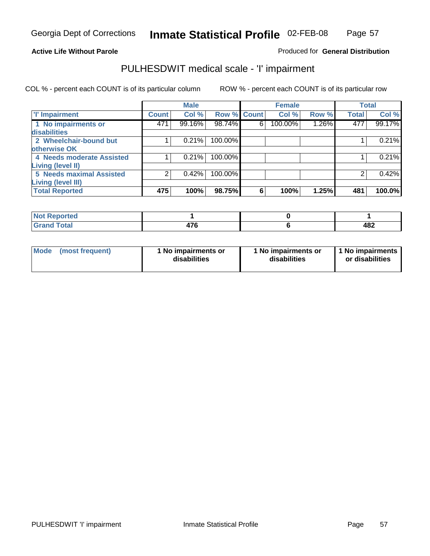#### Page 57

#### **Active Life Without Parole**

#### Produced for **General Distribution**

## PULHESDWIT medical scale - 'I' impairment

|                                 |              | <b>Male</b> |             |   | <b>Female</b> |          |              | <b>Total</b> |
|---------------------------------|--------------|-------------|-------------|---|---------------|----------|--------------|--------------|
| <b>T' Impairment</b>            | <b>Count</b> | Col %       | Row % Count |   | Col %         | Row %    | <b>Total</b> | Col %        |
| 1 No impairments or             | 471          | 99.16%      | 98.74%      | 6 | 100.00%       | $1.26\%$ | 477          | 99.17%       |
| disabilities                    |              |             |             |   |               |          |              |              |
| 2 Wheelchair-bound but          |              | 0.21%       | 100.00%     |   |               |          |              | 0.21%        |
| otherwise OK                    |              |             |             |   |               |          |              |              |
| 4 Needs moderate Assisted       |              | 0.21%       | 100.00%     |   |               |          |              | 0.21%        |
| Living (level II)               |              |             |             |   |               |          |              |              |
| <b>5 Needs maximal Assisted</b> |              | 0.42%       | 100.00%     |   |               |          |              | 0.42%        |
| <b>Living (level III)</b>       |              |             |             |   |               |          |              |              |
| <b>Total Reported</b>           | 475          | 100%        | 98.75%      | 6 | 100%          | 1.25%    | 481          | 100.0%       |

| Reported<br>NOT.<br>. |               |     |
|-----------------------|---------------|-----|
| <b>Total</b>          | $\rightarrow$ | ៱៰៱ |
| <b>Gran</b>           | 47 V          | 40Z |

| Mode | (most frequent) | 1 No impairments or<br>disabilities | 1 No impairments or<br>disabilities | 1 No impairments  <br>or disabilities |
|------|-----------------|-------------------------------------|-------------------------------------|---------------------------------------|
|------|-----------------|-------------------------------------|-------------------------------------|---------------------------------------|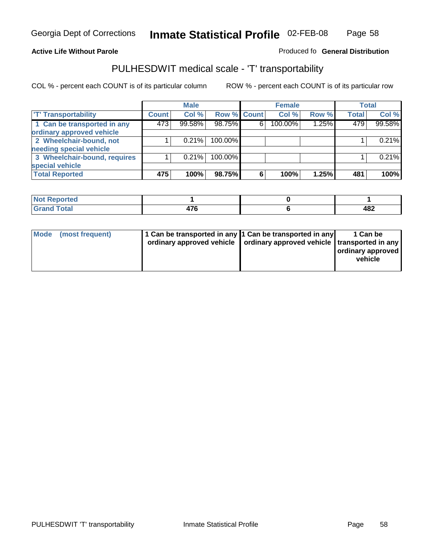#### **Inmate Statistical Profile** 02-FEB-08 Page Page 58

#### **Active Life Without Parole Produced fo Seneral Distribution**

## PULHESDWIT medical scale - 'T' transportability

|                              |              | <b>Male</b> |             |   | <b>Female</b> |       |              | <b>Total</b> |
|------------------------------|--------------|-------------|-------------|---|---------------|-------|--------------|--------------|
| <b>T' Transportability</b>   | <b>Count</b> | Col %       | Row % Count |   | Col %         | Row % | <b>Total</b> | Col %        |
| 1 Can be transported in any  | 473          | 99.58%      | 98.75%      | 6 | 100.00%       | 1.25% | 479          | 99.58%       |
| ordinary approved vehicle    |              |             |             |   |               |       |              |              |
| 2 Wheelchair-bound, not      |              | 0.21%       | 100.00%     |   |               |       |              | 0.21%        |
| needing special vehicle      |              |             |             |   |               |       |              |              |
| 3 Wheelchair-bound, requires |              | 0.21%       | 100.00%     |   |               |       |              | 0.21%        |
| special vehicle              |              |             |             |   |               |       |              |              |
| <b>Total Reported</b>        | 475          | 100%        | 98.75%      | 6 | 100%          | 1.25% | 481          | 100%         |

| <b>Reported</b><br><b>NOT</b> |               |                             |
|-------------------------------|---------------|-----------------------------|
| <b>Total</b><br>$\sim$        | $\rightarrow$ | 19 <sup>o</sup><br>™<br>___ |

| Mode (most frequent) | 1 Can be transported in any 1 Can be transported in any | ordinary approved vehicle   ordinary approved vehicle   transported in any | 1 Can be<br>  ordinary approved  <br>vehicle |
|----------------------|---------------------------------------------------------|----------------------------------------------------------------------------|----------------------------------------------|
|----------------------|---------------------------------------------------------|----------------------------------------------------------------------------|----------------------------------------------|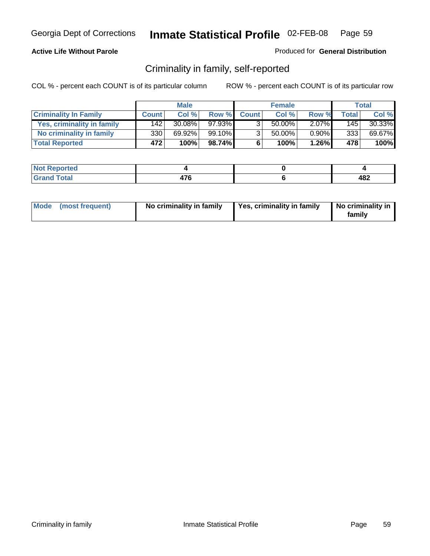#### **Active Life Without Parole**

#### Produced for **General Distribution**

## Criminality in family, self-reported

|                              |              | <b>Male</b> |        |              | <b>Female</b> |          |              | Total  |
|------------------------------|--------------|-------------|--------|--------------|---------------|----------|--------------|--------|
| <b>Criminality In Family</b> | <b>Count</b> | Col %       | Row %  | <b>Count</b> | Col %         | Row %    | <b>Total</b> | Col %  |
| Yes, criminality in family   | 142          | $30.08\%$   | 97.93% |              | 50.00%        | $2.07\%$ | 145          | 30.33% |
| No criminality in family     | 330          | 69.92%      | 99.10% | 3            | 50.00%        | $0.90\%$ | 3331         | 69.67% |
| <b>Total Reported</b>        | 472          | 100%        | 98.74% | 6            | 100%          | $1.26\%$ | 478          | 100%   |

| ported<br><b>NOT</b><br>17CM    |                     |     |
|---------------------------------|---------------------|-----|
| <b>c</b> otal<br>Gran<br>$\sim$ | ים<br>. .<br>$\sim$ | 482 |

| Mode (most frequent) | No criminality in family | Yes, criminality in family | No criminality in<br>family |
|----------------------|--------------------------|----------------------------|-----------------------------|
|----------------------|--------------------------|----------------------------|-----------------------------|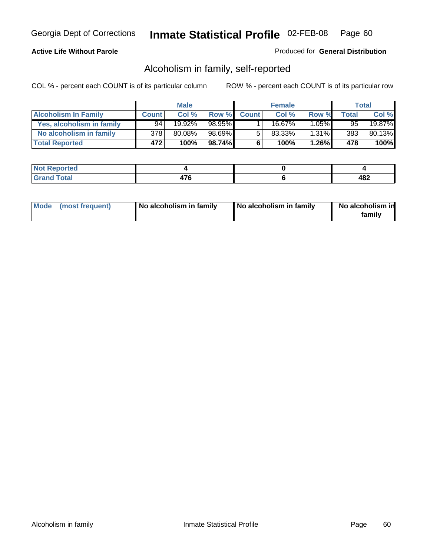#### **Active Life Without Parole**

#### Produced for **General Distribution**

## Alcoholism in family, self-reported

|                             |              | <b>Male</b> |        |              | <b>Female</b> |          |       | Total  |
|-----------------------------|--------------|-------------|--------|--------------|---------------|----------|-------|--------|
| <b>Alcoholism In Family</b> | <b>Count</b> | Col %       | Row %  | <b>Count</b> | Col %         | Row %    | Total | Col %  |
| Yes, alcoholism in family   | 94           | 19.92%      | 98.95% |              | 16.67%        | $1.05\%$ | 95'   | 19.87% |
| No alcoholism in family     | 378          | 80.08%      | 98.69% | 5            | 83.33%        | $1.31\%$ | 383   | 80.13% |
| <b>Total Reported</b>       | 472          | 100%        | 98.74% | 6            | 100%          | $1.26\%$ | 478   | 100%   |

| <b>Not</b><br>ported<br><b>IJCI</b> |                     |            |
|-------------------------------------|---------------------|------------|
| <b>Total</b><br>Gran<br>---         | יי<br>. .<br>$\sim$ | ៱៰៱<br>40Z |

|  | Mode (most frequent) | No alcoholism in family | No alcoholism in family | No alcoholism in<br>familv |
|--|----------------------|-------------------------|-------------------------|----------------------------|
|--|----------------------|-------------------------|-------------------------|----------------------------|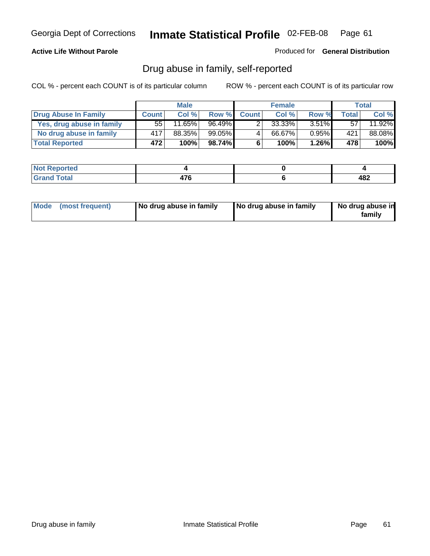#### **Active Life Without Parole**

Produced for **General Distribution**

## Drug abuse in family, self-reported

|                           |              | <b>Male</b> |           |              | <b>Female</b> |          |       | <b>Total</b> |
|---------------------------|--------------|-------------|-----------|--------------|---------------|----------|-------|--------------|
| Drug Abuse In Family      | <b>Count</b> | Col %       | Row %     | <b>Count</b> | Col %         | Row %    | Total | Col %        |
| Yes, drug abuse in family | 55           | $11.65\%$   | $96.49\%$ |              | 33.33%        | $3.51\%$ | 57    | 11.92%       |
| No drug abuse in family   | 417          | 88.35%      | $99.05\%$ | 4            | 66.67%        | $0.95\%$ | 421   | 88.08%       |
| <b>Total Reported</b>     | 472          | 100%        | 98.74%I   | 6            | 100%          | $1.26\%$ | 478   | 100%         |

| <b>Not</b><br>ported<br><b>IJCI</b> |                     |            |
|-------------------------------------|---------------------|------------|
| <b>Total</b><br>Gran<br>---         | יי<br>. .<br>$\sim$ | ៱៰៱<br>404 |

|  | Mode (most frequent) | No drug abuse in family | No drug abuse in family | No drug abuse in<br>family |
|--|----------------------|-------------------------|-------------------------|----------------------------|
|--|----------------------|-------------------------|-------------------------|----------------------------|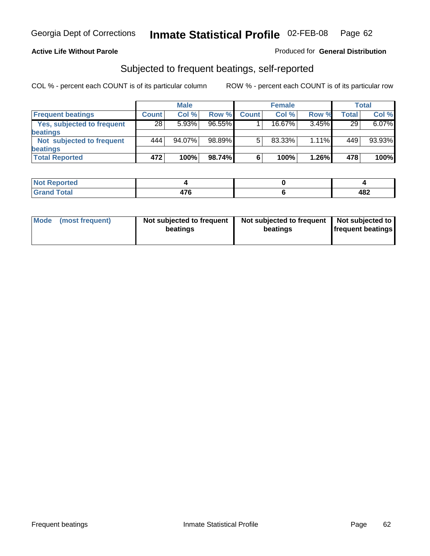#### **Active Life Without Parole**

#### Produced for **General Distribution**

## Subjected to frequent beatings, self-reported

|                            |              | <b>Male</b> |           |              | <b>Female</b> |          |       | <b>Total</b> |
|----------------------------|--------------|-------------|-----------|--------------|---------------|----------|-------|--------------|
| <b>Frequent beatings</b>   | <b>Count</b> | Col%        | Row %     | <b>Count</b> | Col%          | Row %    | Total | Col %        |
| Yes, subjected to frequent | 28           | 5.93%       | $96.55\%$ |              | $16.67\%$     | 3.45%    | 29    | 6.07%        |
| beatings                   |              |             |           |              |               |          |       |              |
| Not subjected to frequent  | 444          | 94.07%      | 98.89%    | 5            | 83.33%        | $1.11\%$ | 449   | 93.93%       |
| beatings                   |              |             |           |              |               |          |       |              |
| <b>Total Reported</b>      | 472          | 100%        | 98.74%    | 6            | 100%          | 1.26%    | 478   | 100%         |

| <b>Not Reported</b>   |     |            |
|-----------------------|-----|------------|
| Total<br>Cron<br>υιαι | 17C | 100<br>40Ł |

| Mode<br>(most frequent) | beatings | Not subjected to frequent | Not subjected to frequent<br>beatings | Not subjected to<br><b>frequent beatings</b> |
|-------------------------|----------|---------------------------|---------------------------------------|----------------------------------------------|
|                         |          |                           |                                       |                                              |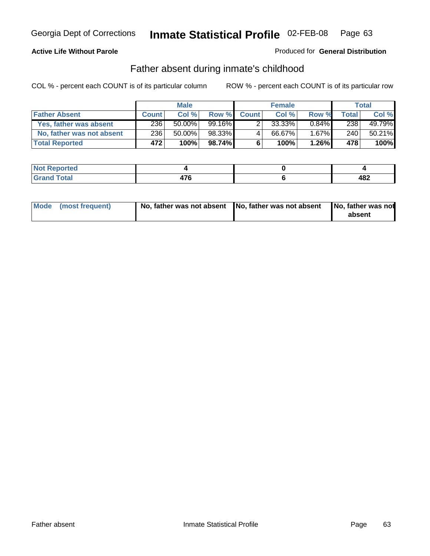#### **Active Life Without Parole**

#### Produced for **General Distribution**

### Father absent during inmate's childhood

|                           |              | <b>Male</b> |         |              | <b>Female</b> |          |       | Total  |
|---------------------------|--------------|-------------|---------|--------------|---------------|----------|-------|--------|
| <b>Father Absent</b>      | <b>Count</b> | Col %       | Row %   | <b>Count</b> | Col %         | Row %    | Total | Col %  |
| Yes, father was absent    | 236          | $50.00\%$   | 99.16%I |              | 33.33%        | $0.84\%$ | 238   | 49.79% |
| No, father was not absent | 236          | 50.00%      | 98.33%  | 4            | 66.67%        | $1.67\%$ | 240   | 50.21% |
| <b>Total Reported</b>     | 472          | 100%        | 98.74%  | 6            | 100%          | $1.26\%$ | 478   | 100%   |

| <b>Not Reported</b> |    |     |
|---------------------|----|-----|
| <b>Total</b>        | ים | 482 |
| Grano               | __ |     |

| Mode (most frequent) |  | 「No, father was not absent ┃No, father was not absent ┃No, father was not | absent |
|----------------------|--|---------------------------------------------------------------------------|--------|
|----------------------|--|---------------------------------------------------------------------------|--------|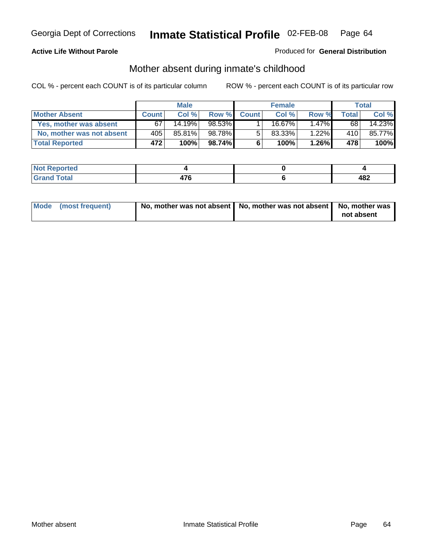#### **Active Life Without Parole**

#### Produced for **General Distribution**

# Mother absent during inmate's childhood

|                           |                  | <b>Male</b> |        |              | <b>Female</b> |          |              | Total  |
|---------------------------|------------------|-------------|--------|--------------|---------------|----------|--------------|--------|
| <b>Mother Absent</b>      | <b>Count</b>     | Col %       | Row %  | <b>Count</b> | Col%          | Row %    | <b>Total</b> | Col %  |
| Yes, mother was absent    | 67               | 14.19%      | 98.53% |              | 16.67%        | $1.47\%$ | 68           | 14.23% |
| No, mother was not absent | 405              | 85.81%      | 98.78% | 5            | $83.33\%$     | 1.22%    | 410          | 85.77% |
| <b>Total Reported</b>     | 472 <sup>1</sup> | 100%        | 98.74% | 6            | 100%          | $1.26\%$ | 478          | 100%   |

| orted           |                     |            |
|-----------------|---------------------|------------|
| Total<br>$\sim$ | --<br>. .<br>$\sim$ | ៱៰៱<br>40£ |

| Mode (most frequent) | No, mother was not absent $\vert$ No, mother was not absent $\vert$ No, mother was | not absent |
|----------------------|------------------------------------------------------------------------------------|------------|
|                      |                                                                                    |            |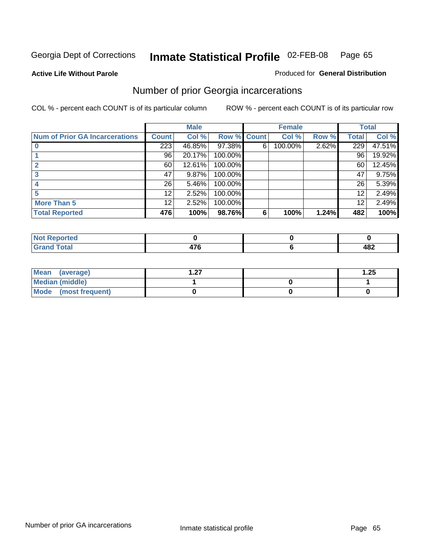**Active Life Without Parole** 

#### Produced for **General Distribution**

## Number of prior Georgia incarcerations

|                                       |              | <b>Male</b> |         |              | <b>Female</b> |       |       | <b>Total</b> |
|---------------------------------------|--------------|-------------|---------|--------------|---------------|-------|-------|--------------|
| <b>Num of Prior GA Incarcerations</b> | <b>Count</b> | Col %       | Row %   | <b>Count</b> | Col %         | Row % | Total | Col %        |
|                                       | 223          | 46.85%      | 97.38%  | 6            | 100.00%       | 2.62% | 229   | 47.51%       |
|                                       | 96           | 20.17%      | 100.00% |              |               |       | 96    | 19.92%       |
|                                       | 60           | 12.61%      | 100.00% |              |               |       | 60    | 12.45%       |
|                                       | 47           | 9.87%       | 100.00% |              |               |       | 47    | 9.75%        |
|                                       | 26           | 5.46%       | 100.00% |              |               |       | 26    | 5.39%        |
|                                       | 12           | 2.52%       | 100.00% |              |               |       | 12    | 2.49%        |
| <b>More Than 5</b>                    | 12           | 2.52%       | 100.00% |              |               |       | 12    | 2.49%        |
| <b>Total Reported</b>                 | 476          | 100%        | 98.76%  | 6            | 100%          | 1.24% | 482   | 100%         |

| <b><i>Configuration</i></b><br>теа<br>w |        |     |
|-----------------------------------------|--------|-----|
| ota.                                    | .      | ៱៰៱ |
|                                         | $\sim$ | 404 |

| Mean (average)       | ົ່ | .25 |
|----------------------|----|-----|
| Median (middle)      |    |     |
| Mode (most frequent) |    |     |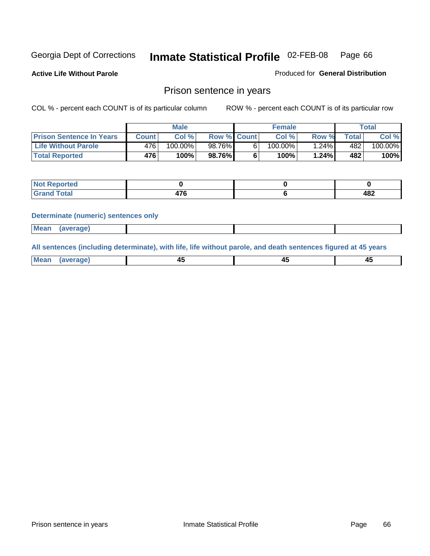**Active Life Without Parole** 

Produced for **General Distribution**

#### Prison sentence in years

COL % - percent each COUNT is of its particular column ROW % - percent each COUNT is of its particular row

|                                 | Male    |            |                    | <b>Female</b> | Total   |             |         |
|---------------------------------|---------|------------|--------------------|---------------|---------|-------------|---------|
| <b>Prison Sentence In Years</b> | Count l | Col %      | <b>Row % Count</b> | Col %         | Row %   | $\tau$ otal | Col %   |
| <b>Life Without Parole</b>      | 4761    | $100.00\%$ | 98.76%             | 100.00%       | $.24\%$ | 482         | 100.00% |
| <b>Total Reported</b>           | 476     | 100%       | 98.76%             | 100%          | 1.24%   | 482'        | 100%    |

| Reported                     |               |     |
|------------------------------|---------------|-----|
| <b>Total</b><br><b>Grand</b> | $\rightarrow$ | 482 |

#### **Determinate (numeric) sentences only**

| <b>Mean</b> | <i>(average)</i> |  |  |
|-------------|------------------|--|--|

**All sentences (including determinate), with life, life without parole, and death sentences figured at 45 years**

| Me:<br>апет<br>.<br>᠇<br>$\sim$ | -- | т.<br>$\sim$ |
|---------------------------------|----|--------------|
|---------------------------------|----|--------------|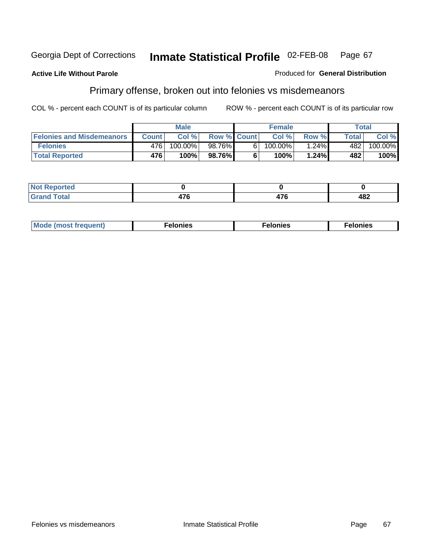#### **Active Life Without Parole**

#### Produced for **General Distribution**

## Primary offense, broken out into felonies vs misdemeanors

|                                  | <b>Male</b>  |         |                    | <b>Female</b> |         |          | Total        |            |
|----------------------------------|--------------|---------|--------------------|---------------|---------|----------|--------------|------------|
| <b>Felonies and Misdemeanors</b> | <b>Count</b> | Col%    | <b>Row % Count</b> |               | Col%    | Row %    | <b>Total</b> | Col %      |
| <b>Felonies</b>                  | 476          | 100.00% | 98.76%             | 61            | 100.00% | $1.24\%$ | 482          | $100.00\%$ |
| <b>Total Reported</b>            | 476          | 100%    | 98.76%I            |               | 100%    | 1.24%    | 482          | 100%       |

| <b>Not</b><br><b>Reported</b><br>$\sim$     |               |             |     |
|---------------------------------------------|---------------|-------------|-----|
| int1<br>Gran<br>$\mathbf{v}$ . $\mathbf{u}$ | $\rightarrow$ | ---<br>71 V | 482 |

| M<br>$\cdots$<br>пю.<br>. | nies<br>. | . |
|---------------------------|-----------|---|
|---------------------------|-----------|---|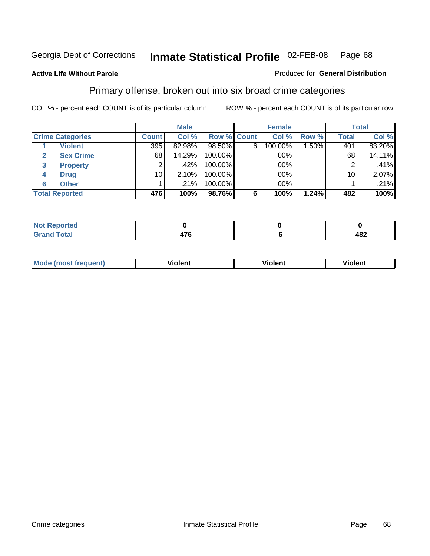#### **Active Life Without Parole**

#### Produced for **General Distribution**

## Primary offense, broken out into six broad crime categories

|                                 | <b>Male</b>  |        |                    | <b>Female</b> |         |          | <b>Total</b> |        |
|---------------------------------|--------------|--------|--------------------|---------------|---------|----------|--------------|--------|
| <b>Crime Categories</b>         | <b>Count</b> | Col %  | <b>Row % Count</b> |               | Col %   | Row %    | <b>Total</b> | Col %  |
| <b>Violent</b>                  | 395          | 82.98% | 98.50%             | 6             | 100.00% | $1.50\%$ | 401          | 83.20% |
| <b>Sex Crime</b>                | 68           | 14.29% | 100.00%            |               | .00%    |          | 68           | 14.11% |
| $\mathbf{3}$<br><b>Property</b> | 2            | .42%   | 100.00%            |               | .00%    |          |              | .41%   |
| <b>Drug</b><br>4                | 10           | 2.10%  | 100.00%            |               | .00%    |          | 10           | 2.07%  |
| <b>Other</b><br>6               |              | .21%   | 100.00%            |               | .00%    |          |              | .21%   |
| <b>Total Reported</b>           | 476          | 100%   | 98.76%             | 6             | 100%    | 1.24%    | 482          | 100%   |

| <b>Reported</b><br><b>NOT</b><br>. |     |     |
|------------------------------------|-----|-----|
| <b>Total</b><br>Cror               | 17C | 482 |

| Mo | n n | winlor" | ılen' |
|----|-----|---------|-------|
|    |     |         |       |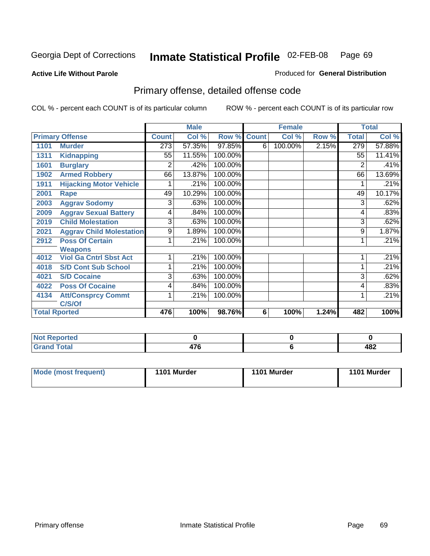#### **Active Life Without Parole**

#### Produced for **General Distribution**

## Primary offense, detailed offense code

|      |                                 |              | <b>Male</b> |             |   | <b>Female</b> |       |              | <b>Total</b> |
|------|---------------------------------|--------------|-------------|-------------|---|---------------|-------|--------------|--------------|
|      | <b>Primary Offense</b>          | <b>Count</b> | Col %       | Row % Count |   | Col %         | Row % | <b>Total</b> | Col %        |
| 1101 | <b>Murder</b>                   | 273          | 57.35%      | 97.85%      | 6 | 100.00%       | 2.15% | 279          | 57.88%       |
| 1311 | <b>Kidnapping</b>               | 55           | 11.55%      | 100.00%     |   |               |       | 55           | 11.41%       |
| 1601 | <b>Burglary</b>                 | 2            | .42%        | 100.00%     |   |               |       | 2            | .41%         |
| 1902 | <b>Armed Robbery</b>            | 66           | 13.87%      | 100.00%     |   |               |       | 66           | 13.69%       |
| 1911 | <b>Hijacking Motor Vehicle</b>  |              | .21%        | 100.00%     |   |               |       |              | .21%         |
| 2001 | Rape                            | 49           | 10.29%      | 100.00%     |   |               |       | 49           | 10.17%       |
| 2003 | <b>Aggrav Sodomy</b>            | 3            | .63%        | 100.00%     |   |               |       | 3            | .62%         |
| 2009 | <b>Aggrav Sexual Battery</b>    | 4            | .84%        | 100.00%     |   |               |       | 4            | .83%         |
| 2019 | <b>Child Molestation</b>        | 3            | .63%        | 100.00%     |   |               |       | 3            | .62%         |
| 2021 | <b>Aggrav Child Molestation</b> | 9            | 1.89%       | 100.00%     |   |               |       | 9            | 1.87%        |
| 2912 | <b>Poss Of Certain</b>          |              | .21%        | 100.00%     |   |               |       |              | .21%         |
|      | <b>Weapons</b>                  |              |             |             |   |               |       |              |              |
| 4012 | <b>Viol Ga Cntrl Sbst Act</b>   |              | .21%        | 100.00%     |   |               |       |              | .21%         |
| 4018 | <b>S/D Cont Sub School</b>      | 1            | .21%        | 100.00%     |   |               |       |              | .21%         |
| 4021 | <b>S/D Cocaine</b>              | 3            | .63%        | 100.00%     |   |               |       | 3            | .62%         |
| 4022 | <b>Poss Of Cocaine</b>          | 4            | .84%        | 100.00%     |   |               |       | 4            | .83%         |
| 4134 | <b>Att/Consprcy Commt</b>       | 1            | .21%        | 100.00%     |   |               |       | 1            | .21%         |
|      | C/S/Of                          |              |             |             |   |               |       |              |              |
|      | <b>Total Rported</b>            | 476          | 100%        | 98.76%      | 6 | 100%          | 1.24% | 482          | 100%         |

| <b>Not Reported</b> |      |                      |
|---------------------|------|----------------------|
| <b>Grand Total</b>  | 47 U | 482<br>$\sim$ $\sim$ |

| Mode (most frequent) | 1101 Murder | 1101 Murder | 1101 Murder |
|----------------------|-------------|-------------|-------------|
|----------------------|-------------|-------------|-------------|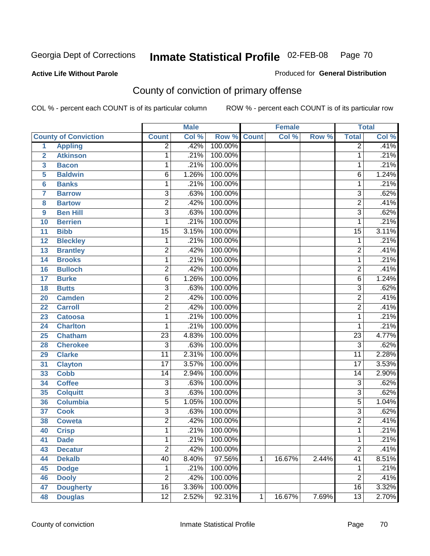#### **Active Life Without Parole**

#### Produced for **General Distribution**

## County of conviction of primary offense

|                         |                             |                 | <b>Male</b> |              |              | <b>Female</b> |       |                 | <b>Total</b> |
|-------------------------|-----------------------------|-----------------|-------------|--------------|--------------|---------------|-------|-----------------|--------------|
|                         | <b>County of Conviction</b> | <b>Count</b>    | Col %       | Row %        | <b>Count</b> | Col %         | Row % | <b>Total</b>    | Col %        |
| 1                       | <b>Appling</b>              | 2               | .42%        | 100.00%      |              |               |       | 2               | .41%         |
| $\overline{2}$          | <b>Atkinson</b>             | 1               | .21%        | 100.00%      |              |               |       | 1               | .21%         |
| $\overline{\mathbf{3}}$ | <b>Bacon</b>                | 1               | .21%        | 100.00%      |              |               |       | 1               | .21%         |
| 5                       | <b>Baldwin</b>              | $\overline{6}$  | 1.26%       | 100.00%      |              |               |       | 6               | 1.24%        |
| 6                       | <b>Banks</b>                | 1               | .21%        | 100.00%      |              |               |       | 1               | .21%         |
| $\overline{7}$          | <b>Barrow</b>               | $\overline{3}$  | .63%        | 100.00%      |              |               |       | $\overline{3}$  | .62%         |
| 8                       | <b>Bartow</b>               | $\overline{2}$  | .42%        | 100.00%      |              |               |       | $\overline{2}$  | .41%         |
| 9                       | <b>Ben Hill</b>             | $\overline{3}$  | .63%        | 100.00%      |              |               |       | $\overline{3}$  | .62%         |
| 10                      | <b>Berrien</b>              | 1               | .21%        | 100.00%      |              |               |       | 1               | .21%         |
| 11                      | <b>Bibb</b>                 | $\overline{15}$ | 3.15%       | 100.00%      |              |               |       | $\overline{15}$ | 3.11%        |
| 12                      | <b>Bleckley</b>             | 1               | .21%        | 100.00%      |              |               |       | 1               | .21%         |
| 13                      | <b>Brantley</b>             | $\overline{2}$  | .42%        | 100.00%      |              |               |       | $\overline{2}$  | .41%         |
| 14                      | <b>Brooks</b>               | 1               | .21%        | 100.00%      |              |               |       | 1               | .21%         |
| 16                      | <b>Bulloch</b>              | $\overline{2}$  | .42%        | 100.00%      |              |               |       | $\overline{2}$  | .41%         |
| 17                      | <b>Burke</b>                | $\overline{6}$  | 1.26%       | 100.00%      |              |               |       | 6               | 1.24%        |
| 18                      | <b>Butts</b>                | $\overline{3}$  | .63%        | 100.00%      |              |               |       | $\overline{3}$  | .62%         |
| 20                      | <b>Camden</b>               | $\overline{2}$  | .42%        | 100.00%      |              |               |       | $\overline{2}$  | .41%         |
| 22                      | <b>Carroll</b>              | $\overline{2}$  | .42%        | 100.00%      |              |               |       | $\overline{2}$  | .41%         |
| 23                      | <b>Catoosa</b>              | 1               | .21%        | 100.00%      |              |               |       | 1               | .21%         |
| 24                      | <b>Charlton</b>             | 1               | .21%        | 100.00%      |              |               |       | 1               | .21%         |
| 25                      | <b>Chatham</b>              | $\overline{23}$ | 4.83%       | 100.00%      |              |               |       | $\overline{23}$ | 4.77%        |
| 28                      | <b>Cherokee</b>             | $\overline{3}$  | .63%        | 100.00%      |              |               |       | $\overline{3}$  | .62%         |
| 29                      | <b>Clarke</b>               | $\overline{11}$ | 2.31%       | 100.00%      |              |               |       | $\overline{11}$ | 2.28%        |
| 31                      | <b>Clayton</b>              | $\overline{17}$ | 3.57%       | 100.00%      |              |               |       | $\overline{17}$ | 3.53%        |
| 33                      | <b>Cobb</b>                 | 14              | 2.94%       | 100.00%      |              |               |       | 14              | 2.90%        |
| 34                      | <b>Coffee</b>               | 3               | .63%        | 100.00%      |              |               |       | $\overline{3}$  | .62%         |
| 35                      | <b>Colquitt</b>             | $\overline{3}$  | .63%        | 100.00%      |              |               |       | $\overline{3}$  | .62%         |
| 36                      | <b>Columbia</b>             | $\overline{5}$  | 1.05%       | 100.00%      |              |               |       | $\overline{5}$  | 1.04%        |
| 37                      | <b>Cook</b>                 | 3               | .63%        | 100.00%      |              |               |       | $\overline{3}$  | .62%         |
| 38                      | <b>Coweta</b>               | $\overline{2}$  | .42%        | 100.00%      |              |               |       | $\overline{2}$  | .41%         |
| 40                      | <b>Crisp</b>                | 1               | .21%        | 100.00%      |              |               |       | 1               | .21%         |
| 41                      | <b>Dade</b>                 | 1               |             | .21% 100.00% |              |               |       | 1               | .21%         |
| 43                      | <b>Decatur</b>              | $\overline{2}$  | .42%        | 100.00%      |              |               |       | $\overline{2}$  | .41%         |
| 44                      | <b>Dekalb</b>               | $\overline{40}$ | 8.40%       | 97.56%       | 1            | 16.67%        | 2.44% | $\overline{41}$ | 8.51%        |
| 45                      | <b>Dodge</b>                | 1               | .21%        | 100.00%      |              |               |       | 1               | .21%         |
| 46                      | <b>Dooly</b>                | $\overline{2}$  | .42%        | 100.00%      |              |               |       | $\overline{2}$  | .41%         |
| 47                      | <b>Dougherty</b>            | $\overline{16}$ | 3.36%       | 100.00%      |              |               |       | 16              | 3.32%        |
| 48                      | <b>Douglas</b>              | $\overline{12}$ | 2.52%       | 92.31%       | 1            | 16.67%        | 7.69% | $\overline{13}$ | 2.70%        |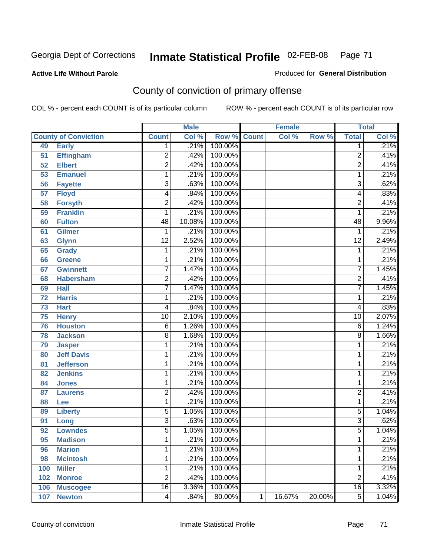**Active Life Without Parole** 

Produced for **General Distribution**

## County of conviction of primary offense

|     |                             |                 | <b>Male</b> |             |              | <b>Female</b> |        |                 | <b>Total</b> |
|-----|-----------------------------|-----------------|-------------|-------------|--------------|---------------|--------|-----------------|--------------|
|     | <b>County of Conviction</b> | <b>Count</b>    | Col %       | Row % Count |              | Col %         | Row %  | <b>Total</b>    | Col %        |
| 49  | <b>Early</b>                | 1               | .21%        | 100.00%     |              |               |        | 1               | .21%         |
| 51  | <b>Effingham</b>            | $\overline{c}$  | .42%        | 100.00%     |              |               |        | $\overline{2}$  | .41%         |
| 52  | <b>Elbert</b>               | $\overline{2}$  | .42%        | 100.00%     |              |               |        | $\overline{2}$  | .41%         |
| 53  | <b>Emanuel</b>              | 1               | .21%        | 100.00%     |              |               |        | 1               | .21%         |
| 56  | <b>Fayette</b>              | $\overline{3}$  | .63%        | 100.00%     |              |               |        | $\overline{3}$  | .62%         |
| 57  | <b>Floyd</b>                | 4               | .84%        | 100.00%     |              |               |        | 4               | .83%         |
| 58  | <b>Forsyth</b>              | $\overline{2}$  | .42%        | 100.00%     |              |               |        | $\overline{2}$  | .41%         |
| 59  | <b>Franklin</b>             | 1               | .21%        | 100.00%     |              |               |        | 1               | .21%         |
| 60  | <b>Fulton</b>               | $\overline{48}$ | 10.08%      | 100.00%     |              |               |        | $\overline{48}$ | 9.96%        |
| 61  | <b>Gilmer</b>               | 1               | .21%        | 100.00%     |              |               |        | 1               | .21%         |
| 63  | <b>Glynn</b>                | $\overline{12}$ | 2.52%       | 100.00%     |              |               |        | $\overline{12}$ | 2.49%        |
| 65  | <b>Grady</b>                | 1               | .21%        | 100.00%     |              |               |        | $\mathbf 1$     | .21%         |
| 66  | <b>Greene</b>               | 1               | .21%        | 100.00%     |              |               |        | 1               | .21%         |
| 67  | <b>Gwinnett</b>             | $\overline{7}$  | 1.47%       | 100.00%     |              |               |        | $\overline{7}$  | 1.45%        |
| 68  | <b>Habersham</b>            | $\overline{2}$  | .42%        | 100.00%     |              |               |        | $\overline{2}$  | .41%         |
| 69  | <b>Hall</b>                 | $\overline{7}$  | 1.47%       | 100.00%     |              |               |        | $\overline{7}$  | 1.45%        |
| 72  | <b>Harris</b>               | 1               | .21%        | 100.00%     |              |               |        | 1               | .21%         |
| 73  | <b>Hart</b>                 | 4               | .84%        | 100.00%     |              |               |        | 4               | .83%         |
| 75  | <b>Henry</b>                | $\overline{10}$ | 2.10%       | 100.00%     |              |               |        | $\overline{10}$ | 2.07%        |
| 76  | <b>Houston</b>              | 6               | 1.26%       | 100.00%     |              |               |        | 6               | 1.24%        |
| 78  | <b>Jackson</b>              | $\overline{8}$  | 1.68%       | 100.00%     |              |               |        | $\overline{8}$  | 1.66%        |
| 79  | <b>Jasper</b>               | 1               | .21%        | 100.00%     |              |               |        | 1               | .21%         |
| 80  | <b>Jeff Davis</b>           | 1               | .21%        | 100.00%     |              |               |        | 1               | .21%         |
| 81  | <b>Jefferson</b>            | 1               | .21%        | 100.00%     |              |               |        | 1               | .21%         |
| 82  | <b>Jenkins</b>              | 1               | .21%        | 100.00%     |              |               |        | 1               | .21%         |
| 84  | <b>Jones</b>                | 1               | .21%        | 100.00%     |              |               |        | 1               | .21%         |
| 87  | <b>Laurens</b>              | $\overline{c}$  | .42%        | 100.00%     |              |               |        | $\overline{c}$  | .41%         |
| 88  | Lee                         | 1               | .21%        | 100.00%     |              |               |        | 1               | .21%         |
| 89  | <b>Liberty</b>              | $\overline{5}$  | 1.05%       | 100.00%     |              |               |        | 5               | 1.04%        |
| 91  | Long                        | 3               | .63%        | 100.00%     |              |               |        | $\overline{3}$  | .62%         |
| 92  | <b>Lowndes</b>              | $\overline{5}$  | 1.05%       | 100.00%     |              |               |        | 5               | 1.04%        |
| 95  | <b>Madison</b>              | 1               | .21%        | 100.00%     |              |               |        | 1               | .21%         |
| 96  | <b>Marion</b>               | 1               | .21%        | 100.00%     |              |               |        | 1               | .21%         |
| 98  | <b>Mcintosh</b>             | 1               | .21%        | 100.00%     |              |               |        | 1               | .21%         |
| 100 | <b>Miller</b>               | 1               | .21%        | 100.00%     |              |               |        | 1               | .21%         |
| 102 | <b>Monroe</b>               | $\overline{2}$  | .42%        | 100.00%     |              |               |        | $\overline{2}$  | .41%         |
| 106 | <b>Muscogee</b>             | $\overline{16}$ | 3.36%       | 100.00%     |              |               |        | 16              | 3.32%        |
| 107 | <b>Newton</b>               | 4               | .84%        | 80.00%      | $\mathbf{1}$ | 16.67%        | 20.00% | $\overline{5}$  | 1.04%        |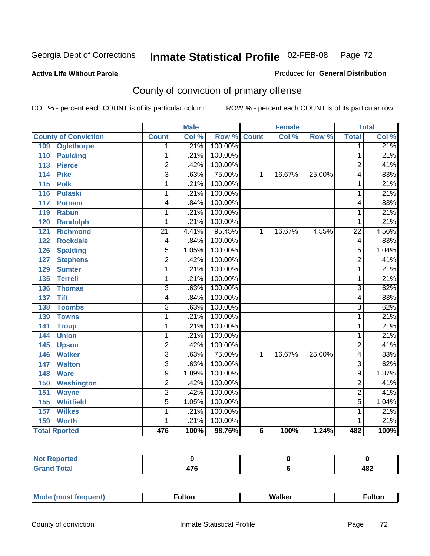#### **Active Life Without Parole**

## Produced for **General Distribution**

## County of conviction of primary offense

|                                 |                           | <b>Male</b> |         |                | <b>Female</b> |        |                 | <b>Total</b> |
|---------------------------------|---------------------------|-------------|---------|----------------|---------------|--------|-----------------|--------------|
| <b>County of Conviction</b>     | <b>Count</b>              | Col %       | Row %   | <b>Count</b>   | Col %         | Row %  | <b>Total</b>    | Col %        |
| <b>Oglethorpe</b><br>109        | 1                         | .21%        | 100.00% |                |               |        | 1               | .21%         |
| 110<br><b>Paulding</b>          | 1                         | .21%        | 100.00% |                |               |        | 1               | .21%         |
| <b>Pierce</b><br>113            | $\overline{2}$            | .42%        | 100.00% |                |               |        | $\overline{2}$  | .41%         |
| <b>Pike</b><br>114              | $\overline{\overline{3}}$ | .63%        | 75.00%  | 1              | 16.67%        | 25.00% | 4               | .83%         |
| 115<br><b>Polk</b>              | 1                         | .21%        | 100.00% |                |               |        | 1               | .21%         |
| 116<br><b>Pulaski</b>           | 1                         | .21%        | 100.00% |                |               |        | 1               | .21%         |
| 117<br><b>Putnam</b>            | 4                         | .84%        | 100.00% |                |               |        | 4               | .83%         |
| 119<br><b>Rabun</b>             | 1                         | .21%        | 100.00% |                |               |        | 1               | .21%         |
| <b>Randolph</b><br>120          | 1                         | .21%        | 100.00% |                |               |        | 1               | .21%         |
| <b>Richmond</b><br>121          | $\overline{21}$           | 4.41%       | 95.45%  | 1              | 16.67%        | 4.55%  | $\overline{22}$ | 4.56%        |
| <b>Rockdale</b><br>122          | $\overline{\mathcal{A}}$  | .84%        | 100.00% |                |               |        | 4               | .83%         |
| <b>Spalding</b><br>126          | 5                         | 1.05%       | 100.00% |                |               |        | 5               | 1.04%        |
| <b>Stephens</b><br>127          | $\overline{2}$            | .42%        | 100.00% |                |               |        | $\overline{2}$  | .41%         |
| <b>Sumter</b><br>129            | 1                         | .21%        | 100.00% |                |               |        | 1               | .21%         |
| <b>Terrell</b><br>135           | 1                         | .21%        | 100.00% |                |               |        | 1               | .21%         |
| 136<br><b>Thomas</b>            | $\overline{3}$            | .63%        | 100.00% |                |               |        | $\overline{3}$  | .62%         |
| <b>Tift</b><br>$\overline{137}$ | 4                         | .84%        | 100.00% |                |               |        | 4               | .83%         |
| <b>Toombs</b><br>138            | $\overline{3}$            | .63%        | 100.00% |                |               |        | $\overline{3}$  | .62%         |
| <b>Towns</b><br>139             | 1                         | .21%        | 100.00% |                |               |        | 1               | .21%         |
| 141<br><b>Troup</b>             | 1                         | .21%        | 100.00% |                |               |        | 1               | .21%         |
| <b>Union</b><br>144             | 1                         | .21%        | 100.00% |                |               |        | 1               | .21%         |
| 145<br><b>Upson</b>             | $\overline{2}$            | .42%        | 100.00% |                |               |        | $\overline{2}$  | .41%         |
| <b>Walker</b><br>146            | $\overline{3}$            | .63%        | 75.00%  | 1              | 16.67%        | 25.00% | 4               | .83%         |
| <b>Walton</b><br>147            | $\overline{3}$            | .63%        | 100.00% |                |               |        | 3               | .62%         |
| 148<br><b>Ware</b>              | 9                         | 1.89%       | 100.00% |                |               |        | 9               | 1.87%        |
| Washington<br>150               | $\overline{2}$            | .42%        | 100.00% |                |               |        | $\overline{2}$  | .41%         |
| 151<br><b>Wayne</b>             | $\overline{2}$            | .42%        | 100.00% |                |               |        | $\overline{2}$  | .41%         |
| <b>Whitfield</b><br>155         | $\overline{5}$            | 1.05%       | 100.00% |                |               |        | $\overline{5}$  | 1.04%        |
| 157<br><b>Wilkes</b>            | 1                         | .21%        | 100.00% |                |               |        | 1               | .21%         |
| 159<br><b>Worth</b>             | 1                         | .21%        | 100.00% |                |               |        | 1               | .21%         |
| <b>Total Rported</b>            | 476                       | 100%        | 98.76%  | $6\phantom{1}$ | 100%          | 1.24%  | 482             | 100%         |

| Reported<br>NOT F<br>. |             |     |
|------------------------|-------------|-----|
| <b>Total</b><br>r      | 170<br>41 U | 482 |

| _____ |  | Мe | τοη<br>ur. | <b>Walker</b> | ultor |
|-------|--|----|------------|---------------|-------|
|-------|--|----|------------|---------------|-------|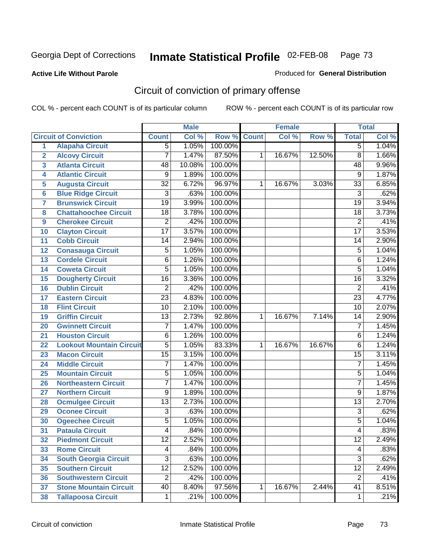#### **Active Life Without Parole**

#### Produced for **General Distribution**

# Circuit of conviction of primary offense

|                         |                                 |                 | <b>Male</b> |         |              | Female |        |                 | <b>Total</b> |
|-------------------------|---------------------------------|-----------------|-------------|---------|--------------|--------|--------|-----------------|--------------|
|                         | <b>Circuit of Conviction</b>    | <b>Count</b>    | Col %       | Row %   | <b>Count</b> | Col %  | Row %  | <b>Total</b>    | Col %        |
| 1                       | <b>Alapaha Circuit</b>          | $\overline{5}$  | 1.05%       | 100.00% |              |        |        | $\overline{5}$  | 1.04%        |
| $\overline{\mathbf{2}}$ | <b>Alcovy Circuit</b>           | $\overline{7}$  | 1.47%       | 87.50%  | 1            | 16.67% | 12.50% | $\overline{8}$  | 1.66%        |
| 3                       | <b>Atlanta Circuit</b>          | 48              | 10.08%      | 100.00% |              |        |        | 48              | 9.96%        |
| 4                       | <b>Atlantic Circuit</b>         | $\overline{9}$  | 1.89%       | 100.00% |              |        |        | 9               | 1.87%        |
| 5                       | <b>Augusta Circuit</b>          | $\overline{32}$ | 6.72%       | 96.97%  | 1            | 16.67% | 3.03%  | $\overline{33}$ | 6.85%        |
| 6                       | <b>Blue Ridge Circuit</b>       | $\overline{3}$  | .63%        | 100.00% |              |        |        | $\overline{3}$  | .62%         |
| $\overline{7}$          | <b>Brunswick Circuit</b>        | $\overline{19}$ | 3.99%       | 100.00% |              |        |        | $\overline{19}$ | 3.94%        |
| 8                       | <b>Chattahoochee Circuit</b>    | 18              | 3.78%       | 100.00% |              |        |        | 18              | 3.73%        |
| 9                       | <b>Cherokee Circuit</b>         | $\overline{2}$  | .42%        | 100.00% |              |        |        | $\overline{2}$  | .41%         |
| 10                      | <b>Clayton Circuit</b>          | $\overline{17}$ | 3.57%       | 100.00% |              |        |        | $\overline{17}$ | 3.53%        |
| 11                      | <b>Cobb Circuit</b>             | 14              | 2.94%       | 100.00% |              |        |        | 14              | 2.90%        |
| 12                      | <b>Conasauga Circuit</b>        | $\overline{5}$  | 1.05%       | 100.00% |              |        |        | $\overline{5}$  | 1.04%        |
| 13                      | <b>Cordele Circuit</b>          | $\overline{6}$  | 1.26%       | 100.00% |              |        |        | 6               | 1.24%        |
| 14                      | <b>Coweta Circuit</b>           | $\overline{5}$  | 1.05%       | 100.00% |              |        |        | $\overline{5}$  | 1.04%        |
| 15                      | <b>Dougherty Circuit</b>        | $\overline{16}$ | 3.36%       | 100.00% |              |        |        | $\overline{16}$ | 3.32%        |
| 16                      | <b>Dublin Circuit</b>           | $\overline{2}$  | .42%        | 100.00% |              |        |        | $\overline{2}$  | .41%         |
| 17                      | <b>Eastern Circuit</b>          | $\overline{23}$ | 4.83%       | 100.00% |              |        |        | $\overline{23}$ | 4.77%        |
| 18                      | <b>Flint Circuit</b>            | $\overline{10}$ | 2.10%       | 100.00% |              |        |        | $\overline{10}$ | 2.07%        |
| 19                      | <b>Griffin Circuit</b>          | 13              | 2.73%       | 92.86%  | 1            | 16.67% | 7.14%  | 14              | 2.90%        |
| 20                      | <b>Gwinnett Circuit</b>         | $\overline{7}$  | 1.47%       | 100.00% |              |        |        | $\overline{7}$  | 1.45%        |
| 21                      | <b>Houston Circuit</b>          | $\overline{6}$  | 1.26%       | 100.00% |              |        |        | $\overline{6}$  | 1.24%        |
| 22                      | <b>Lookout Mountain Circuit</b> | $\overline{5}$  | 1.05%       | 83.33%  | 1            | 16.67% | 16.67% | $\overline{6}$  | 1.24%        |
| 23                      | <b>Macon Circuit</b>            | $\overline{15}$ | 3.15%       | 100.00% |              |        |        | $\overline{15}$ | 3.11%        |
| 24                      | <b>Middle Circuit</b>           | $\overline{7}$  | 1.47%       | 100.00% |              |        |        | $\overline{7}$  | 1.45%        |
| 25                      | <b>Mountain Circuit</b>         | $\overline{5}$  | 1.05%       | 100.00% |              |        |        | $\overline{5}$  | 1.04%        |
| 26                      | <b>Northeastern Circuit</b>     | $\overline{7}$  | 1.47%       | 100.00% |              |        |        | $\overline{7}$  | 1.45%        |
| 27                      | <b>Northern Circuit</b>         | $\overline{9}$  | 1.89%       | 100.00% |              |        |        | $\overline{9}$  | 1.87%        |
| 28                      | <b>Ocmulgee Circuit</b>         | $\overline{13}$ | 2.73%       | 100.00% |              |        |        | $\overline{13}$ | 2.70%        |
| 29                      | <b>Oconee Circuit</b>           | $\overline{3}$  | .63%        | 100.00% |              |        |        | $\overline{3}$  | .62%         |
| 30                      | <b>Ogeechee Circuit</b>         | $\overline{5}$  | 1.05%       | 100.00% |              |        |        | $\overline{5}$  | 1.04%        |
| 31                      | <b>Pataula Circuit</b>          | 4               | .84%        | 100.00% |              |        |        | 4               | .83%         |
| 32                      | <b>Piedmont Circuit</b>         | 12              | 2.52%       | 100.00% |              |        |        | 12              | 2.49%        |
| 33                      | <b>Rome Circuit</b>             | $\overline{4}$  | .84%        | 100.00% |              |        |        | 4               | .83%         |
| 34                      | <b>South Georgia Circuit</b>    | $\overline{3}$  | .63%        | 100.00% |              |        |        | $\overline{3}$  | .62%         |
| 35                      | <b>Southern Circuit</b>         | $\overline{12}$ | 2.52%       | 100.00% |              |        |        | $\overline{12}$ | 2.49%        |
| 36                      | <b>Southwestern Circuit</b>     | $\overline{2}$  | .42%        | 100.00% |              |        |        | $\overline{2}$  | .41%         |
| 37                      | <b>Stone Mountain Circuit</b>   | 40              | 8.40%       | 97.56%  | 1            | 16.67% | 2.44%  | 41              | 8.51%        |
| 38                      | <b>Tallapoosa Circuit</b>       | $\mathbf{1}$    | .21%        | 100.00% |              |        |        | $\mathbf{1}$    | .21%         |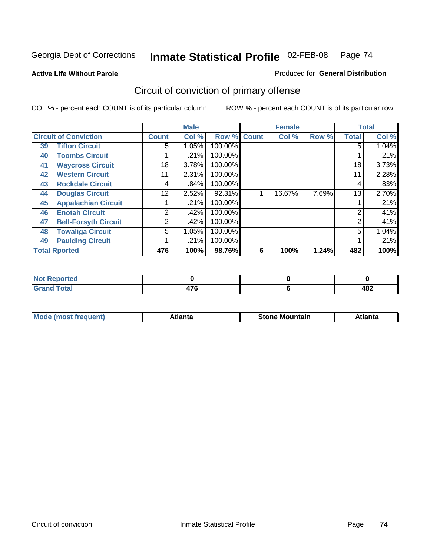**Active Life Without Parole** 

Produced for **General Distribution**

# Circuit of conviction of primary offense

|    |                              |              | <b>Male</b> |             |   | <b>Female</b> |       |                | <b>Total</b> |
|----|------------------------------|--------------|-------------|-------------|---|---------------|-------|----------------|--------------|
|    | <b>Circuit of Conviction</b> | <b>Count</b> | Col %       | Row % Count |   | Col %         | Row % | <b>Total</b>   | Col %        |
| 39 | <b>Tifton Circuit</b>        | 5            | 1.05%       | 100.00%     |   |               |       | 5              | 1.04%        |
| 40 | <b>Toombs Circuit</b>        |              | .21%        | 100.00%     |   |               |       |                | .21%         |
| 41 | <b>Waycross Circuit</b>      | 18           | 3.78%       | 100.00%     |   |               |       | 18             | 3.73%        |
| 42 | <b>Western Circuit</b>       | 11           | 2.31%       | 100.00%     |   |               |       | 11             | 2.28%        |
| 43 | <b>Rockdale Circuit</b>      | 4            | .84%        | 100.00%     |   |               |       | 4              | .83%         |
| 44 | <b>Douglas Circuit</b>       | 12           | 2.52%       | 92.31%      |   | 16.67%        | 7.69% | 13             | 2.70%        |
| 45 | <b>Appalachian Circuit</b>   |              | .21%        | 100.00%     |   |               |       |                | .21%         |
| 46 | <b>Enotah Circuit</b>        | 2            | .42%        | 100.00%     |   |               |       | 2              | .41%         |
| 47 | <b>Bell-Forsyth Circuit</b>  | 2            | .42%        | 100.00%     |   |               |       | $\overline{2}$ | .41%         |
| 48 | <b>Towaliga Circuit</b>      | 5            | 1.05%       | 100.00%     |   |               |       | 5              | 1.04%        |
| 49 | <b>Paulding Circuit</b>      |              | .21%        | 100.00%     |   |               |       |                | .21%         |
|    | <b>Total Rported</b>         | 476          | 100%        | 98.76%      | 6 | 100%          | 1.24% | 482            | 100%         |

| eported<br>'N (            |             |     |
|----------------------------|-------------|-----|
| <b>Total</b><br><b>VIU</b> | 170<br>71 U | 482 |

| īМ<br>----<br>taın<br>----<br>514<br>MOL<br>нс |
|------------------------------------------------|
|------------------------------------------------|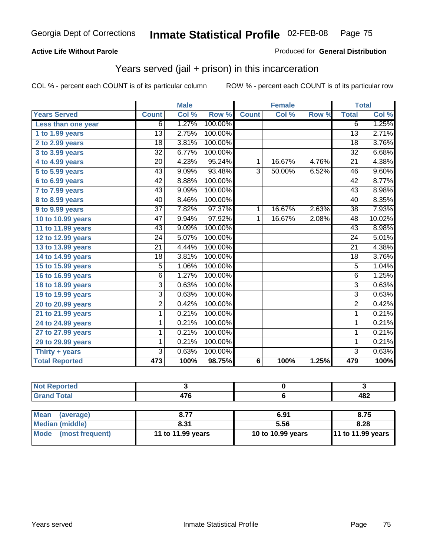#### **Active Life Without Parole**

#### Produced for **General Distribution**

## Years served (jail + prison) in this incarceration

|                       |                 | <b>Male</b> |         |                 | <b>Female</b> |       |                 | <b>Total</b> |
|-----------------------|-----------------|-------------|---------|-----------------|---------------|-------|-----------------|--------------|
| <b>Years Served</b>   | <b>Count</b>    | Col %       | Row %   | <b>Count</b>    | Col %         | Row % | <b>Total</b>    | Col %        |
| Less than one year    | 6               | 1.27%       | 100.00% |                 |               |       | $\overline{6}$  | 1.25%        |
| 1 to 1.99 years       | $\overline{13}$ | 2.75%       | 100.00% |                 |               |       | $\overline{13}$ | 2.71%        |
| 2 to 2.99 years       | 18              | 3.81%       | 100.00% |                 |               |       | 18              | 3.76%        |
| 3 to 3.99 years       | $\overline{32}$ | 6.77%       | 100.00% |                 |               |       | $\overline{32}$ | 6.68%        |
| 4 to 4.99 years       | $\overline{20}$ | 4.23%       | 95.24%  | 1               | 16.67%        | 4.76% | $\overline{21}$ | 4.38%        |
| 5 to 5.99 years       | 43              | 9.09%       | 93.48%  | 3               | 50.00%        | 6.52% | 46              | 9.60%        |
| 6 to 6.99 years       | 42              | 8.88%       | 100.00% |                 |               |       | $\overline{42}$ | 8.77%        |
| 7 to 7.99 years       | 43              | 9.09%       | 100.00% |                 |               |       | $\overline{43}$ | 8.98%        |
| 8 to 8.99 years       | 40              | 8.46%       | 100.00% |                 |               |       | 40              | 8.35%        |
| 9 to 9.99 years       | $\overline{37}$ | 7.82%       | 97.37%  | $\mathbf{1}$    | 16.67%        | 2.63% | $\overline{38}$ | 7.93%        |
| 10 to 10.99 years     | $\overline{47}$ | 9.94%       | 97.92%  | 1               | 16.67%        | 2.08% | $\overline{48}$ | 10.02%       |
| 11 to 11.99 years     | 43              | 9.09%       | 100.00% |                 |               |       | 43              | 8.98%        |
| 12 to 12.99 years     | 24              | 5.07%       | 100.00% |                 |               |       | $\overline{24}$ | 5.01%        |
| 13 to 13.99 years     | $\overline{21}$ | 4.44%       | 100.00% |                 |               |       | $\overline{21}$ | 4.38%        |
| 14 to 14.99 years     | 18              | 3.81%       | 100.00% |                 |               |       | 18              | 3.76%        |
| 15 to 15.99 years     | 5               | 1.06%       | 100.00% |                 |               |       | $\overline{5}$  | 1.04%        |
| 16 to 16.99 years     | 6               | 1.27%       | 100.00% |                 |               |       | $\overline{6}$  | 1.25%        |
| 18 to 18.99 years     | $\overline{3}$  | 0.63%       | 100.00% |                 |               |       | $\overline{3}$  | 0.63%        |
| 19 to 19.99 years     | $\overline{3}$  | 0.63%       | 100.00% |                 |               |       | $\overline{3}$  | 0.63%        |
| 20 to 20.99 years     | $\overline{2}$  | 0.42%       | 100.00% |                 |               |       | $\overline{2}$  | 0.42%        |
| 21 to 21.99 years     | 1               | 0.21%       | 100.00% |                 |               |       | $\mathbf{1}$    | 0.21%        |
| 24 to 24.99 years     | 1               | 0.21%       | 100.00% |                 |               |       | 1               | 0.21%        |
| 27 to 27.99 years     | 1               | 0.21%       | 100.00% |                 |               |       | 1               | 0.21%        |
| 29 to 29.99 years     | 1               | 0.21%       | 100.00% |                 |               |       | 1               | 0.21%        |
| Thirty + years        | 3               | 0.63%       | 100.00% |                 |               |       | 3               | 0.63%        |
| <b>Total Reported</b> | 473             | 100%        | 98.75%  | $6\phantom{1}6$ | 100%          | 1.25% | 479             | 100%         |

| <b>Not Reported</b>            |                   |                   |                   |
|--------------------------------|-------------------|-------------------|-------------------|
| <b>Grand Total</b>             | 476               |                   | 482               |
|                                |                   |                   |                   |
| <b>Mean</b><br>(average)       | 8.77              | 6.91              | 8.75              |
| <b>Median (middle)</b>         | 8.31              | 5.56              | 8.28              |
| <b>Mode</b><br>(most frequent) | 11 to 11.99 years | 10 to 10.99 years | 11 to 11.99 years |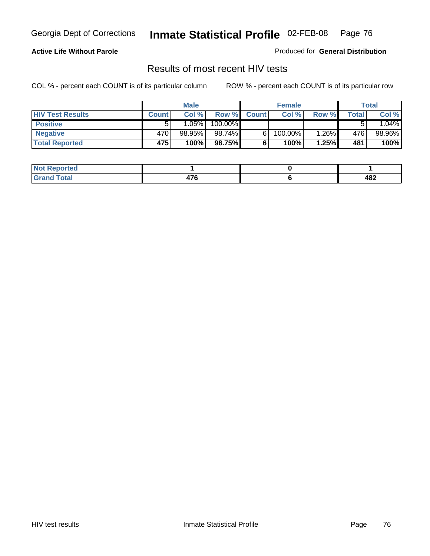### **Active Life Without Parole**

Produced for **General Distribution**

### Results of most recent HIV tests

|                         |              | <b>Male</b> |         |              | <b>Female</b> |          |       | Total  |
|-------------------------|--------------|-------------|---------|--------------|---------------|----------|-------|--------|
| <b>HIV Test Results</b> | <b>Count</b> | Col %       | Row %   | <b>Count</b> | Col %         | Row %    | Total | Col %  |
| <b>Positive</b>         |              | 1.05%       | 100.00% |              |               |          |       | 1.04%  |
| <b>Negative</b>         | 470          | 98.95%      | 98.74%I |              | 100.00%       | $1.26\%$ | 476   | 98.96% |
| <b>Total Reported</b>   | 475          | 100%        | 98.75%  |              | 100%          | 1.25%    | 481   | 100%   |

| <b>Not Reported</b>  |                               |     |
|----------------------|-------------------------------|-----|
| <b>Fotal</b><br>Gr2r | $\rightarrow$<br>41 U<br>$ -$ | 482 |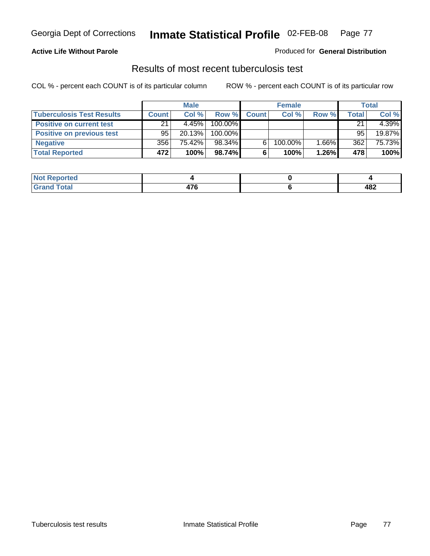#### **Active Life Without Parole**

#### Produced for **General Distribution**

### Results of most recent tuberculosis test

|                                  |              | <b>Male</b> |         |              | <b>Female</b> |       |       | Total  |
|----------------------------------|--------------|-------------|---------|--------------|---------------|-------|-------|--------|
| <b>Tuberculosis Test Results</b> | <b>Count</b> | Col%        | Row %   | <b>Count</b> | Col%          | Row % | Total | Col %  |
| <b>Positive on current test</b>  | 21           | 4.45%       | 100.00% |              |               |       | 21    | 4.39%  |
| <b>Positive on previous test</b> | 95           | 20.13%      | 100.00% |              |               |       | 95    | 19.87% |
| <b>Negative</b>                  | 356          | 75.42%      | 98.34%  | 6.           | 100.00%       | 1.66% | 362   | 75.73% |
| <b>Total Reported</b>            | 472          | 100%        | 98.74%  | 6            | 100%          | 1.26% | 478   | 100%   |

| <b>Reported</b><br><b>NOT</b> |            |     |
|-------------------------------|------------|-----|
| <b>Total</b>                  | ים<br>47 U | 482 |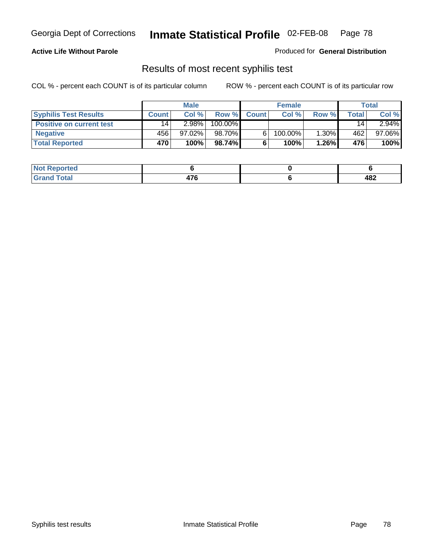### **Active Life Without Parole**

Produced for **General Distribution**

## Results of most recent syphilis test

|                                 |              | <b>Male</b> |         |              | <b>Female</b> |       |       | Total     |
|---------------------------------|--------------|-------------|---------|--------------|---------------|-------|-------|-----------|
| <b>Syphilis Test Results</b>    | <b>Count</b> | Col %       | Row %   | <b>Count</b> | Col %         | Row % | Total | Col %     |
| <b>Positive on current test</b> | 14           | 2.98%       | 100.00% |              |               |       | 14    | $2.94\%$  |
| <b>Negative</b>                 | 456          | $97.02\%$   | 98.70%  |              | $100.00\%$    | 1.30% | 462   | $97.06\%$ |
| <b>Total Reported</b>           | 470          | 100%        | 98.74%l |              | 100%          | 1.26% | 476   | 100%      |

| <b>Not Reported</b> |                       |     |
|---------------------|-----------------------|-----|
| <b>Total</b>        | $\rightarrow$<br>47 O | 482 |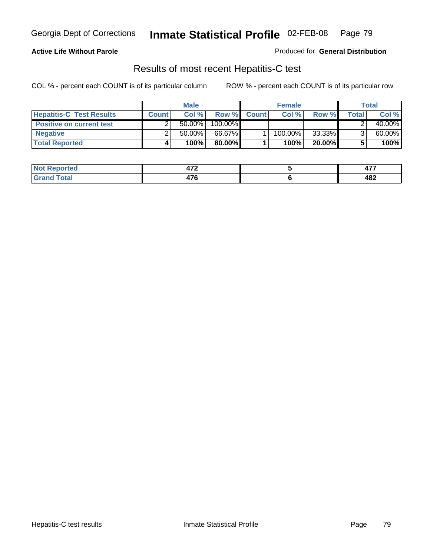### **Active Life Without Parole**

Produced for **General Distribution**

## Results of most recent Hepatitis-C test

|                                 | <b>Male</b>  |           |         | <b>Female</b> |         |           | Total |        |
|---------------------------------|--------------|-----------|---------|---------------|---------|-----------|-------|--------|
| <b>Hepatitis-C Test Results</b> | <b>Count</b> | Col %     | Row %   | <b>Count</b>  | Col %   | Row %     | Total | Col %  |
| <b>Positive on current test</b> |              | $50.00\%$ | 100.00% |               |         |           |       | 40.00% |
| <b>Negative</b>                 |              | $50.00\%$ | 66.67%  |               | 100.00% | 33.33%    |       | 60.00% |
| <b>Total Reported</b>           |              | 100%      | 80.00%I |               | 100%    | $20.00\%$ |       | 100%   |

| <b>Not Reported</b>  | יי<br>71 L         | ---<br><b>TI</b> . |
|----------------------|--------------------|--------------------|
| <b>Total</b><br>Gr2r | ים<br>41 U<br>$ -$ | 482                |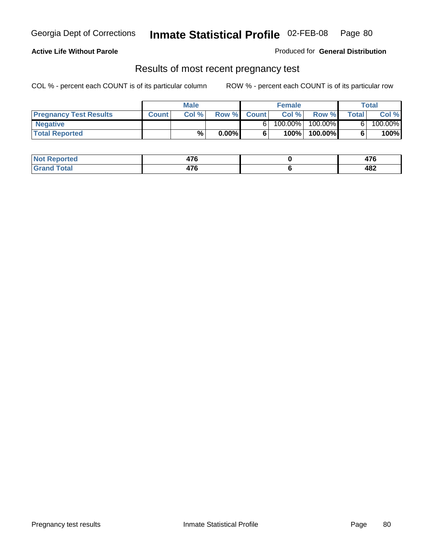#### **Active Life Without Parole**

Produced for **General Distribution**

### Results of most recent pregnancy test

|                               | <b>Male</b>  |       |          | <b>Female</b> |         |         | Total  |         |
|-------------------------------|--------------|-------|----------|---------------|---------|---------|--------|---------|
| <b>Pregnancy Test Results</b> | <b>Count</b> | Col % |          | Row % Count   | Col %   | Row %   | Totall | Col %   |
| Negative                      |              |       |          |               | 100.00% | 100.00% |        | 100.00% |
| <b>Total Reported</b>         |              | $\%$  | $0.00\%$ |               | 100%    | 100.00% |        | 100%    |

| orted        | $\rightarrow$<br>41 V | $\rightarrow$<br>$\sim$ |
|--------------|-----------------------|-------------------------|
| <b>Total</b> | $\rightarrow$<br>47 U | 482                     |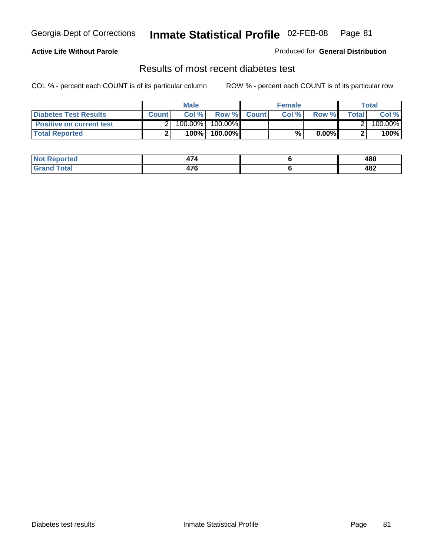### **Active Life Without Parole**

#### Produced for **General Distribution**

### Results of most recent diabetes test

|                                 |              | <b>Male</b> |            |             | <b>Female</b> |          |        | Total   |
|---------------------------------|--------------|-------------|------------|-------------|---------------|----------|--------|---------|
| <b>Diabetes Test Results</b>    | <b>Count</b> | Col %       |            | Row % Count | Col%          | Row %    | Totall | Col %   |
| <b>Positive on current test</b> |              | 100.00%     | $100.00\%$ |             |               |          |        | 100.00% |
| <b>Total Reported</b>           |              | 100%        | 100.00%    |             | %.            | $0.00\%$ |        | 100%    |

| रeported             | .<br>474      | 480 |
|----------------------|---------------|-----|
| <b>otal</b><br>_____ | $-1$<br>ט ו ד | 482 |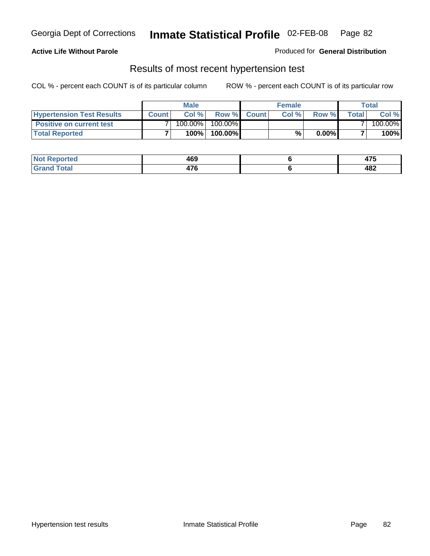### **Active Life Without Parole**

#### Produced for **General Distribution**

### Results of most recent hypertension test

|                                  | <b>Male</b>  |         |            | <b>Female</b> |      |          | <b>Total</b> |         |
|----------------------------------|--------------|---------|------------|---------------|------|----------|--------------|---------|
| <b>Hypertension Test Results</b> | <b>Count</b> | Col %   |            | Row % Count   | Col% | Row %    | Totall       | Col %   |
| <b>Positive on current test</b>  |              | 100.00% | $100.00\%$ |               |      |          |              | 100.00% |
| <b>Total Reported</b>            |              | 100%    | 100.00%    |               | %    | $0.00\%$ |              | 100%    |

| <b>eported</b> | 469         | $\rightarrow$<br>71 J |
|----------------|-------------|-----------------------|
| <b>Total</b>   | ---<br>47 U | 482                   |